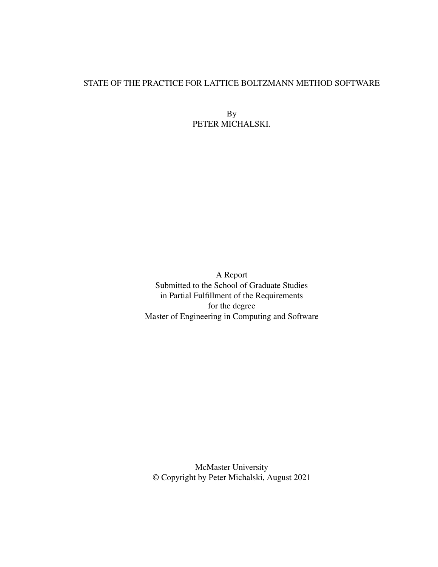### STATE OF THE PRACTICE FOR LATTICE BOLTZMANN METHOD SOFTWARE

By PETER MICHALSKI.

A Report Submitted to the School of Graduate Studies in Partial Fulfillment of the Requirements for the degree Master of Engineering in Computing and Software

McMaster University © Copyright by Peter Michalski, August 2021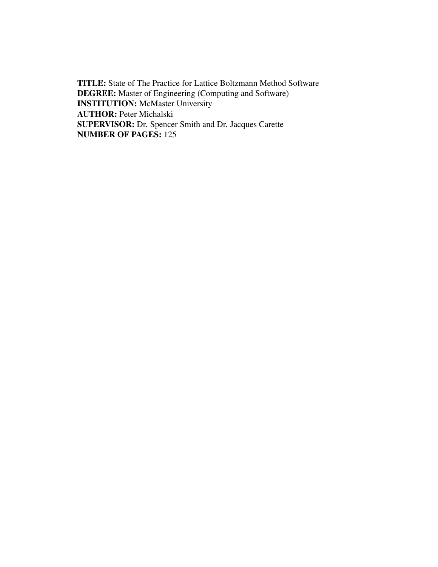TITLE: State of The Practice for Lattice Boltzmann Method Software DEGREE: Master of Engineering (Computing and Software) INSTITUTION: McMaster University AUTHOR: Peter Michalski SUPERVISOR: Dr. Spencer Smith and Dr. Jacques Carette NUMBER OF PAGES: 125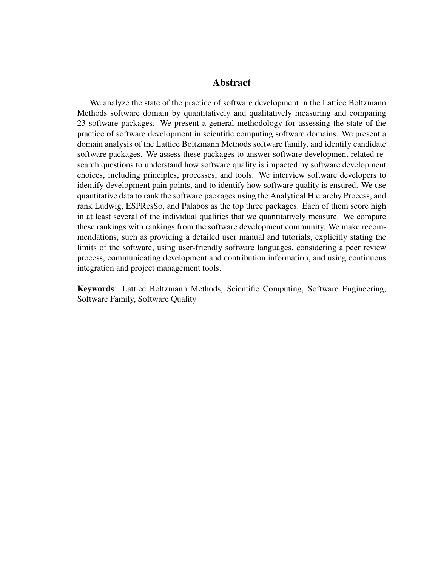### Abstract

We analyze the state of the practice of software development in the Lattice Boltzmann Methods software domain by quantitatively and qualitatively measuring and comparing 23 software packages. We present a general methodology for assessing the state of the practice of software development in scientific computing software domains. We present a domain analysis of the Lattice Boltzmann Methods software family, and identify candidate software packages. We assess these packages to answer software development related research questions to understand how software quality is impacted by software development choices, including principles, processes, and tools. We interview software developers to identify development pain points, and to identify how software quality is ensured. We use quantitative data to rank the software packages using the Analytical Hierarchy Process, and rank Ludwig, ESPResSo, and Palabos as the top three packages. Each of them score high in at least several of the individual qualities that we quantitatively measure. We compare these rankings with rankings from the software development community. We make recommendations, such as providing a detailed user manual and tutorials, explicitly stating the limits of the software, using user-friendly software languages, considering a peer review process, communicating development and contribution information, and using continuous integration and project management tools.

Keywords: Lattice Boltzmann Methods, Scientific Computing, Software Engineering, Software Family, Software Quality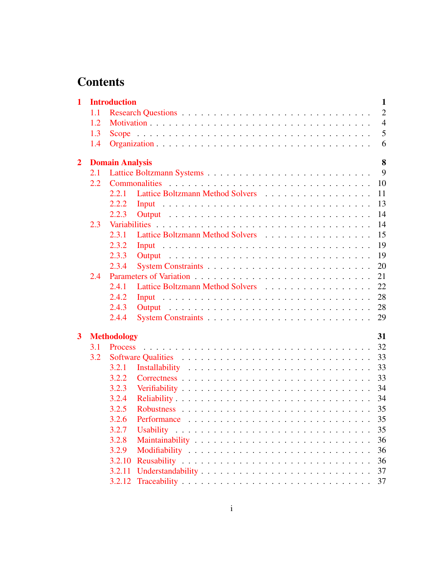# **Contents**

| $\mathbf{1}$            |     | <b>Introduction</b>    |             | $\mathbf{1}$   |
|-------------------------|-----|------------------------|-------------|----------------|
|                         | 1.1 |                        |             | $\overline{2}$ |
|                         | 1.2 |                        |             | $\overline{4}$ |
|                         | 1.3 |                        |             | 5              |
|                         | 1.4 |                        |             | 6              |
| $\overline{2}$          |     | <b>Domain Analysis</b> |             | 8              |
|                         | 2.1 |                        |             | 9              |
|                         | 2.2 |                        |             | 10             |
|                         |     | 2.2.1                  |             | 11             |
|                         |     | 2.2.2                  |             | 13             |
|                         |     | 2.2.3                  |             | 14             |
|                         | 2.3 |                        |             | 14             |
|                         |     | 2.3.1                  |             | 15             |
|                         |     | 2.3.2                  |             | 19             |
|                         |     | 2.3.3                  |             | 19             |
|                         |     | 2.3.4                  |             | 20             |
|                         | 2.4 |                        |             | 21             |
|                         |     | 2.4.1                  |             | 22             |
|                         |     | 2.4.2                  |             | 28             |
|                         |     | 2.4.3                  |             | 28             |
|                         |     | 2.4.4                  |             | 29             |
| $\overline{\mathbf{3}}$ |     | <b>Methodology</b>     |             | 31             |
|                         | 3.1 |                        |             | 32             |
|                         | 3.2 |                        |             | 33             |
|                         |     | 3.2.1                  |             | 33             |
|                         |     | 3.2.2                  |             | 33             |
|                         |     | 3.2.3                  |             | 34             |
|                         |     | 3.2.4                  | Reliability | 34             |
|                         |     | 3.2.5                  |             | 35             |
|                         |     | 3.2.6                  |             | 35             |
|                         |     | 3.2.7                  |             | 35             |
|                         |     | 3.2.8                  |             | 36             |
|                         |     | 3.2.9                  |             | 36             |
|                         |     | 3.2.10                 |             | 36             |
|                         |     | 3.2.11                 |             | 37             |
|                         |     | 3.2.12                 |             | 37             |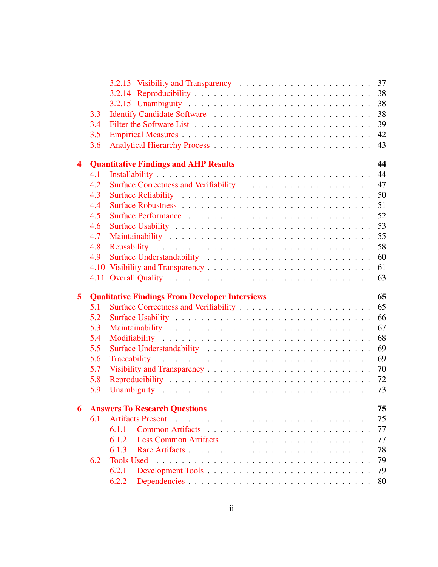|                         | 3.3 |                                                       | 38       |
|-------------------------|-----|-------------------------------------------------------|----------|
|                         | 3.4 |                                                       | 39       |
|                         | 3.5 |                                                       | 42       |
|                         | 3.6 |                                                       | 43       |
| $\overline{\mathbf{4}}$ |     | <b>Quantitative Findings and AHP Results</b>          | 44       |
|                         | 4.1 |                                                       | 44       |
|                         | 4.2 |                                                       | 47       |
|                         | 4.3 |                                                       | 50       |
|                         | 4.4 |                                                       | 51       |
|                         | 4.5 |                                                       | 52       |
|                         | 4.6 |                                                       | 53       |
|                         | 4.7 |                                                       | 55       |
|                         | 4.8 |                                                       | 58       |
|                         | 4.9 |                                                       | 60       |
|                         |     |                                                       | 61       |
|                         |     |                                                       | 63       |
|                         |     |                                                       |          |
|                         |     |                                                       |          |
| 5                       | 5.1 | <b>Qualitative Findings From Developer Interviews</b> | 65<br>65 |
|                         | 5.2 |                                                       | 66       |
|                         | 5.3 |                                                       | 67       |
|                         | 5.4 |                                                       | 68       |
|                         | 5.5 |                                                       | 69       |
|                         | 5.6 |                                                       | 69       |
|                         | 5.7 |                                                       | 70       |
|                         | 5.8 |                                                       |          |
|                         | 5.9 |                                                       |          |
| 6                       |     | <b>Answers To Research Questions</b>                  |          |
|                         | 6.1 |                                                       | 75<br>75 |
|                         |     | 6.1.1                                                 | 77       |
|                         |     | 6.1.2                                                 | 77       |
|                         |     | 6.1.3                                                 | 78       |
|                         | 6.2 |                                                       | 79       |
|                         |     | 6.2.1                                                 | 79       |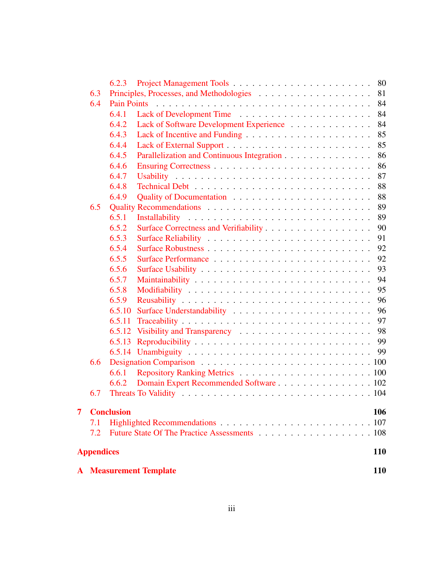|   |                   | 6.4.3             |                                              | 85         |
|---|-------------------|-------------------|----------------------------------------------|------------|
|   |                   | 6.4.4             |                                              | 85         |
|   |                   | 6.4.5             | Parallelization and Continuous Integration   | 86         |
|   |                   | 6.4.6             |                                              | 86         |
|   |                   | 6.4.7             |                                              | 87         |
|   |                   | 6.4.8             |                                              | 88         |
|   |                   | 6.4.9             |                                              | 88         |
|   | 6.5               |                   |                                              | 89         |
|   |                   | 6.5.1             |                                              | 89         |
|   |                   | 6.5.2             |                                              | 90         |
|   |                   | 6.5.3             |                                              | 91         |
|   |                   | 6.5.4             |                                              | 92         |
|   |                   | 6.5.5             |                                              | 92         |
|   |                   | 6.5.6             |                                              | 93         |
|   |                   | 6.5.7             |                                              | 94         |
|   |                   | 6.5.8             |                                              | 95         |
|   |                   | 6.5.9             |                                              | 96         |
|   |                   | 6.5.10            |                                              | 96         |
|   |                   | 6.5.11            |                                              | 97         |
|   |                   | 6.5.12            |                                              | 98         |
|   |                   | 6.5.13            |                                              | 99         |
|   |                   |                   |                                              | 99         |
|   | 6.6               |                   |                                              |            |
|   |                   | 6.6.1             |                                              |            |
|   |                   | 6.6.2             | Domain Expert Recommended Software 102       |            |
|   | 6.7               |                   |                                              |            |
| 7 |                   | <b>Conclusion</b> |                                              | 106        |
|   | 7.1               |                   |                                              | 107        |
|   | 7.2               |                   | Future State Of The Practice Assessments 108 |            |
|   |                   |                   |                                              |            |
|   | <b>Appendices</b> |                   |                                              | <b>110</b> |
|   |                   |                   | <b>A</b> Measurement Template                | 110        |
|   |                   |                   |                                              |            |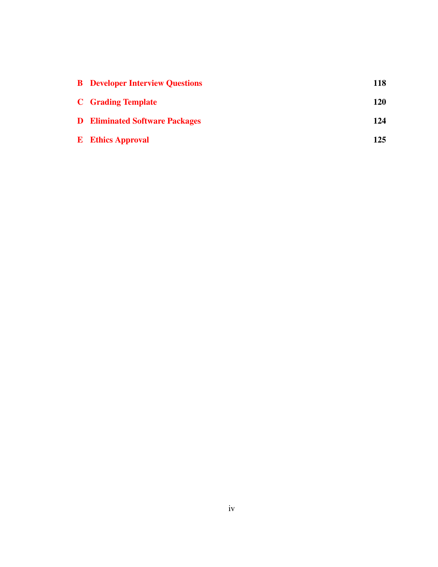| <b>B</b> Developer Interview Questions | 118 |
|----------------------------------------|-----|
| <b>C</b> Grading Template              | 120 |
| <b>D</b> Eliminated Software Packages  | 124 |
| <b>E</b> Ethics Approval               | 125 |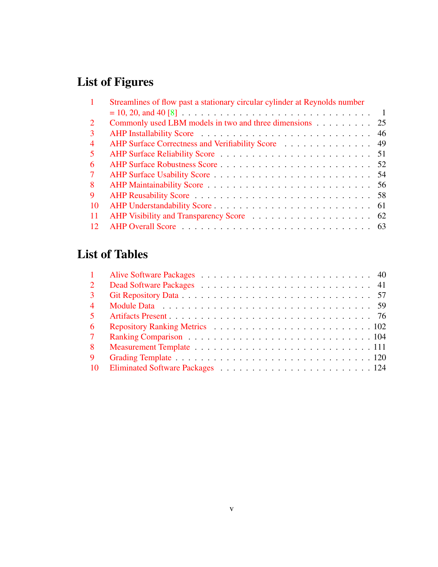# List of Figures

| $\mathbf{1}$   | Streamlines of flow past a stationary circular cylinder at Reynolds number |
|----------------|----------------------------------------------------------------------------|
|                | $\blacksquare$                                                             |
| $\overline{2}$ | Commonly used LBM models in two and three dimensions<br>25                 |
| 3              |                                                                            |
| $\overline{4}$ | AHP Surface Correctness and Verifiability Score 49                         |
| $5^{\circ}$    |                                                                            |
| 6              |                                                                            |
| $7^{\circ}$    |                                                                            |
| 8              |                                                                            |
| 9              |                                                                            |
| 10             |                                                                            |
| <b>11</b>      |                                                                            |
| 12             |                                                                            |

# List of Tables

| 9 <sup>1</sup> |  |
|----------------|--|
|                |  |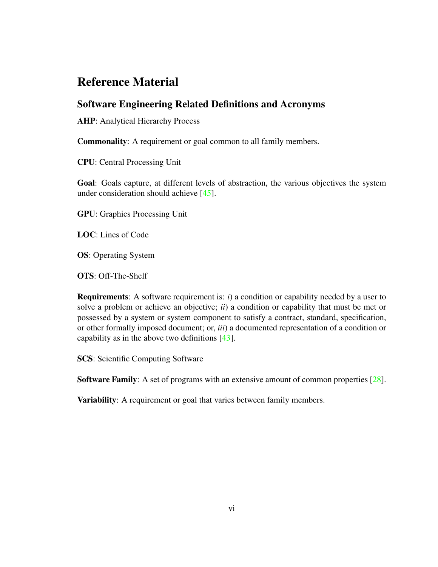# Reference Material

## Software Engineering Related Definitions and Acronyms

AHP: Analytical Hierarchy Process

Commonality: A requirement or goal common to all family members.

CPU: Central Processing Unit

Goal: Goals capture, at different levels of abstraction, the various objectives the system under consideration should achieve [\[45\]](#page-138-0).

GPU: Graphics Processing Unit

LOC: Lines of Code

OS: Operating System

OTS: Off-The-Shelf

Requirements: A software requirement is: *i*) a condition or capability needed by a user to solve a problem or achieve an objective; *ii*) a condition or capability that must be met or possessed by a system or system component to satisfy a contract, standard, specification, or other formally imposed document; or, *iii*) a documented representation of a condition or capability as in the above two definitions [\[43\]](#page-138-1).

SCS: Scientific Computing Software

Software Family: A set of programs with an extensive amount of common properties [\[28\]](#page-137-0).

Variability: A requirement or goal that varies between family members.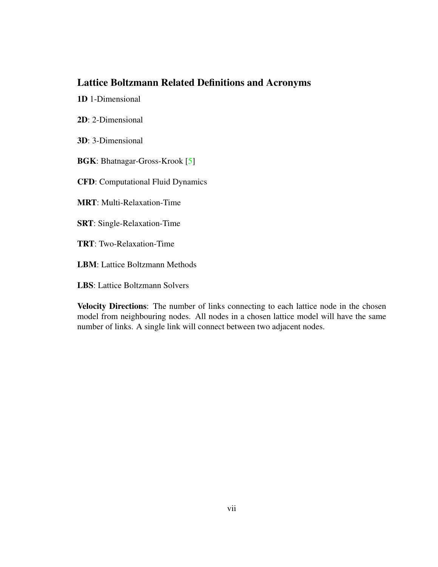## Lattice Boltzmann Related Definitions and Acronyms

1D 1-Dimensional

2D: 2-Dimensional

3D: 3-Dimensional

BGK: Bhatnagar-Gross-Krook [\[5\]](#page-135-1)

CFD: Computational Fluid Dynamics

MRT: Multi-Relaxation-Time

SRT: Single-Relaxation-Time

TRT: Two-Relaxation-Time

LBM: Lattice Boltzmann Methods

LBS: Lattice Boltzmann Solvers

Velocity Directions: The number of links connecting to each lattice node in the chosen model from neighbouring nodes. All nodes in a chosen lattice model will have the same number of links. A single link will connect between two adjacent nodes.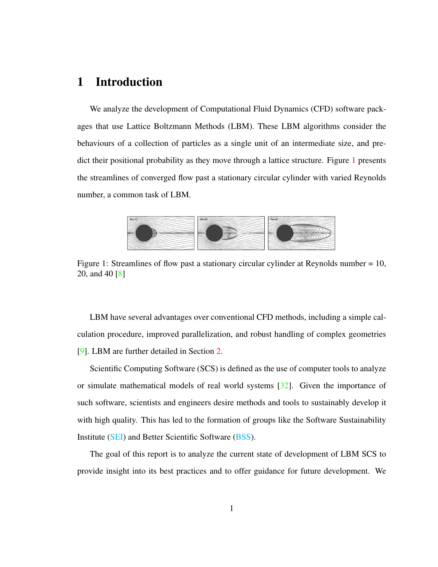## <span id="page-10-0"></span>1 Introduction

We analyze the development of Computational Fluid Dynamics (CFD) software packages that use Lattice Boltzmann Methods (LBM). These LBM algorithms consider the behaviours of a collection of particles as a single unit of an intermediate size, and predict their positional probability as they move through a lattice structure. Figure [1](#page-10-1) presents the streamlines of converged flow past a stationary circular cylinder with varied Reynolds number, a common task of LBM.

<span id="page-10-1"></span>

Figure 1: Streamlines of flow past a stationary circular cylinder at Reynolds number = 10, 20, and 40 [\[8\]](#page-135-0)

LBM have several advantages over conventional CFD methods, including a simple calculation procedure, improved parallelization, and robust handling of complex geometries [\[9\]](#page-135-2). LBM are further detailed in Section [2.](#page-17-0)

Scientific Computing Software (SCS) is defined as the use of computer tools to analyze or simulate mathematical models of real world systems [\[32\]](#page-137-1). Given the importance of such software, scientists and engineers desire methods and tools to sustainably develop it with high quality. This has led to the formation of groups like the Software Sustainability Institute [\(SEI\)](https://www.software.ac.uk/) and Better Scientific Software [\(BSS\)](https://bssw.io/).

The goal of this report is to analyze the current state of development of LBM SCS to provide insight into its best practices and to offer guidance for future development. We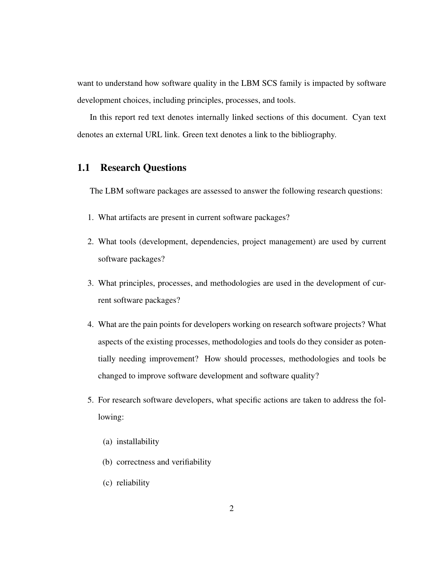want to understand how software quality in the LBM SCS family is impacted by software development choices, including principles, processes, and tools.

In this report red text denotes internally linked sections of this document. Cyan text denotes an external URL link. Green text denotes a link to the bibliography.

### <span id="page-11-0"></span>1.1 Research Questions

The LBM software packages are assessed to answer the following research questions:

- 1. What artifacts are present in current software packages?
- 2. What tools (development, dependencies, project management) are used by current software packages?
- 3. What principles, processes, and methodologies are used in the development of current software packages?
- 4. What are the pain points for developers working on research software projects? What aspects of the existing processes, methodologies and tools do they consider as potentially needing improvement? How should processes, methodologies and tools be changed to improve software development and software quality?
- 5. For research software developers, what specific actions are taken to address the following:
	- (a) installability
	- (b) correctness and verifiability
	- (c) reliability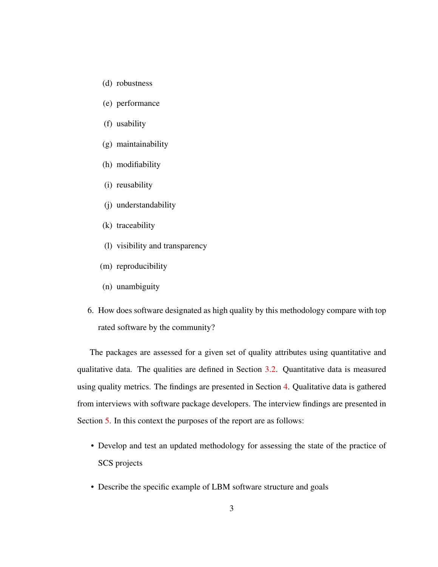- (d) robustness
- (e) performance
- (f) usability
- (g) maintainability
- (h) modifiability
- (i) reusability
- (j) understandability
- (k) traceability
- (l) visibility and transparency
- (m) reproducibility
- (n) unambiguity
- 6. How does software designated as high quality by this methodology compare with top rated software by the community?

The packages are assessed for a given set of quality attributes using quantitative and qualitative data. The qualities are defined in Section [3.2.](#page-42-0) Quantitative data is measured using quality metrics. The findings are presented in Section [4.](#page-53-0) Qualitative data is gathered from interviews with software package developers. The interview findings are presented in Section [5.](#page-74-0) In this context the purposes of the report are as follows:

- Develop and test an updated methodology for assessing the state of the practice of SCS projects
- Describe the specific example of LBM software structure and goals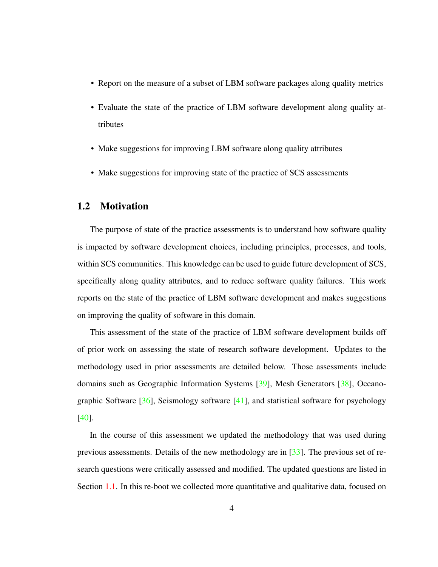- Report on the measure of a subset of LBM software packages along quality metrics
- Evaluate the state of the practice of LBM software development along quality attributes
- Make suggestions for improving LBM software along quality attributes
- Make suggestions for improving state of the practice of SCS assessments

### <span id="page-13-0"></span>1.2 Motivation

The purpose of state of the practice assessments is to understand how software quality is impacted by software development choices, including principles, processes, and tools, within SCS communities. This knowledge can be used to guide future development of SCS, specifically along quality attributes, and to reduce software quality failures. This work reports on the state of the practice of LBM software development and makes suggestions on improving the quality of software in this domain.

This assessment of the state of the practice of LBM software development builds off of prior work on assessing the state of research software development. Updates to the methodology used in prior assessments are detailed below. Those assessments include domains such as Geographic Information Systems [\[39\]](#page-138-2), Mesh Generators [\[38\]](#page-138-3), Oceanographic Software  $[36]$ , Seismology software  $[41]$ , and statistical software for psychology [\[40\]](#page-138-5).

In the course of this assessment we updated the methodology that was used during previous assessments. Details of the new methodology are in [\[33\]](#page-137-3). The previous set of research questions were critically assessed and modified. The updated questions are listed in Section [1.1.](#page-11-0) In this re-boot we collected more quantitative and qualitative data, focused on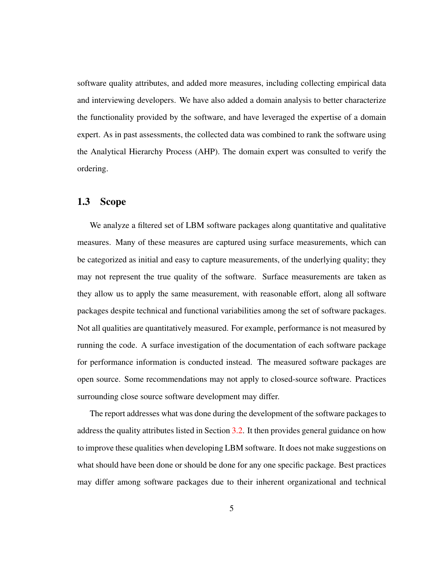software quality attributes, and added more measures, including collecting empirical data and interviewing developers. We have also added a domain analysis to better characterize the functionality provided by the software, and have leveraged the expertise of a domain expert. As in past assessments, the collected data was combined to rank the software using the Analytical Hierarchy Process (AHP). The domain expert was consulted to verify the ordering.

#### <span id="page-14-0"></span>1.3 Scope

We analyze a filtered set of LBM software packages along quantitative and qualitative measures. Many of these measures are captured using surface measurements, which can be categorized as initial and easy to capture measurements, of the underlying quality; they may not represent the true quality of the software. Surface measurements are taken as they allow us to apply the same measurement, with reasonable effort, along all software packages despite technical and functional variabilities among the set of software packages. Not all qualities are quantitatively measured. For example, performance is not measured by running the code. A surface investigation of the documentation of each software package for performance information is conducted instead. The measured software packages are open source. Some recommendations may not apply to closed-source software. Practices surrounding close source software development may differ.

The report addresses what was done during the development of the software packages to address the quality attributes listed in Section [3.2.](#page-42-0) It then provides general guidance on how to improve these qualities when developing LBM software. It does not make suggestions on what should have been done or should be done for any one specific package. Best practices may differ among software packages due to their inherent organizational and technical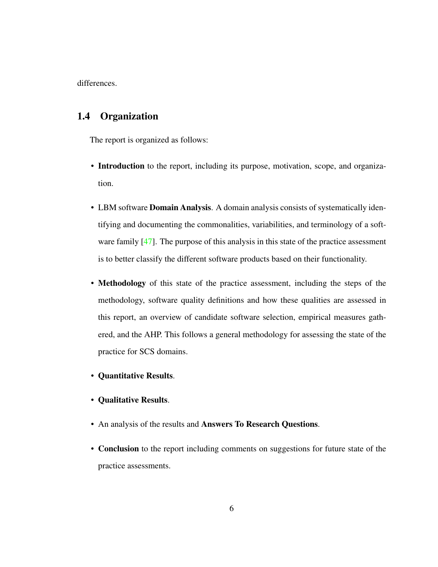differences.

## <span id="page-15-0"></span>1.4 Organization

The report is organized as follows:

- Introduction to the report, including its purpose, motivation, scope, and organization.
- LBM software **Domain Analysis**. A domain analysis consists of systematically identifying and documenting the commonalities, variabilities, and terminology of a soft-ware family [\[47\]](#page-138-6). The purpose of this analysis in this state of the practice assessment is to better classify the different software products based on their functionality.
- Methodology of this state of the practice assessment, including the steps of the methodology, software quality definitions and how these qualities are assessed in this report, an overview of candidate software selection, empirical measures gathered, and the AHP. This follows a general methodology for assessing the state of the practice for SCS domains.
- Quantitative Results.
- Qualitative Results.
- An analysis of the results and Answers To Research Questions.
- Conclusion to the report including comments on suggestions for future state of the practice assessments.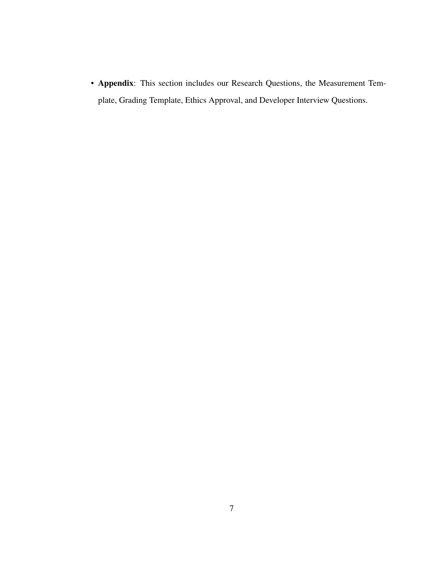• Appendix: This section includes our Research Questions, the Measurement Template, Grading Template, Ethics Approval, and Developer Interview Questions.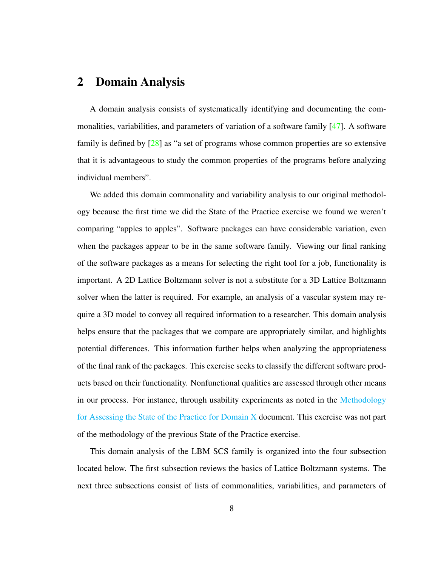## <span id="page-17-0"></span>2 Domain Analysis

A domain analysis consists of systematically identifying and documenting the commonalities, variabilities, and parameters of variation of a software family [\[47\]](#page-138-6). A software family is defined by [\[28\]](#page-137-0) as "a set of programs whose common properties are so extensive that it is advantageous to study the common properties of the programs before analyzing individual members".

We added this domain commonality and variability analysis to our original methodology because the first time we did the State of the Practice exercise we found we weren't comparing "apples to apples". Software packages can have considerable variation, even when the packages appear to be in the same software family. Viewing our final ranking of the software packages as a means for selecting the right tool for a job, functionality is important. A 2D Lattice Boltzmann solver is not a substitute for a 3D Lattice Boltzmann solver when the latter is required. For example, an analysis of a vascular system may require a 3D model to convey all required information to a researcher. This domain analysis helps ensure that the packages that we compare are appropriately similar, and highlights potential differences. This information further helps when analyzing the appropriateness of the final rank of the packages. This exercise seeks to classify the different software products based on their functionality. Nonfunctional qualities are assessed through other means in our process. For instance, through usability experiments as noted in the [Methodology](https://github.com/smiths/AIMSS/blob/master/StateOfPractice/Methodology/Methodology.pdf) [for Assessing the State of the Practice for Domain X](https://github.com/smiths/AIMSS/blob/master/StateOfPractice/Methodology/Methodology.pdf) document. This exercise was not part of the methodology of the previous State of the Practice exercise.

This domain analysis of the LBM SCS family is organized into the four subsection located below. The first subsection reviews the basics of Lattice Boltzmann systems. The next three subsections consist of lists of commonalities, variabilities, and parameters of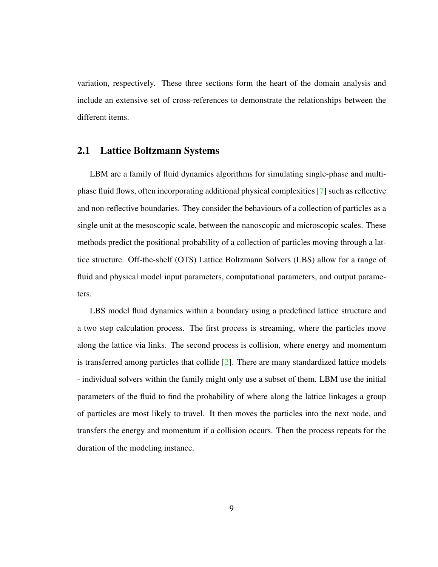variation, respectively. These three sections form the heart of the domain analysis and include an extensive set of cross-references to demonstrate the relationships between the different items.

#### <span id="page-18-0"></span>2.1 Lattice Boltzmann Systems

LBM are a family of fluid dynamics algorithms for simulating single-phase and multiphase fluid flows, often incorporating additional physical complexities [\[7\]](#page-135-3) such as reflective and non-reflective boundaries. They consider the behaviours of a collection of particles as a single unit at the mesoscopic scale, between the nanoscopic and microscopic scales. These methods predict the positional probability of a collection of particles moving through a lattice structure. Off-the-shelf (OTS) Lattice Boltzmann Solvers (LBS) allow for a range of fluid and physical model input parameters, computational parameters, and output parameters.

LBS model fluid dynamics within a boundary using a predefined lattice structure and a two step calculation process. The first process is streaming, where the particles move along the lattice via links. The second process is collision, where energy and momentum is transferred among particles that collide [\[2\]](#page-135-4). There are many standardized lattice models - individual solvers within the family might only use a subset of them. LBM use the initial parameters of the fluid to find the probability of where along the lattice linkages a group of particles are most likely to travel. It then moves the particles into the next node, and transfers the energy and momentum if a collision occurs. Then the process repeats for the duration of the modeling instance.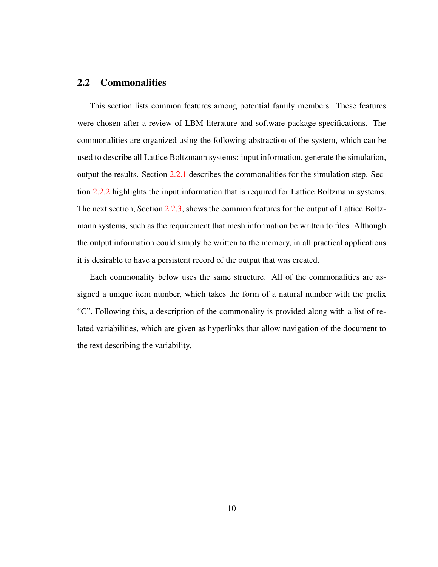#### <span id="page-19-0"></span>2.2 Commonalities

This section lists common features among potential family members. These features were chosen after a review of LBM literature and software package specifications. The commonalities are organized using the following abstraction of the system, which can be used to describe all Lattice Boltzmann systems: input information, generate the simulation, output the results. Section [2.2.1](#page-20-0) describes the commonalities for the simulation step. Section [2.2.2](#page-22-0) highlights the input information that is required for Lattice Boltzmann systems. The next section, Section [2.2.3,](#page-23-0) shows the common features for the output of Lattice Boltzmann systems, such as the requirement that mesh information be written to files. Although the output information could simply be written to the memory, in all practical applications it is desirable to have a persistent record of the output that was created.

Each commonality below uses the same structure. All of the commonalities are assigned a unique item number, which takes the form of a natural number with the prefix "C". Following this, a description of the commonality is provided along with a list of related variabilities, which are given as hyperlinks that allow navigation of the document to the text describing the variability.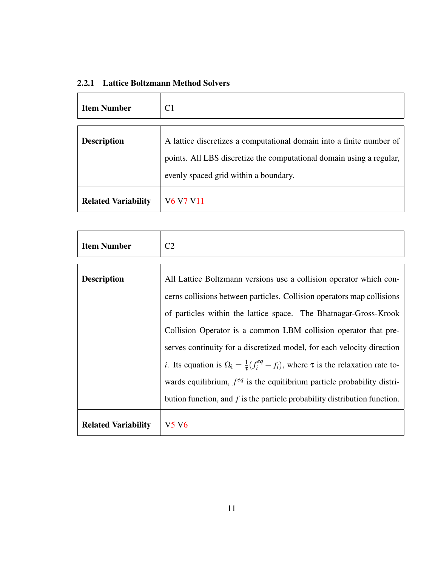<span id="page-20-0"></span>

|  |  | 2.2.1 Lattice Boltzmann Method Solvers |  |  |
|--|--|----------------------------------------|--|--|
|--|--|----------------------------------------|--|--|

<span id="page-20-1"></span>

| <b>Item Number</b>         | C <sub>1</sub>                                                                                                                                                                        |
|----------------------------|---------------------------------------------------------------------------------------------------------------------------------------------------------------------------------------|
| <b>Description</b>         | A lattice discretizes a computational domain into a finite number of<br>points. All LBS discretize the computational domain using a regular,<br>evenly spaced grid within a boundary. |
| <b>Related Variability</b> | V <sub>6</sub> V <sub>7</sub> V <sub>11</sub>                                                                                                                                         |

<span id="page-20-2"></span>

| <b>Item Number</b>         | C <sub>2</sub>                                                                                                                                                                                                                                                                                                                                                                                                                                                                                                                                                    |
|----------------------------|-------------------------------------------------------------------------------------------------------------------------------------------------------------------------------------------------------------------------------------------------------------------------------------------------------------------------------------------------------------------------------------------------------------------------------------------------------------------------------------------------------------------------------------------------------------------|
|                            |                                                                                                                                                                                                                                                                                                                                                                                                                                                                                                                                                                   |
| <b>Description</b>         | All Lattice Boltzmann versions use a collision operator which con-<br>cerns collisions between particles. Collision operators map collisions<br>of particles within the lattice space. The Bhatnagar-Gross-Krook<br>Collision Operator is a common LBM collision operator that pre-<br>serves continuity for a discretized model, for each velocity direction<br><i>i</i> . Its equation is $\Omega_i = \frac{1}{\tau} (f_i^{eq} - f_i)$ , where $\tau$ is the relaxation rate to-<br>wards equilibrium, $f^{eq}$ is the equilibrium particle probability distri- |
|                            | bution function, and $f$ is the particle probability distribution function.                                                                                                                                                                                                                                                                                                                                                                                                                                                                                       |
| <b>Related Variability</b> | V5 V6                                                                                                                                                                                                                                                                                                                                                                                                                                                                                                                                                             |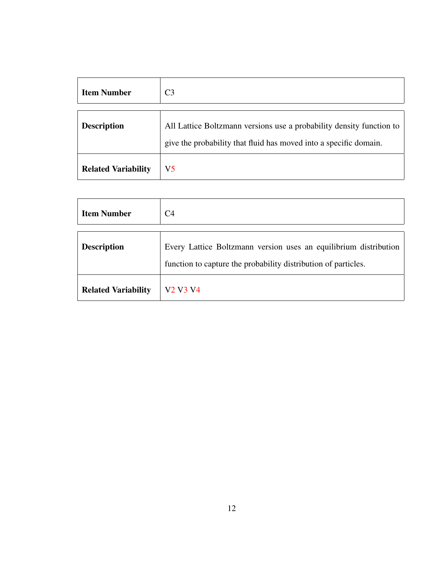<span id="page-21-1"></span>

| <b>Item Number</b>         | C <sub>3</sub>                                                                                                                            |
|----------------------------|-------------------------------------------------------------------------------------------------------------------------------------------|
| <b>Description</b>         | All Lattice Boltzmann versions use a probability density function to<br>give the probability that fluid has moved into a specific domain. |
| <b>Related Variability</b> | V5                                                                                                                                        |

<span id="page-21-0"></span>

| <b>Item Number</b>         | C <sub>4</sub>                                                   |
|----------------------------|------------------------------------------------------------------|
|                            |                                                                  |
| <b>Description</b>         | Every Lattice Boltzmann version uses an equilibrium distribution |
|                            | function to capture the probability distribution of particles.   |
| <b>Related Variability</b> | V <sub>2</sub> V <sub>3</sub> V <sub>4</sub>                     |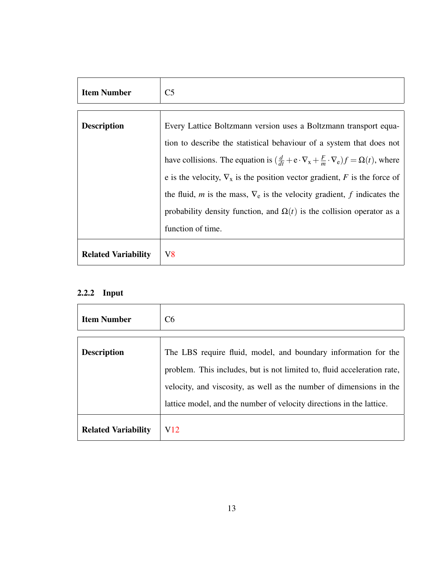<span id="page-22-1"></span>

| <b>Item Number</b>         | C <sub>5</sub>                                                                                                              |
|----------------------------|-----------------------------------------------------------------------------------------------------------------------------|
|                            |                                                                                                                             |
| <b>Description</b>         | Every Lattice Boltzmann version uses a Boltzmann transport equa-                                                            |
|                            | tion to describe the statistical behaviour of a system that does not                                                        |
|                            | have collisions. The equation is $(\frac{d}{dt} + e \cdot \nabla_{x} + \frac{F}{m} \cdot \nabla_{e}) f = \Omega(t)$ , where |
|                            | e is the velocity, $\nabla_x$ is the position vector gradient, F is the force of                                            |
|                            | the fluid, <i>m</i> is the mass, $\nabla_e$ is the velocity gradient, <i>f</i> indicates the                                |
|                            | probability density function, and $\Omega(t)$ is the collision operator as a                                                |
|                            | function of time.                                                                                                           |
| <b>Related Variability</b> | V8                                                                                                                          |

# <span id="page-22-0"></span>2.2.2 Input

<span id="page-22-2"></span>

| <b>Item Number</b>         | C6                                                                                                                                                                                                                                                                                       |
|----------------------------|------------------------------------------------------------------------------------------------------------------------------------------------------------------------------------------------------------------------------------------------------------------------------------------|
| <b>Description</b>         | The LBS require fluid, model, and boundary information for the<br>problem. This includes, but is not limited to, fluid acceleration rate,<br>velocity, and viscosity, as well as the number of dimensions in the<br>lattice model, and the number of velocity directions in the lattice. |
| <b>Related Variability</b> | V <sub>12</sub>                                                                                                                                                                                                                                                                          |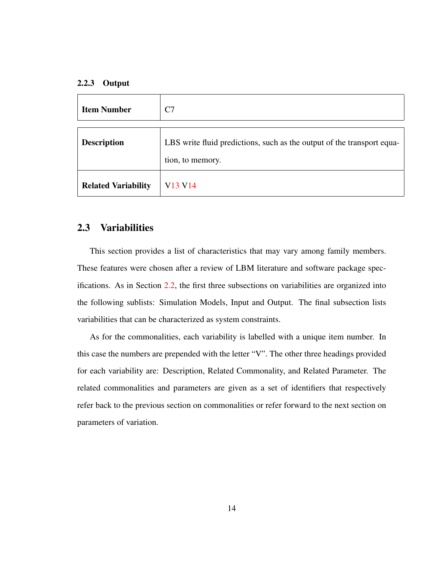#### <span id="page-23-0"></span>2.2.3 Output

<span id="page-23-2"></span>

| <b>Item Number</b>         | C7                                                                                         |
|----------------------------|--------------------------------------------------------------------------------------------|
|                            |                                                                                            |
| <b>Description</b>         | LBS write fluid predictions, such as the output of the transport equa-<br>tion, to memory. |
| <b>Related Variability</b> | V <sub>13</sub> V <sub>14</sub>                                                            |

#### <span id="page-23-1"></span>2.3 Variabilities

This section provides a list of characteristics that may vary among family members. These features were chosen after a review of LBM literature and software package specifications. As in Section [2.2,](#page-19-0) the first three subsections on variabilities are organized into the following sublists: Simulation Models, Input and Output. The final subsection lists variabilities that can be characterized as system constraints.

As for the commonalities, each variability is labelled with a unique item number. In this case the numbers are prepended with the letter "V". The other three headings provided for each variability are: Description, Related Commonality, and Related Parameter. The related commonalities and parameters are given as a set of identifiers that respectively refer back to the previous section on commonalities or refer forward to the next section on parameters of variation.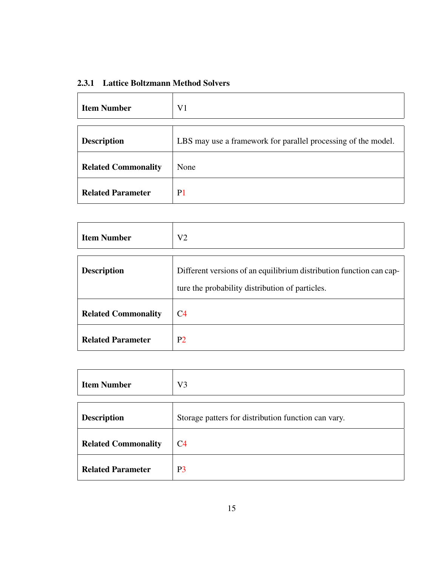## <span id="page-24-0"></span>2.3.1 Lattice Boltzmann Method Solvers

<span id="page-24-3"></span>

| <b>Item Number</b>         | V1                                                            |
|----------------------------|---------------------------------------------------------------|
| <b>Description</b>         | LBS may use a framework for parallel processing of the model. |
| <b>Related Commonality</b> | None                                                          |
| <b>Related Parameter</b>   | P <sub>1</sub>                                                |

<span id="page-24-1"></span>

| <b>Item Number</b>         | V <sub>2</sub>                                                      |
|----------------------------|---------------------------------------------------------------------|
|                            |                                                                     |
| <b>Description</b>         | Different versions of an equilibrium distribution function can cap- |
|                            | ture the probability distribution of particles.                     |
|                            |                                                                     |
| <b>Related Commonality</b> | C4                                                                  |
| <b>Related Parameter</b>   | P <sub>2</sub>                                                      |

<span id="page-24-2"></span>

| <b>Item Number</b>         | V <sub>3</sub>                                      |
|----------------------------|-----------------------------------------------------|
| <b>Description</b>         | Storage patters for distribution function can vary. |
| <b>Related Commonality</b> | C <sub>4</sub>                                      |
| <b>Related Parameter</b>   | P <sub>3</sub>                                      |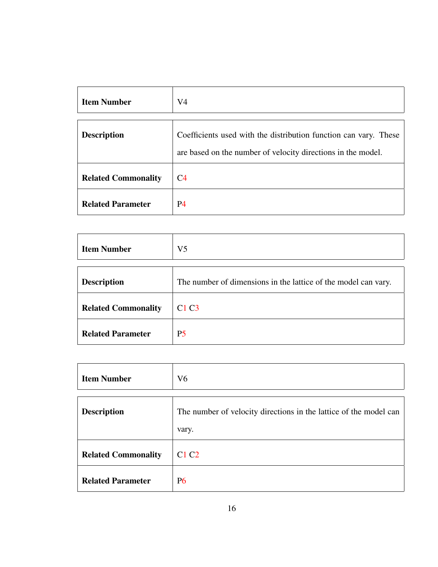<span id="page-25-2"></span>

| <b>Item Number</b>         | V <sub>4</sub>                                                                                                                   |
|----------------------------|----------------------------------------------------------------------------------------------------------------------------------|
| <b>Description</b>         | Coefficients used with the distribution function can vary. These<br>are based on the number of velocity directions in the model. |
| <b>Related Commonality</b> | C <sub>4</sub>                                                                                                                   |
| <b>Related Parameter</b>   | P <sub>4</sub>                                                                                                                   |

<span id="page-25-1"></span>

| <b>Item Number</b>         | V <sub>5</sub>                                                 |
|----------------------------|----------------------------------------------------------------|
| <b>Description</b>         | The number of dimensions in the lattice of the model can vary. |
| <b>Related Commonality</b> | C1C3                                                           |
| <b>Related Parameter</b>   | P <sub>5</sub>                                                 |

<span id="page-25-0"></span>

| <b>Item Number</b>         | V <sub>6</sub>                                                             |
|----------------------------|----------------------------------------------------------------------------|
| <b>Description</b>         | The number of velocity directions in the lattice of the model can<br>vary. |
| <b>Related Commonality</b> | C <sub>1</sub> C <sub>2</sub>                                              |
| <b>Related Parameter</b>   | <b>P6</b>                                                                  |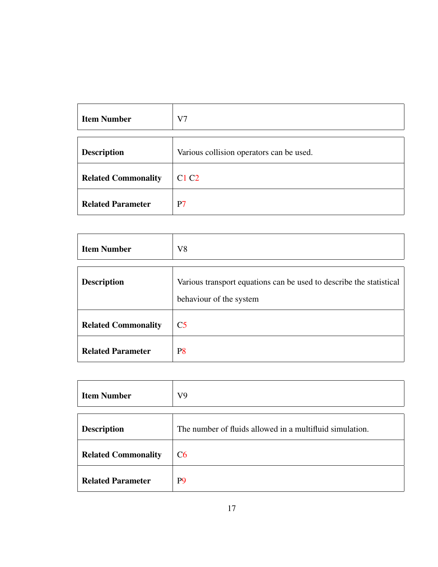<span id="page-26-0"></span>

| <b>Item Number</b>         | V7                                       |
|----------------------------|------------------------------------------|
|                            |                                          |
| <b>Description</b>         | Various collision operators can be used. |
| <b>Related Commonality</b> | C1 C2                                    |
| <b>Related Parameter</b>   | P7                                       |

<span id="page-26-1"></span>

| <b>Item Number</b>         | V <sub>8</sub>                                                                                 |
|----------------------------|------------------------------------------------------------------------------------------------|
| <b>Description</b>         | Various transport equations can be used to describe the statistical<br>behaviour of the system |
| <b>Related Commonality</b> | C <sub>5</sub>                                                                                 |
| <b>Related Parameter</b>   | P <sub>8</sub>                                                                                 |

<span id="page-26-2"></span>

| <b>Item Number</b>         | V <sub>9</sub>                                           |
|----------------------------|----------------------------------------------------------|
|                            |                                                          |
| <b>Description</b>         | The number of fluids allowed in a multifluid simulation. |
| <b>Related Commonality</b> | C6                                                       |
| <b>Related Parameter</b>   | P <sub>9</sub>                                           |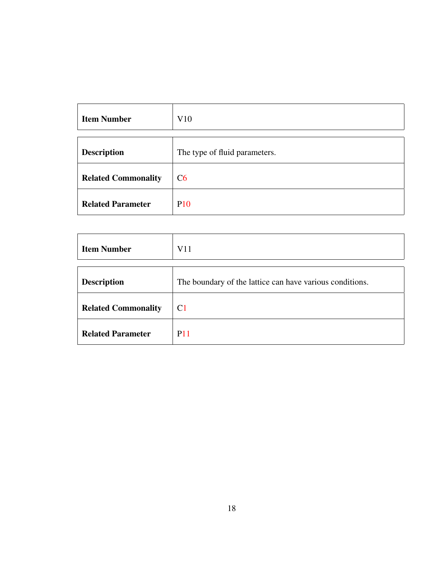| <b>Item Number</b>         | V10                           |
|----------------------------|-------------------------------|
| <b>Description</b>         | The type of fluid parameters. |
| <b>Related Commonality</b> | C6                            |
| <b>Related Parameter</b>   | <b>P10</b>                    |

<span id="page-27-0"></span>

| <b>Item Number</b>         | V11                                                      |
|----------------------------|----------------------------------------------------------|
| <b>Description</b>         | The boundary of the lattice can have various conditions. |
| <b>Related Commonality</b> | C <sub>1</sub>                                           |
| <b>Related Parameter</b>   | <b>P11</b>                                               |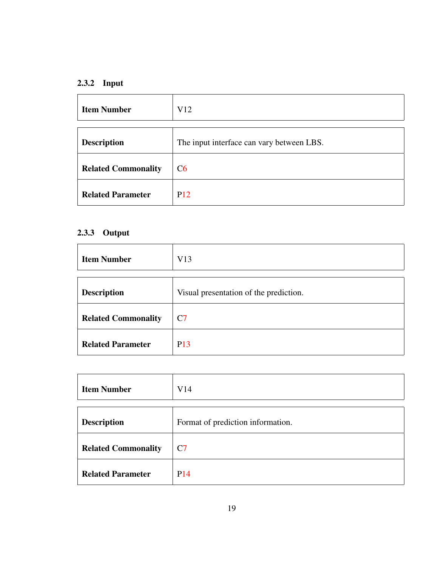## <span id="page-28-0"></span>2.3.2 Input

<span id="page-28-2"></span>

| <b>Item Number</b>         | V12                                       |
|----------------------------|-------------------------------------------|
| <b>Description</b>         | The input interface can vary between LBS. |
| <b>Related Commonality</b> | C6                                        |
| <b>Related Parameter</b>   | P <sub>12</sub>                           |

# <span id="page-28-1"></span>2.3.3 Output

<span id="page-28-3"></span>

| <b>Item Number</b>         | V13                                    |
|----------------------------|----------------------------------------|
|                            |                                        |
| <b>Description</b>         | Visual presentation of the prediction. |
| <b>Related Commonality</b> | C <sub>7</sub>                         |
| <b>Related Parameter</b>   | P <sub>13</sub>                        |

<span id="page-28-4"></span>

| <b>Item Number</b>         | V14                               |
|----------------------------|-----------------------------------|
|                            |                                   |
| <b>Description</b>         | Format of prediction information. |
| <b>Related Commonality</b> | C7                                |
| <b>Related Parameter</b>   | P <sub>14</sub>                   |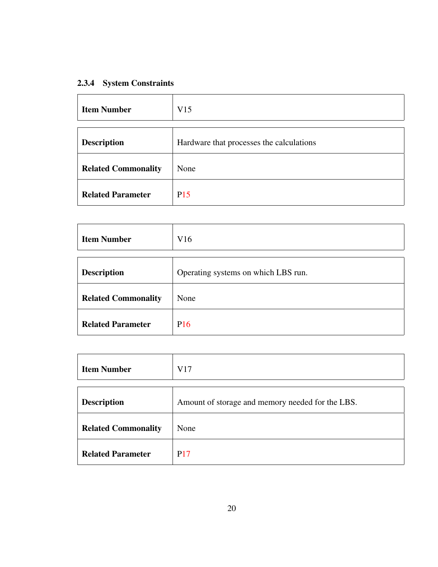## <span id="page-29-0"></span>2.3.4 System Constraints

| <b>Item Number</b>         | V15                                      |
|----------------------------|------------------------------------------|
| <b>Description</b>         | Hardware that processes the calculations |
| <b>Related Commonality</b> | None                                     |
| <b>Related Parameter</b>   | P <sub>15</sub>                          |

| <b>Item Number</b>         | V16                                 |
|----------------------------|-------------------------------------|
| <b>Description</b>         | Operating systems on which LBS run. |
| <b>Related Commonality</b> | None                                |
| <b>Related Parameter</b>   | P <sub>16</sub>                     |

| <b>Item Number</b>         | V17                                              |
|----------------------------|--------------------------------------------------|
| <b>Description</b>         | Amount of storage and memory needed for the LBS. |
| <b>Related Commonality</b> | None                                             |
| <b>Related Parameter</b>   | <b>P17</b>                                       |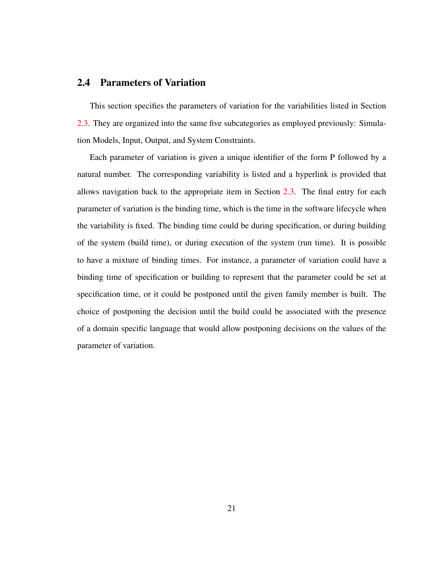#### <span id="page-30-0"></span>2.4 Parameters of Variation

This section specifies the parameters of variation for the variabilities listed in Section [2.3.](#page-23-1) They are organized into the same five subcategories as employed previously: Simulation Models, Input, Output, and System Constraints.

Each parameter of variation is given a unique identifier of the form P followed by a natural number. The corresponding variability is listed and a hyperlink is provided that allows navigation back to the appropriate item in Section [2.3.](#page-23-1) The final entry for each parameter of variation is the binding time, which is the time in the software lifecycle when the variability is fixed. The binding time could be during specification, or during building of the system (build time), or during execution of the system (run time). It is possible to have a mixture of binding times. For instance, a parameter of variation could have a binding time of specification or building to represent that the parameter could be set at specification time, or it could be postponed until the given family member is built. The choice of postponing the decision until the build could be associated with the presence of a domain specific language that would allow postponing decisions on the values of the parameter of variation.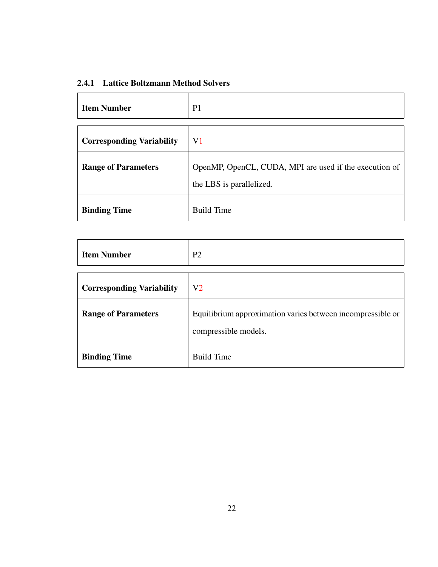## <span id="page-31-0"></span>2.4.1 Lattice Boltzmann Method Solvers

<span id="page-31-1"></span>

| <b>Item Number</b>               | P <sub>1</sub>                                                                     |
|----------------------------------|------------------------------------------------------------------------------------|
| <b>Corresponding Variability</b> | V <sub>1</sub>                                                                     |
| <b>Range of Parameters</b>       | OpenMP, OpenCL, CUDA, MPI are used if the execution of<br>the LBS is parallelized. |
| <b>Binding Time</b>              | <b>Build Time</b>                                                                  |

<span id="page-31-2"></span>

| <b>Item Number</b>               | P <sub>2</sub>                                                                     |
|----------------------------------|------------------------------------------------------------------------------------|
|                                  |                                                                                    |
| <b>Corresponding Variability</b> | V <sub>2</sub>                                                                     |
| <b>Range of Parameters</b>       | Equilibrium approximation varies between incompressible or<br>compressible models. |
| <b>Binding Time</b>              | <b>Build Time</b>                                                                  |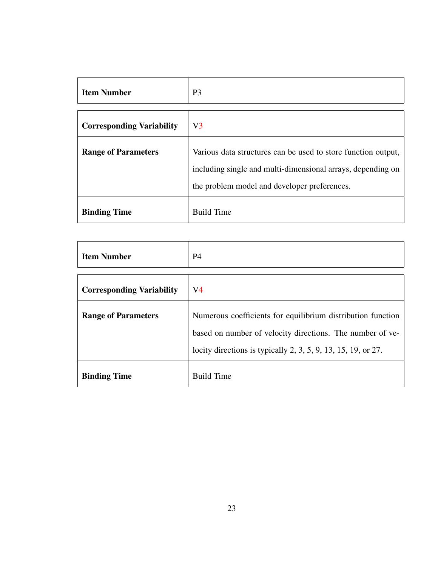<span id="page-32-0"></span>

| <b>Item Number</b>               | P <sub>3</sub>                                                                                              |
|----------------------------------|-------------------------------------------------------------------------------------------------------------|
|                                  |                                                                                                             |
| <b>Corresponding Variability</b> | V <sub>3</sub>                                                                                              |
| <b>Range of Parameters</b>       | Various data structures can be used to store function output,                                               |
|                                  | including single and multi-dimensional arrays, depending on<br>the problem model and developer preferences. |
| <b>Binding Time</b>              | <b>Build Time</b>                                                                                           |

<span id="page-32-1"></span>

| <b>Item Number</b>               | <b>P4</b>                                                                                                                                                                                      |
|----------------------------------|------------------------------------------------------------------------------------------------------------------------------------------------------------------------------------------------|
| <b>Corresponding Variability</b> | V <sub>4</sub>                                                                                                                                                                                 |
| <b>Range of Parameters</b>       | Numerous coefficients for equilibrium distribution function<br>based on number of velocity directions. The number of ve-<br>locity directions is typically $2, 3, 5, 9, 13, 15, 19,$ or $27$ . |
| <b>Binding Time</b>              | <b>Build Time</b>                                                                                                                                                                              |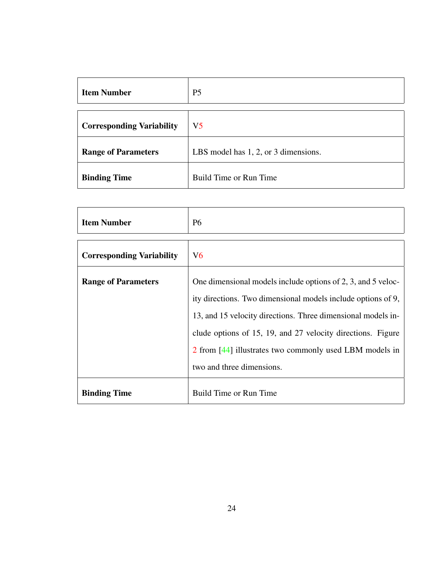<span id="page-33-0"></span>

| <b>Item Number</b>               | P <sub>5</sub>                       |
|----------------------------------|--------------------------------------|
|                                  |                                      |
| <b>Corresponding Variability</b> | V <sub>5</sub>                       |
| <b>Range of Parameters</b>       | LBS model has 1, 2, or 3 dimensions. |
| <b>Binding Time</b>              | Build Time or Run Time               |

<span id="page-33-1"></span>

| <b>Item Number</b>               | <b>P6</b>                                                                                                                    |
|----------------------------------|------------------------------------------------------------------------------------------------------------------------------|
| <b>Corresponding Variability</b> | V6                                                                                                                           |
| <b>Range of Parameters</b>       | One dimensional models include options of 2, 3, and 5 veloc-<br>ity directions. Two dimensional models include options of 9, |
|                                  | 13, and 15 velocity directions. Three dimensional models in-                                                                 |
|                                  | clude options of 15, 19, and 27 velocity directions. Figure<br>2 from [44] illustrates two commonly used LBM models in       |
|                                  | two and three dimensions.                                                                                                    |
| <b>Binding Time</b>              | Build Time or Run Time                                                                                                       |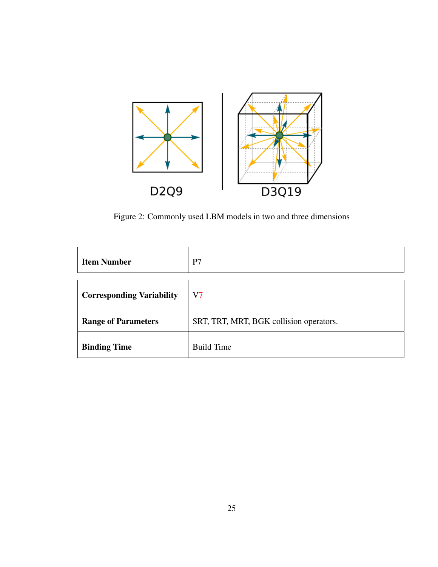<span id="page-34-0"></span>

Figure 2: Commonly used LBM models in two and three dimensions

<span id="page-34-1"></span>

| <b>Item Number</b>               | P7                                      |
|----------------------------------|-----------------------------------------|
|                                  |                                         |
| <b>Corresponding Variability</b> | V7                                      |
| <b>Range of Parameters</b>       | SRT, TRT, MRT, BGK collision operators. |
| <b>Binding Time</b>              | <b>Build Time</b>                       |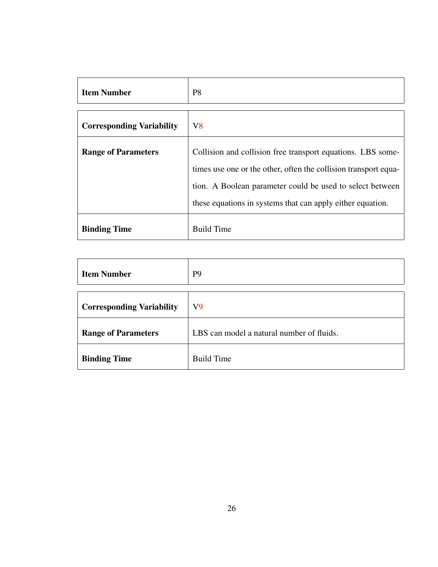<span id="page-35-0"></span>

| <b>Item Number</b>               | P8                                                                                                                                                                                                                                                        |
|----------------------------------|-----------------------------------------------------------------------------------------------------------------------------------------------------------------------------------------------------------------------------------------------------------|
| <b>Corresponding Variability</b> | V <sub>8</sub>                                                                                                                                                                                                                                            |
| <b>Range of Parameters</b>       | Collision and collision free transport equations. LBS some-<br>times use one or the other, often the collision transport equa-<br>tion. A Boolean parameter could be used to select between<br>these equations in systems that can apply either equation. |
| <b>Binding Time</b>              | <b>Build Time</b>                                                                                                                                                                                                                                         |

<span id="page-35-1"></span>

| <b>Item Number</b>               | P <sub>9</sub>                            |
|----------------------------------|-------------------------------------------|
| <b>Corresponding Variability</b> | V <sub>9</sub>                            |
| <b>Range of Parameters</b>       | LBS can model a natural number of fluids. |
| <b>Binding Time</b>              | <b>Build Time</b>                         |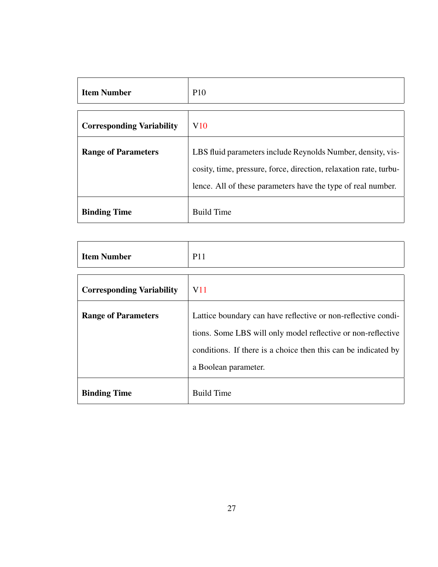| <b>Item Number</b>               | <b>P10</b>                                                                                                                                                                                       |
|----------------------------------|--------------------------------------------------------------------------------------------------------------------------------------------------------------------------------------------------|
|                                  |                                                                                                                                                                                                  |
| <b>Corresponding Variability</b> | V10                                                                                                                                                                                              |
| <b>Range of Parameters</b>       | LBS fluid parameters include Reynolds Number, density, vis-<br>cosity, time, pressure, force, direction, relaxation rate, turbu-<br>lence. All of these parameters have the type of real number. |
| <b>Binding Time</b>              | <b>Build Time</b>                                                                                                                                                                                |

| <b>Item Number</b>               | <b>P11</b>                                                     |  |  |  |
|----------------------------------|----------------------------------------------------------------|--|--|--|
|                                  |                                                                |  |  |  |
| <b>Corresponding Variability</b> | V <sub>11</sub>                                                |  |  |  |
| <b>Range of Parameters</b>       | Lattice boundary can have reflective or non-reflective condi-  |  |  |  |
|                                  | tions. Some LBS will only model reflective or non-reflective   |  |  |  |
|                                  | conditions. If there is a choice then this can be indicated by |  |  |  |
|                                  | a Boolean parameter.                                           |  |  |  |
| <b>Binding Time</b>              | <b>Build Time</b>                                              |  |  |  |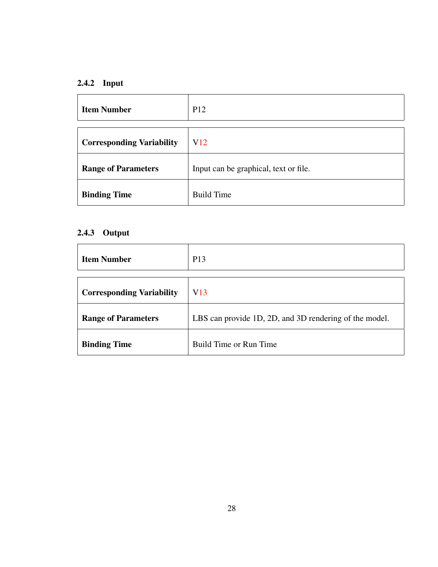# 2.4.2 Input

| <b>Item Number</b>               | P <sub>12</sub>                       |
|----------------------------------|---------------------------------------|
| <b>Corresponding Variability</b> | V <sub>12</sub>                       |
| <b>Range of Parameters</b>       | Input can be graphical, text or file. |
| <b>Binding Time</b>              | <b>Build Time</b>                     |

# 2.4.3 Output

| <b>Item Number</b>               | P <sub>13</sub>                                        |
|----------------------------------|--------------------------------------------------------|
| <b>Corresponding Variability</b> | V13                                                    |
| <b>Range of Parameters</b>       | LBS can provide 1D, 2D, and 3D rendering of the model. |
| <b>Binding Time</b>              | Build Time or Run Time                                 |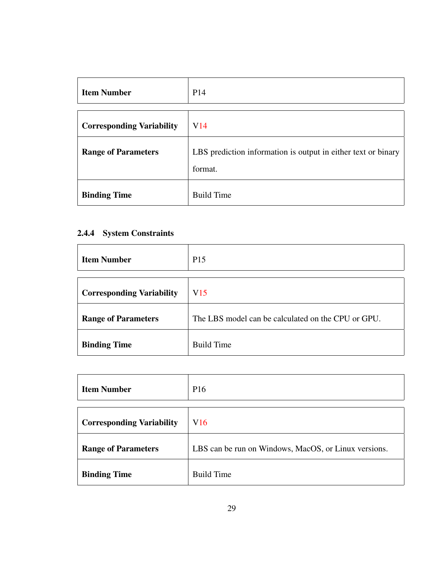| <b>Item Number</b>               | P14                                                                      |
|----------------------------------|--------------------------------------------------------------------------|
|                                  |                                                                          |
| <b>Corresponding Variability</b> | V <sub>14</sub>                                                          |
| <b>Range of Parameters</b>       | LBS prediction information is output in either text or binary<br>format. |
| <b>Binding Time</b>              | <b>Build Time</b>                                                        |

# 2.4.4 System Constraints

| <b>Item Number</b>               | P <sub>15</sub>                                    |
|----------------------------------|----------------------------------------------------|
|                                  |                                                    |
| <b>Corresponding Variability</b> | V15                                                |
| <b>Range of Parameters</b>       | The LBS model can be calculated on the CPU or GPU. |
| <b>Binding Time</b>              | <b>Build Time</b>                                  |

| <b>Item Number</b>               | P <sub>16</sub>                                      |
|----------------------------------|------------------------------------------------------|
|                                  |                                                      |
| <b>Corresponding Variability</b> | V16                                                  |
| <b>Range of Parameters</b>       | LBS can be run on Windows, MacOS, or Linux versions. |
| <b>Binding Time</b>              | <b>Build Time</b>                                    |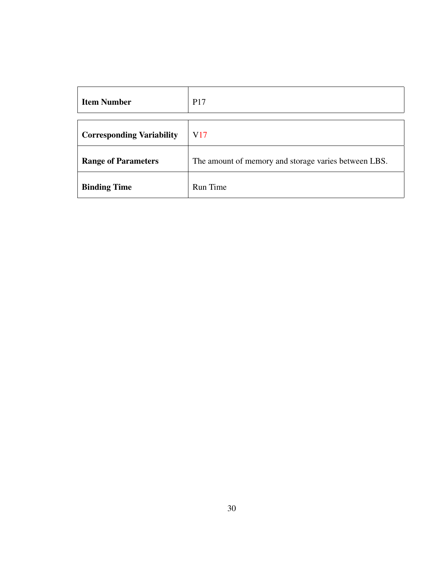| <b>Item Number</b>               | P <sub>17</sub>                                      |
|----------------------------------|------------------------------------------------------|
|                                  |                                                      |
| <b>Corresponding Variability</b> | V17                                                  |
| <b>Range of Parameters</b>       | The amount of memory and storage varies between LBS. |
| <b>Binding Time</b>              | Run Time                                             |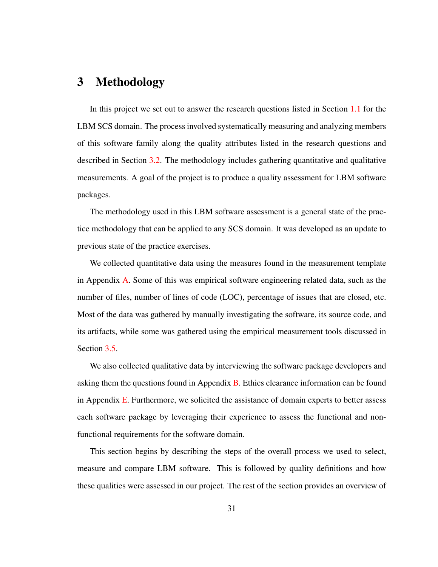# 3 Methodology

In this project we set out to answer the research questions listed in Section [1.1](#page-11-0) for the LBM SCS domain. The process involved systematically measuring and analyzing members of this software family along the quality attributes listed in the research questions and described in Section [3.2.](#page-42-0) The methodology includes gathering quantitative and qualitative measurements. A goal of the project is to produce a quality assessment for LBM software packages.

The methodology used in this LBM software assessment is a general state of the practice methodology that can be applied to any SCS domain. It was developed as an update to previous state of the practice exercises.

We collected quantitative data using the measures found in the measurement template in Appendix [A.](#page-119-0) Some of this was empirical software engineering related data, such as the number of files, number of lines of code (LOC), percentage of issues that are closed, etc. Most of the data was gathered by manually investigating the software, its source code, and its artifacts, while some was gathered using the empirical measurement tools discussed in Section [3.5.](#page-51-0)

We also collected qualitative data by interviewing the software package developers and asking them the questions found in Appendix  $\overline{B}$ . Ethics clearance information can be found in Appendix  $E$ . Furthermore, we solicited the assistance of domain experts to better assess each software package by leveraging their experience to assess the functional and nonfunctional requirements for the software domain.

This section begins by describing the steps of the overall process we used to select, measure and compare LBM software. This is followed by quality definitions and how these qualities were assessed in our project. The rest of the section provides an overview of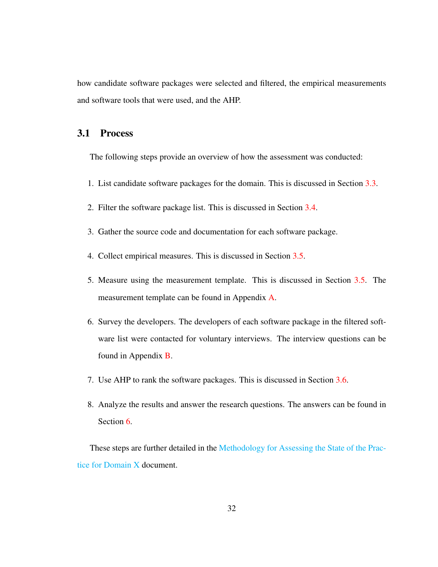how candidate software packages were selected and filtered, the empirical measurements and software tools that were used, and the AHP.

## 3.1 Process

The following steps provide an overview of how the assessment was conducted:

- 1. List candidate software packages for the domain. This is discussed in Section [3.3.](#page-47-0)
- 2. Filter the software package list. This is discussed in Section [3.4.](#page-48-0)
- 3. Gather the source code and documentation for each software package.
- 4. Collect empirical measures. This is discussed in Section [3.5.](#page-51-0)
- 5. Measure using the measurement template. This is discussed in Section [3.5.](#page-51-0) The measurement template can be found in Appendix [A.](#page-119-0)
- 6. Survey the developers. The developers of each software package in the filtered software list were contacted for voluntary interviews. The interview questions can be found in Appendix [B.](#page-127-0)
- 7. Use AHP to rank the software packages. This is discussed in Section [3.6.](#page-52-0)
- 8. Analyze the results and answer the research questions. The answers can be found in Section [6.](#page-84-0)

These steps are further detailed in the [Methodology for Assessing the State of the Prac](https://github.com/smiths/AIMSS/blob/master/StateOfPractice/Methodology/Methodology.pdf)[tice for Domain X](https://github.com/smiths/AIMSS/blob/master/StateOfPractice/Methodology/Methodology.pdf) document.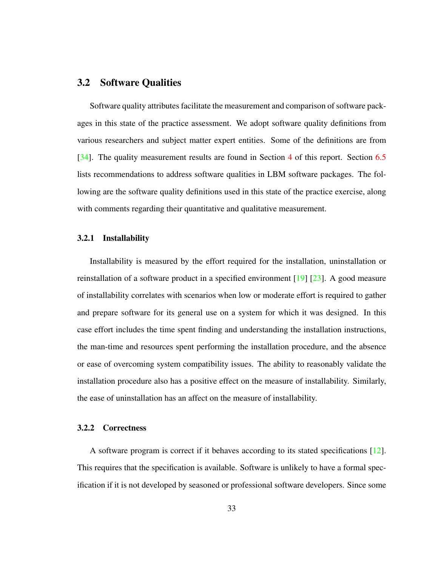## <span id="page-42-0"></span>3.2 Software Qualities

Software quality attributes facilitate the measurement and comparison of software packages in this state of the practice assessment. We adopt software quality definitions from various researchers and subject matter expert entities. Some of the definitions are from [\[34\]](#page-137-0). The quality measurement results are found in Section [4](#page-53-0) of this report. Section [6.5](#page-98-0) lists recommendations to address software qualities in LBM software packages. The following are the software quality definitions used in this state of the practice exercise, along with comments regarding their quantitative and qualitative measurement.

#### 3.2.1 Installability

Installability is measured by the effort required for the installation, uninstallation or reinstallation of a software product in a specified environment  $[19]$   $[23]$ . A good measure of installability correlates with scenarios when low or moderate effort is required to gather and prepare software for its general use on a system for which it was designed. In this case effort includes the time spent finding and understanding the installation instructions, the man-time and resources spent performing the installation procedure, and the absence or ease of overcoming system compatibility issues. The ability to reasonably validate the installation procedure also has a positive effect on the measure of installability. Similarly, the ease of uninstallation has an affect on the measure of installability.

#### 3.2.2 Correctness

A software program is correct if it behaves according to its stated specifications [\[12\]](#page-136-2). This requires that the specification is available. Software is unlikely to have a formal specification if it is not developed by seasoned or professional software developers. Since some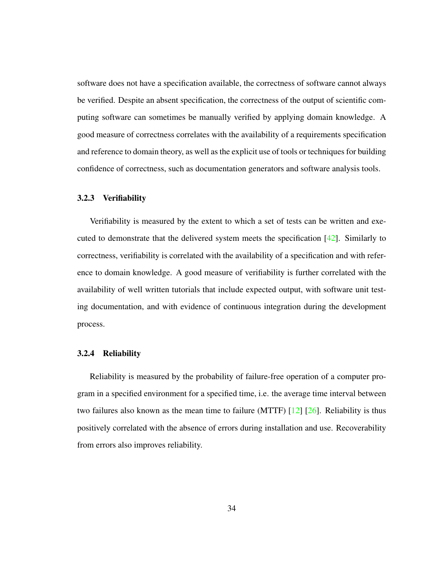software does not have a specification available, the correctness of software cannot always be verified. Despite an absent specification, the correctness of the output of scientific computing software can sometimes be manually verified by applying domain knowledge. A good measure of correctness correlates with the availability of a requirements specification and reference to domain theory, as well as the explicit use of tools or techniques for building confidence of correctness, such as documentation generators and software analysis tools.

#### 3.2.3 Verifiability

Verifiability is measured by the extent to which a set of tests can be written and executed to demonstrate that the delivered system meets the specification  $[42]$ . Similarly to correctness, verifiability is correlated with the availability of a specification and with reference to domain knowledge. A good measure of verifiability is further correlated with the availability of well written tutorials that include expected output, with software unit testing documentation, and with evidence of continuous integration during the development process.

### 3.2.4 Reliability

Reliability is measured by the probability of failure-free operation of a computer program in a specified environment for a specified time, i.e. the average time interval between two failures also known as the mean time to failure (MTTF)  $[12]$   $[26]$ . Reliability is thus positively correlated with the absence of errors during installation and use. Recoverability from errors also improves reliability.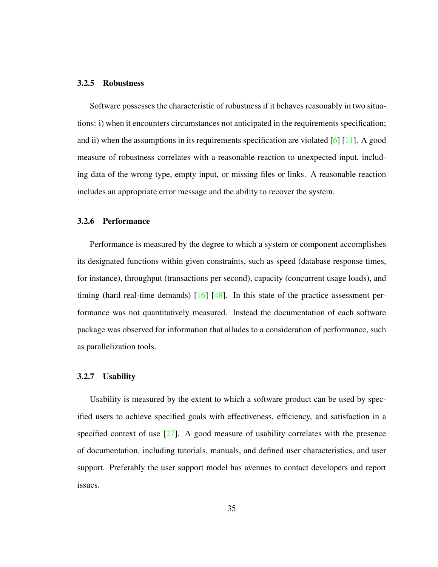#### 3.2.5 Robustness

Software possesses the characteristic of robustness if it behaves reasonably in two situations: i) when it encounters circumstances not anticipated in the requirements specification; and ii) when the assumptions in its requirements specification are violated  $[6]$  [\[11\]](#page-135-1). A good measure of robustness correlates with a reasonable reaction to unexpected input, including data of the wrong type, empty input, or missing files or links. A reasonable reaction includes an appropriate error message and the ability to recover the system.

#### 3.2.6 Performance

Performance is measured by the degree to which a system or component accomplishes its designated functions within given constraints, such as speed (database response times, for instance), throughput (transactions per second), capacity (concurrent usage loads), and timing (hard real-time demands) [\[16\]](#page-136-3) [\[48\]](#page-138-1). In this state of the practice assessment performance was not quantitatively measured. Instead the documentation of each software package was observed for information that alludes to a consideration of performance, such as parallelization tools.

#### 3.2.7 Usability

Usability is measured by the extent to which a software product can be used by specified users to achieve specified goals with effectiveness, efficiency, and satisfaction in a specified context of use  $[27]$ . A good measure of usability correlates with the presence of documentation, including tutorials, manuals, and defined user characteristics, and user support. Preferably the user support model has avenues to contact developers and report issues.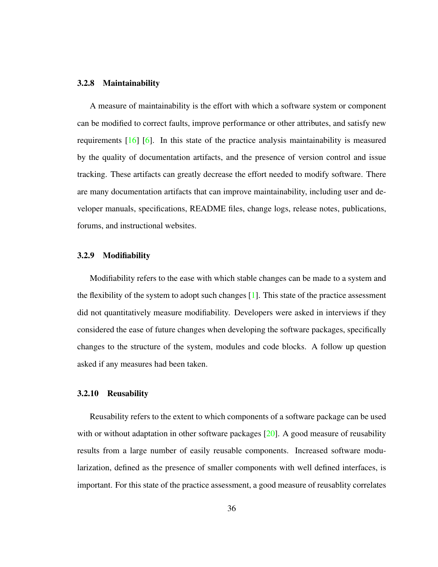#### 3.2.8 Maintainability

A measure of maintainability is the effort with which a software system or component can be modified to correct faults, improve performance or other attributes, and satisfy new requirements  $[16]$  [\[6\]](#page-135-0). In this state of the practice analysis maintainability is measured by the quality of documentation artifacts, and the presence of version control and issue tracking. These artifacts can greatly decrease the effort needed to modify software. There are many documentation artifacts that can improve maintainability, including user and developer manuals, specifications, README files, change logs, release notes, publications, forums, and instructional websites.

### 3.2.9 Modifiability

Modifiability refers to the ease with which stable changes can be made to a system and the flexibility of the system to adopt such changes  $[1]$ . This state of the practice assessment did not quantitatively measure modifiability. Developers were asked in interviews if they considered the ease of future changes when developing the software packages, specifically changes to the structure of the system, modules and code blocks. A follow up question asked if any measures had been taken.

### 3.2.10 Reusability

Reusability refers to the extent to which components of a software package can be used with or without adaptation in other software packages  $[20]$ . A good measure of reusability results from a large number of easily reusable components. Increased software modularization, defined as the presence of smaller components with well defined interfaces, is important. For this state of the practice assessment, a good measure of reusablity correlates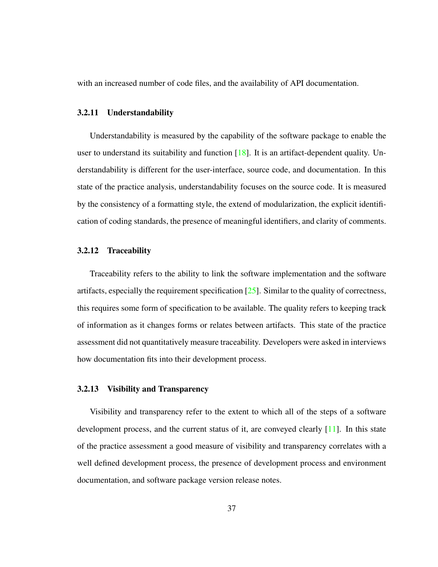with an increased number of code files, and the availability of API documentation.

#### 3.2.11 Understandability

Understandability is measured by the capability of the software package to enable the user to understand its suitability and function  $[18]$ . It is an artifact-dependent quality. Understandability is different for the user-interface, source code, and documentation. In this state of the practice analysis, understandability focuses on the source code. It is measured by the consistency of a formatting style, the extend of modularization, the explicit identification of coding standards, the presence of meaningful identifiers, and clarity of comments.

#### 3.2.12 Traceability

Traceability refers to the ability to link the software implementation and the software artifacts, especially the requirement specification  $[25]$ . Similar to the quality of correctness, this requires some form of specification to be available. The quality refers to keeping track of information as it changes forms or relates between artifacts. This state of the practice assessment did not quantitatively measure traceability. Developers were asked in interviews how documentation fits into their development process.

#### 3.2.13 Visibility and Transparency

Visibility and transparency refer to the extent to which all of the steps of a software development process, and the current status of it, are conveyed clearly [\[11\]](#page-135-1). In this state of the practice assessment a good measure of visibility and transparency correlates with a well defined development process, the presence of development process and environment documentation, and software package version release notes.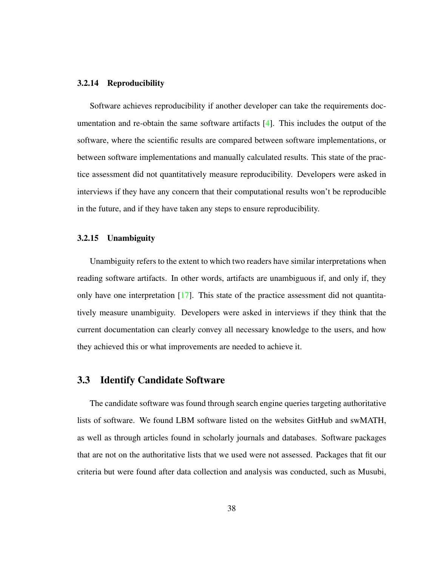#### 3.2.14 Reproducibility

Software achieves reproducibility if another developer can take the requirements documentation and re-obtain the same software artifacts  $[4]$ . This includes the output of the software, where the scientific results are compared between software implementations, or between software implementations and manually calculated results. This state of the practice assessment did not quantitatively measure reproducibility. Developers were asked in interviews if they have any concern that their computational results won't be reproducible in the future, and if they have taken any steps to ensure reproducibility.

#### 3.2.15 Unambiguity

Unambiguity refers to the extent to which two readers have similar interpretations when reading software artifacts. In other words, artifacts are unambiguous if, and only if, they only have one interpretation  $[17]$ . This state of the practice assessment did not quantitatively measure unambiguity. Developers were asked in interviews if they think that the current documentation can clearly convey all necessary knowledge to the users, and how they achieved this or what improvements are needed to achieve it.

## <span id="page-47-0"></span>3.3 Identify Candidate Software

The candidate software was found through search engine queries targeting authoritative lists of software. We found LBM software listed on the websites GitHub and swMATH, as well as through articles found in scholarly journals and databases. Software packages that are not on the authoritative lists that we used were not assessed. Packages that fit our criteria but were found after data collection and analysis was conducted, such as Musubi,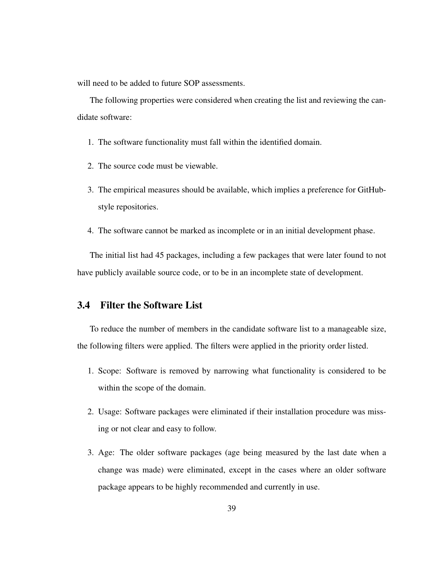will need to be added to future SOP assessments.

The following properties were considered when creating the list and reviewing the candidate software:

- 1. The software functionality must fall within the identified domain.
- 2. The source code must be viewable.
- 3. The empirical measures should be available, which implies a preference for GitHubstyle repositories.
- 4. The software cannot be marked as incomplete or in an initial development phase.

The initial list had 45 packages, including a few packages that were later found to not have publicly available source code, or to be in an incomplete state of development.

# <span id="page-48-0"></span>3.4 Filter the Software List

To reduce the number of members in the candidate software list to a manageable size, the following filters were applied. The filters were applied in the priority order listed.

- 1. Scope: Software is removed by narrowing what functionality is considered to be within the scope of the domain.
- 2. Usage: Software packages were eliminated if their installation procedure was missing or not clear and easy to follow.
- 3. Age: The older software packages (age being measured by the last date when a change was made) were eliminated, except in the cases where an older software package appears to be highly recommended and currently in use.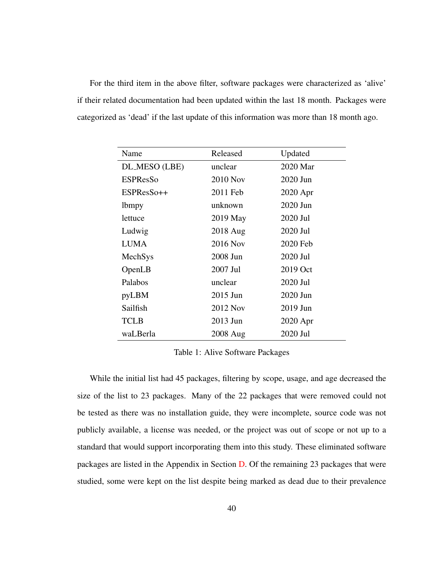For the third item in the above filter, software packages were characterized as 'alive' if their related documentation had been updated within the last 18 month. Packages were categorized as 'dead' if the last update of this information was more than 18 month ago.

| Name            | Released        | Updated  |
|-----------------|-----------------|----------|
| DL_MESO (LBE)   | unclear         | 2020 Mar |
| <b>ESPResSo</b> | <b>2010 Nov</b> | 2020 Jun |
| ESPResSo++      | 2011 Feb        | 2020 Apr |
| <i>lbmpy</i>    | unknown         | 2020 Jun |
| lettuce         | 2019 May        | 2020 Jul |
| Ludwig          | 2018 Aug        | 2020 Jul |
| <b>LUMA</b>     | 2016 Nov        | 2020 Feb |
| MechSys         | 2008 Jun        | 2020 Jul |
| OpenLB          | 2007 Jul        | 2019 Oct |
| Palabos         | unclear         | 2020 Jul |
| pyLBM           | 2015 Jun        | 2020 Jun |
| Sailfish        | 2012 Nov        | 2019 Jun |
| <b>TCLB</b>     | 2013 Jun        | 2020 Apr |
| waLBerla        | 2008 Aug        | 2020 Jul |

<span id="page-49-0"></span>Table 1: Alive Software Packages

While the initial list had 45 packages, filtering by scope, usage, and age decreased the size of the list to 23 packages. Many of the 22 packages that were removed could not be tested as there was no installation guide, they were incomplete, source code was not publicly available, a license was needed, or the project was out of scope or not up to a standard that would support incorporating them into this study. These eliminated software packages are listed in the Appendix in Section [D.](#page-133-0) Of the remaining 23 packages that were studied, some were kept on the list despite being marked as dead due to their prevalence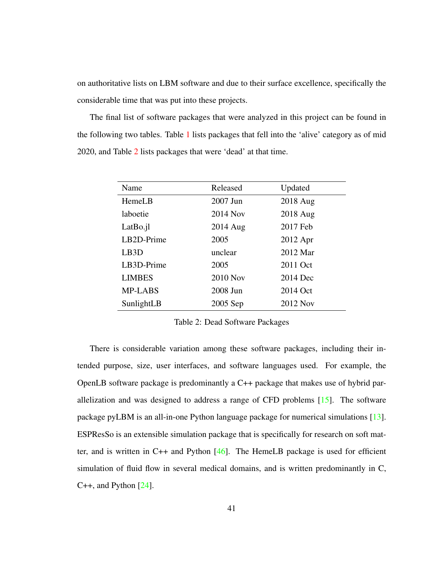on authoritative lists on LBM software and due to their surface excellence, specifically the considerable time that was put into these projects.

The final list of software packages that were analyzed in this project can be found in the following two tables. Table [1](#page-49-0) lists packages that fell into the 'alive' category as of mid 2020, and Table [2](#page-50-0) lists packages that were 'dead' at that time.

| Name              | Released        | Updated  |
|-------------------|-----------------|----------|
| HemeLB            | 2007 Jun        | 2018 Aug |
| laboetie          | 2014 Nov        | 2018 Aug |
| LatBo.jl          | 2014 Aug        | 2017 Feb |
| LB2D-Prime        | 2005            | 2012 Apr |
| LB <sub>3</sub> D | unclear         | 2012 Mar |
| LB3D-Prime        | 2005            | 2011 Oct |
| <b>LIMBES</b>     | <b>2010 Nov</b> | 2014 Dec |
| <b>MP-LABS</b>    | 2008 Jun        | 2014 Oct |
| SunlightLB        | 2005 Sep        | 2012 Nov |

<span id="page-50-0"></span>Table 2: Dead Software Packages

There is considerable variation among these software packages, including their intended purpose, size, user interfaces, and software languages used. For example, the OpenLB software package is predominantly a C++ package that makes use of hybrid parallelization and was designed to address a range of CFD problems  $[15]$ . The software package pyLBM is an all-in-one Python language package for numerical simulations [\[13\]](#page-136-8). ESPResSo is an extensible simulation package that is specifically for research on soft matter, and is written in  $C_{++}$  and Python [\[46\]](#page-138-2). The HemeLB package is used for efficient simulation of fluid flow in several medical domains, and is written predominantly in C,  $C_{++}$ , and Python  $[24]$ .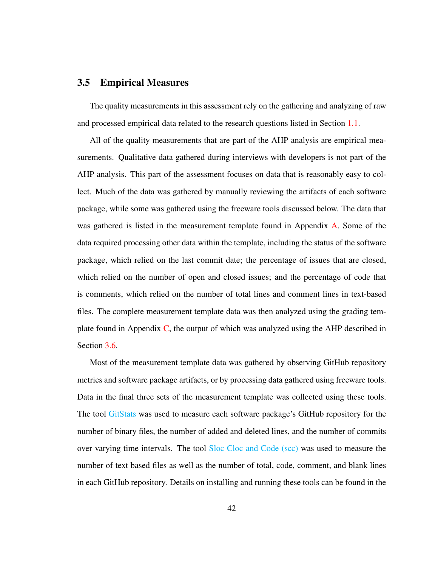## <span id="page-51-0"></span>3.5 Empirical Measures

The quality measurements in this assessment rely on the gathering and analyzing of raw and processed empirical data related to the research questions listed in Section [1.1.](#page-11-0)

All of the quality measurements that are part of the AHP analysis are empirical measurements. Qualitative data gathered during interviews with developers is not part of the AHP analysis. This part of the assessment focuses on data that is reasonably easy to collect. Much of the data was gathered by manually reviewing the artifacts of each software package, while some was gathered using the freeware tools discussed below. The data that was gathered is listed in the measurement template found in Appendix [A.](#page-119-0) Some of the data required processing other data within the template, including the status of the software package, which relied on the last commit date; the percentage of issues that are closed, which relied on the number of open and closed issues; and the percentage of code that is comments, which relied on the number of total lines and comment lines in text-based files. The complete measurement template data was then analyzed using the grading template found in Appendix [C,](#page-129-0) the output of which was analyzed using the AHP described in Section [3.6.](#page-52-0)

Most of the measurement template data was gathered by observing GitHub repository metrics and software package artifacts, or by processing data gathered using freeware tools. Data in the final three sets of the measurement template was collected using these tools. The tool [GitStats](https://github.com/tomgi/git_stats) was used to measure each software package's GitHub repository for the number of binary files, the number of added and deleted lines, and the number of commits over varying time intervals. The tool [Sloc Cloc and Code \(scc\)](https://github.com/boyter/scc) was used to measure the number of text based files as well as the number of total, code, comment, and blank lines in each GitHub repository. Details on installing and running these tools can be found in the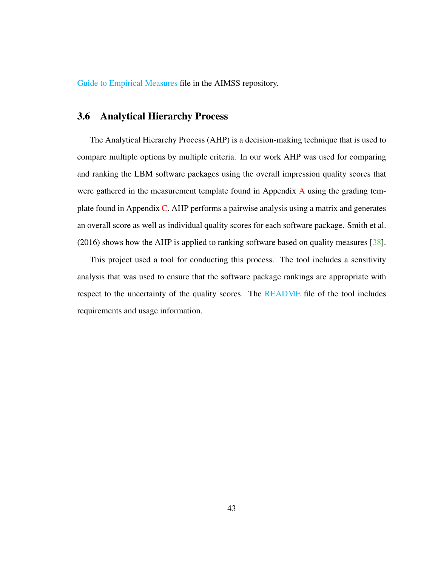[Guide to Empirical Measures](https://github.com/smiths/AIMSS/blob/master/StateOfPractice/Methodology/A Guide to Empirical Measures.pdf) file in the AIMSS repository.

# <span id="page-52-0"></span>3.6 Analytical Hierarchy Process

The Analytical Hierarchy Process (AHP) is a decision-making technique that is used to compare multiple options by multiple criteria. In our work AHP was used for comparing and ranking the LBM software packages using the overall impression quality scores that were gathered in the measurement template found in [A](#page-119-0)ppendix A using the grading template found in Appendix  $C$ . AHP performs a pairwise analysis using a matrix and generates an overall score as well as individual quality scores for each software package. Smith et al. (2016) shows how the AHP is applied to ranking software based on quality measures [\[38\]](#page-138-3).

This project used a tool for conducting this process. The tool includes a sensitivity analysis that was used to ensure that the software package rankings are appropriate with respect to the uncertainty of the quality scores. The [README](https://github.com/smiths/AIMSS/blob/master/StateOfPractice/AHP2020/LBM/README.txt) file of the tool includes requirements and usage information.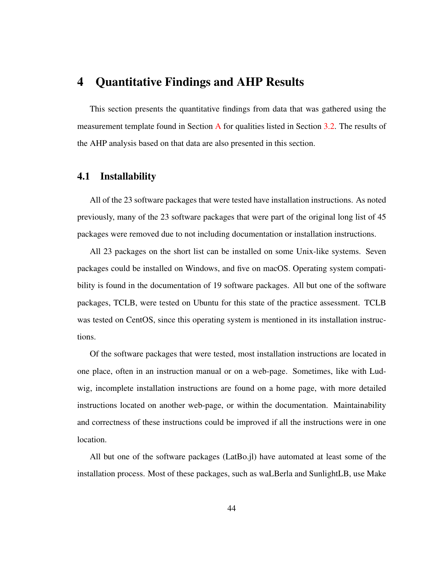# <span id="page-53-0"></span>4 Quantitative Findings and AHP Results

This section presents the quantitative findings from data that was gathered using the measurement template found in Section [A](#page-119-0) for qualities listed in Section [3.2.](#page-42-0) The results of the AHP analysis based on that data are also presented in this section.

## 4.1 Installability

All of the 23 software packages that were tested have installation instructions. As noted previously, many of the 23 software packages that were part of the original long list of 45 packages were removed due to not including documentation or installation instructions.

All 23 packages on the short list can be installed on some Unix-like systems. Seven packages could be installed on Windows, and five on macOS. Operating system compatibility is found in the documentation of 19 software packages. All but one of the software packages, TCLB, were tested on Ubuntu for this state of the practice assessment. TCLB was tested on CentOS, since this operating system is mentioned in its installation instructions.

Of the software packages that were tested, most installation instructions are located in one place, often in an instruction manual or on a web-page. Sometimes, like with Ludwig, incomplete installation instructions are found on a home page, with more detailed instructions located on another web-page, or within the documentation. Maintainability and correctness of these instructions could be improved if all the instructions were in one location.

All but one of the software packages (LatBo.jl) have automated at least some of the installation process. Most of these packages, such as waLBerla and SunlightLB, use Make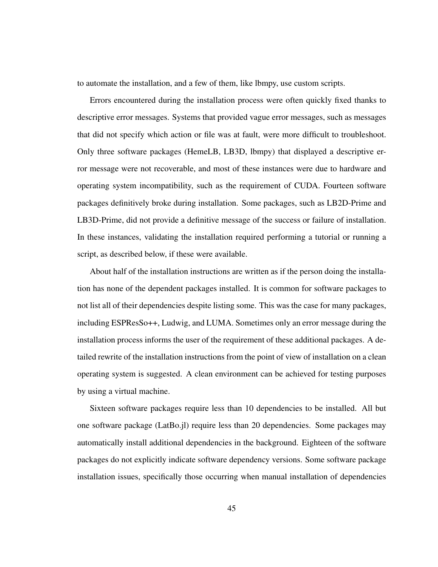to automate the installation, and a few of them, like lbmpy, use custom scripts.

Errors encountered during the installation process were often quickly fixed thanks to descriptive error messages. Systems that provided vague error messages, such as messages that did not specify which action or file was at fault, were more difficult to troubleshoot. Only three software packages (HemeLB, LB3D, lbmpy) that displayed a descriptive error message were not recoverable, and most of these instances were due to hardware and operating system incompatibility, such as the requirement of CUDA. Fourteen software packages definitively broke during installation. Some packages, such as LB2D-Prime and LB3D-Prime, did not provide a definitive message of the success or failure of installation. In these instances, validating the installation required performing a tutorial or running a script, as described below, if these were available.

About half of the installation instructions are written as if the person doing the installation has none of the dependent packages installed. It is common for software packages to not list all of their dependencies despite listing some. This was the case for many packages, including ESPResSo++, Ludwig, and LUMA. Sometimes only an error message during the installation process informs the user of the requirement of these additional packages. A detailed rewrite of the installation instructions from the point of view of installation on a clean operating system is suggested. A clean environment can be achieved for testing purposes by using a virtual machine.

Sixteen software packages require less than 10 dependencies to be installed. All but one software package (LatBo.jl) require less than 20 dependencies. Some packages may automatically install additional dependencies in the background. Eighteen of the software packages do not explicitly indicate software dependency versions. Some software package installation issues, specifically those occurring when manual installation of dependencies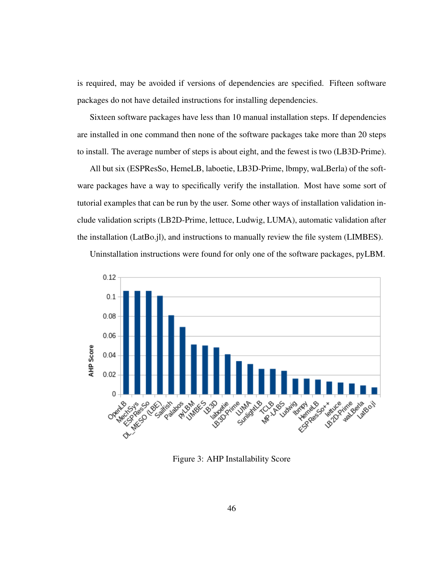is required, may be avoided if versions of dependencies are specified. Fifteen software packages do not have detailed instructions for installing dependencies.

Sixteen software packages have less than 10 manual installation steps. If dependencies are installed in one command then none of the software packages take more than 20 steps to install. The average number of steps is about eight, and the fewest is two (LB3D-Prime).

All but six (ESPResSo, HemeLB, laboetie, LB3D-Prime, lbmpy, waLBerla) of the software packages have a way to specifically verify the installation. Most have some sort of tutorial examples that can be run by the user. Some other ways of installation validation include validation scripts (LB2D-Prime, lettuce, Ludwig, LUMA), automatic validation after the installation (LatBo.jl), and instructions to manually review the file system (LIMBES).

<span id="page-55-0"></span>

Uninstallation instructions were found for only one of the software packages, pyLBM.

Figure 3: AHP Installability Score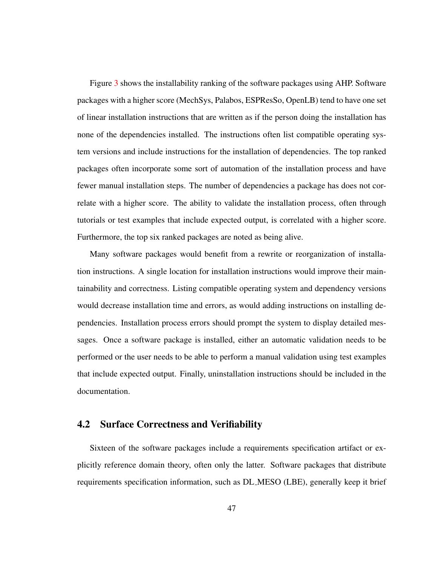Figure [3](#page-55-0) shows the installability ranking of the software packages using AHP. Software packages with a higher score (MechSys, Palabos, ESPResSo, OpenLB) tend to have one set of linear installation instructions that are written as if the person doing the installation has none of the dependencies installed. The instructions often list compatible operating system versions and include instructions for the installation of dependencies. The top ranked packages often incorporate some sort of automation of the installation process and have fewer manual installation steps. The number of dependencies a package has does not correlate with a higher score. The ability to validate the installation process, often through tutorials or test examples that include expected output, is correlated with a higher score. Furthermore, the top six ranked packages are noted as being alive.

Many software packages would benefit from a rewrite or reorganization of installation instructions. A single location for installation instructions would improve their maintainability and correctness. Listing compatible operating system and dependency versions would decrease installation time and errors, as would adding instructions on installing dependencies. Installation process errors should prompt the system to display detailed messages. Once a software package is installed, either an automatic validation needs to be performed or the user needs to be able to perform a manual validation using test examples that include expected output. Finally, uninstallation instructions should be included in the documentation.

## 4.2 Surface Correctness and Verifiability

Sixteen of the software packages include a requirements specification artifact or explicitly reference domain theory, often only the latter. Software packages that distribute requirements specification information, such as DL MESO (LBE), generally keep it brief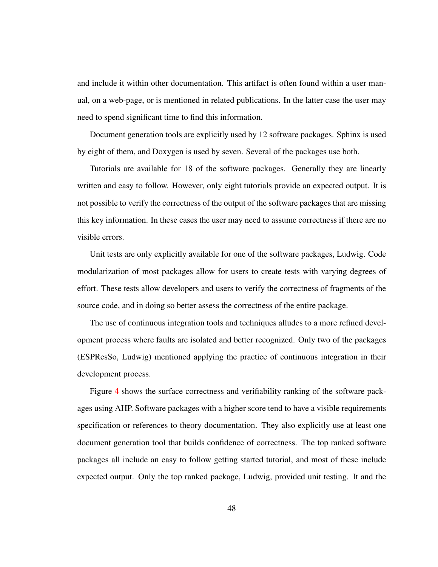and include it within other documentation. This artifact is often found within a user manual, on a web-page, or is mentioned in related publications. In the latter case the user may need to spend significant time to find this information.

Document generation tools are explicitly used by 12 software packages. Sphinx is used by eight of them, and Doxygen is used by seven. Several of the packages use both.

Tutorials are available for 18 of the software packages. Generally they are linearly written and easy to follow. However, only eight tutorials provide an expected output. It is not possible to verify the correctness of the output of the software packages that are missing this key information. In these cases the user may need to assume correctness if there are no visible errors.

Unit tests are only explicitly available for one of the software packages, Ludwig. Code modularization of most packages allow for users to create tests with varying degrees of effort. These tests allow developers and users to verify the correctness of fragments of the source code, and in doing so better assess the correctness of the entire package.

The use of continuous integration tools and techniques alludes to a more refined development process where faults are isolated and better recognized. Only two of the packages (ESPResSo, Ludwig) mentioned applying the practice of continuous integration in their development process.

Figure [4](#page-58-0) shows the surface correctness and verifiability ranking of the software packages using AHP. Software packages with a higher score tend to have a visible requirements specification or references to theory documentation. They also explicitly use at least one document generation tool that builds confidence of correctness. The top ranked software packages all include an easy to follow getting started tutorial, and most of these include expected output. Only the top ranked package, Ludwig, provided unit testing. It and the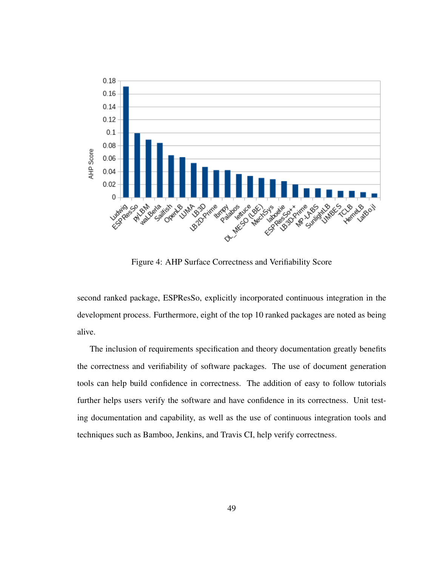<span id="page-58-0"></span>

Figure 4: AHP Surface Correctness and Verifiability Score

second ranked package, ESPResSo, explicitly incorporated continuous integration in the development process. Furthermore, eight of the top 10 ranked packages are noted as being alive.

The inclusion of requirements specification and theory documentation greatly benefits the correctness and verifiability of software packages. The use of document generation tools can help build confidence in correctness. The addition of easy to follow tutorials further helps users verify the software and have confidence in its correctness. Unit testing documentation and capability, as well as the use of continuous integration tools and techniques such as Bamboo, Jenkins, and Travis CI, help verify correctness.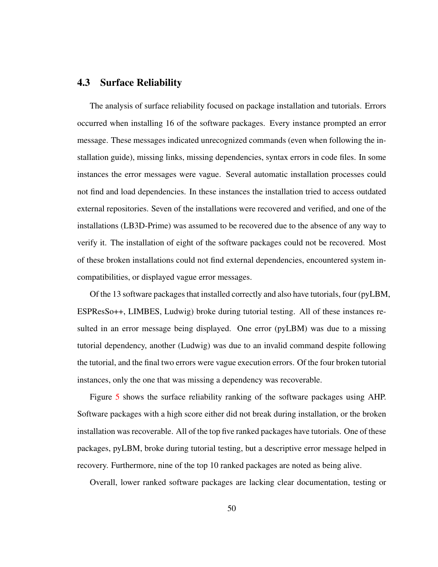# 4.3 Surface Reliability

The analysis of surface reliability focused on package installation and tutorials. Errors occurred when installing 16 of the software packages. Every instance prompted an error message. These messages indicated unrecognized commands (even when following the installation guide), missing links, missing dependencies, syntax errors in code files. In some instances the error messages were vague. Several automatic installation processes could not find and load dependencies. In these instances the installation tried to access outdated external repositories. Seven of the installations were recovered and verified, and one of the installations (LB3D-Prime) was assumed to be recovered due to the absence of any way to verify it. The installation of eight of the software packages could not be recovered. Most of these broken installations could not find external dependencies, encountered system incompatibilities, or displayed vague error messages.

Of the 13 software packages that installed correctly and also have tutorials, four (pyLBM, ESPResSo++, LIMBES, Ludwig) broke during tutorial testing. All of these instances resulted in an error message being displayed. One error (pyLBM) was due to a missing tutorial dependency, another (Ludwig) was due to an invalid command despite following the tutorial, and the final two errors were vague execution errors. Of the four broken tutorial instances, only the one that was missing a dependency was recoverable.

Figure [5](#page-60-0) shows the surface reliability ranking of the software packages using AHP. Software packages with a high score either did not break during installation, or the broken installation was recoverable. All of the top five ranked packages have tutorials. One of these packages, pyLBM, broke during tutorial testing, but a descriptive error message helped in recovery. Furthermore, nine of the top 10 ranked packages are noted as being alive.

Overall, lower ranked software packages are lacking clear documentation, testing or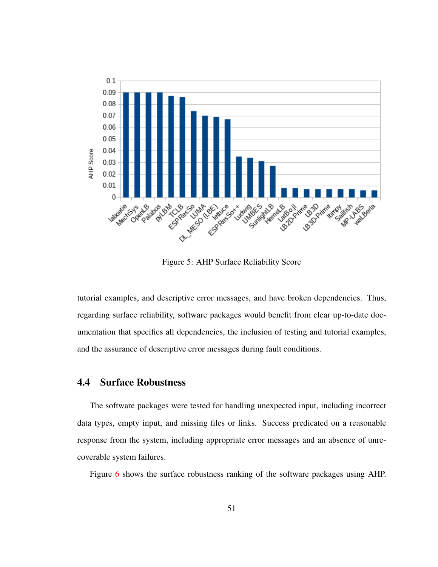<span id="page-60-0"></span>

Figure 5: AHP Surface Reliability Score

tutorial examples, and descriptive error messages, and have broken dependencies. Thus, regarding surface reliability, software packages would benefit from clear up-to-date documentation that specifies all dependencies, the inclusion of testing and tutorial examples, and the assurance of descriptive error messages during fault conditions.

## 4.4 Surface Robustness

The software packages were tested for handling unexpected input, including incorrect data types, empty input, and missing files or links. Success predicated on a reasonable response from the system, including appropriate error messages and an absence of unrecoverable system failures.

Figure [6](#page-61-0) shows the surface robustness ranking of the software packages using AHP.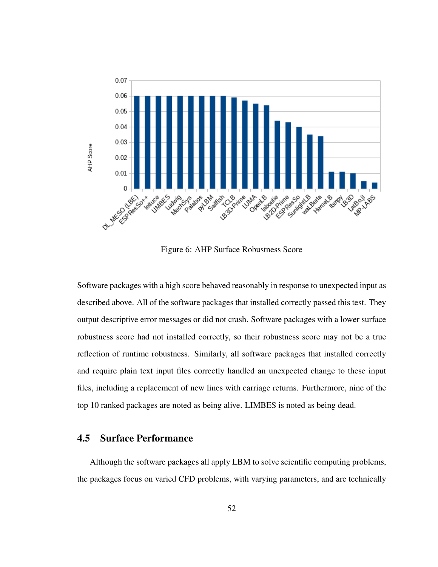<span id="page-61-0"></span>

Figure 6: AHP Surface Robustness Score

Software packages with a high score behaved reasonably in response to unexpected input as described above. All of the software packages that installed correctly passed this test. They output descriptive error messages or did not crash. Software packages with a lower surface robustness score had not installed correctly, so their robustness score may not be a true reflection of runtime robustness. Similarly, all software packages that installed correctly and require plain text input files correctly handled an unexpected change to these input files, including a replacement of new lines with carriage returns. Furthermore, nine of the top 10 ranked packages are noted as being alive. LIMBES is noted as being dead.

# 4.5 Surface Performance

Although the software packages all apply LBM to solve scientific computing problems, the packages focus on varied CFD problems, with varying parameters, and are technically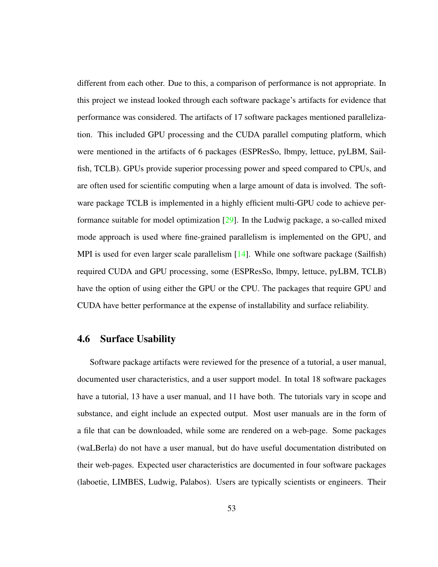different from each other. Due to this, a comparison of performance is not appropriate. In this project we instead looked through each software package's artifacts for evidence that performance was considered. The artifacts of 17 software packages mentioned parallelization. This included GPU processing and the CUDA parallel computing platform, which were mentioned in the artifacts of 6 packages (ESPResSo, lbmpy, lettuce, pyLBM, Sailfish, TCLB). GPUs provide superior processing power and speed compared to CPUs, and are often used for scientific computing when a large amount of data is involved. The software package TCLB is implemented in a highly efficient multi-GPU code to achieve performance suitable for model optimization [\[29\]](#page-137-5). In the Ludwig package, a so-called mixed mode approach is used where fine-grained parallelism is implemented on the GPU, and MPI is used for even larger scale parallelism [\[14\]](#page-136-9). While one software package (Sailfish) required CUDA and GPU processing, some (ESPResSo, lbmpy, lettuce, pyLBM, TCLB) have the option of using either the GPU or the CPU. The packages that require GPU and CUDA have better performance at the expense of installability and surface reliability.

### 4.6 Surface Usability

Software package artifacts were reviewed for the presence of a tutorial, a user manual, documented user characteristics, and a user support model. In total 18 software packages have a tutorial, 13 have a user manual, and 11 have both. The tutorials vary in scope and substance, and eight include an expected output. Most user manuals are in the form of a file that can be downloaded, while some are rendered on a web-page. Some packages (waLBerla) do not have a user manual, but do have useful documentation distributed on their web-pages. Expected user characteristics are documented in four software packages (laboetie, LIMBES, Ludwig, Palabos). Users are typically scientists or engineers. Their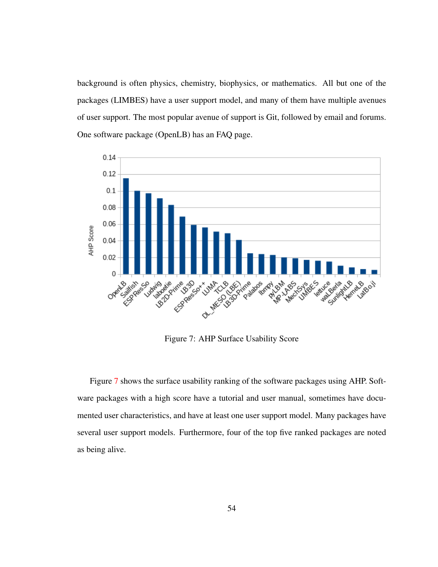background is often physics, chemistry, biophysics, or mathematics. All but one of the packages (LIMBES) have a user support model, and many of them have multiple avenues of user support. The most popular avenue of support is Git, followed by email and forums. One software package (OpenLB) has an FAQ page.

<span id="page-63-0"></span>

Figure 7: AHP Surface Usability Score

Figure [7](#page-63-0) shows the surface usability ranking of the software packages using AHP. Software packages with a high score have a tutorial and user manual, sometimes have documented user characteristics, and have at least one user support model. Many packages have several user support models. Furthermore, four of the top five ranked packages are noted as being alive.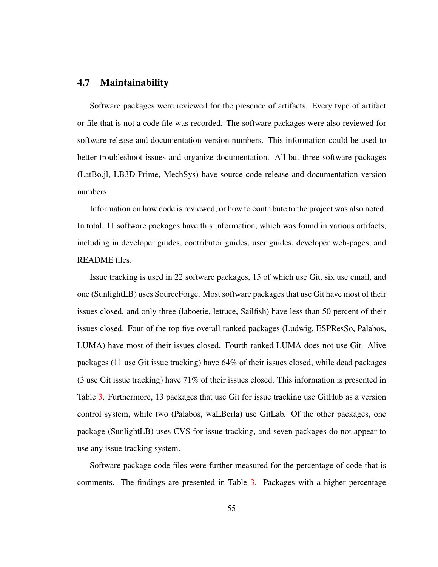## 4.7 Maintainability

Software packages were reviewed for the presence of artifacts. Every type of artifact or file that is not a code file was recorded. The software packages were also reviewed for software release and documentation version numbers. This information could be used to better troubleshoot issues and organize documentation. All but three software packages (LatBo.jl, LB3D-Prime, MechSys) have source code release and documentation version numbers.

Information on how code is reviewed, or how to contribute to the project was also noted. In total, 11 software packages have this information, which was found in various artifacts, including in developer guides, contributor guides, user guides, developer web-pages, and README files.

Issue tracking is used in 22 software packages, 15 of which use Git, six use email, and one (SunlightLB) uses SourceForge. Most software packages that use Git have most of their issues closed, and only three (laboetie, lettuce, Sailfish) have less than 50 percent of their issues closed. Four of the top five overall ranked packages (Ludwig, ESPResSo, Palabos, LUMA) have most of their issues closed. Fourth ranked LUMA does not use Git. Alive packages (11 use Git issue tracking) have 64% of their issues closed, while dead packages (3 use Git issue tracking) have 71% of their issues closed. This information is presented in Table [3.](#page-66-0) Furthermore, 13 packages that use Git for issue tracking use GitHub as a version control system, while two (Palabos, waLBerla) use GitLab. Of the other packages, one package (SunlightLB) uses CVS for issue tracking, and seven packages do not appear to use any issue tracking system.

Software package code files were further measured for the percentage of code that is comments. The findings are presented in Table [3.](#page-66-0) Packages with a higher percentage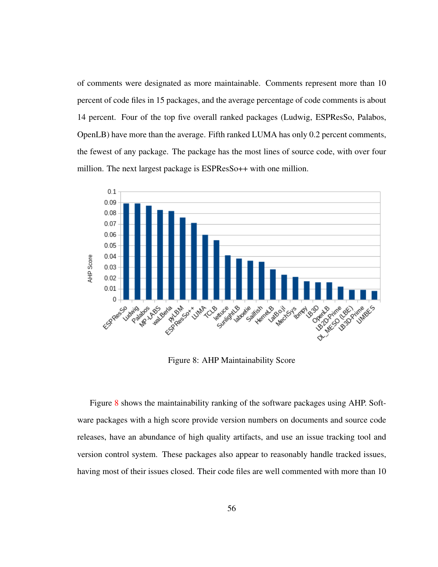of comments were designated as more maintainable. Comments represent more than 10 percent of code files in 15 packages, and the average percentage of code comments is about 14 percent. Four of the top five overall ranked packages (Ludwig, ESPResSo, Palabos, OpenLB) have more than the average. Fifth ranked LUMA has only 0.2 percent comments, the fewest of any package. The package has the most lines of source code, with over four million. The next largest package is ESPResSo<sup>++</sup> with one million.

<span id="page-65-0"></span>

Figure 8: AHP Maintainability Score

Figure [8](#page-65-0) shows the maintainability ranking of the software packages using AHP. Software packages with a high score provide version numbers on documents and source code releases, have an abundance of high quality artifacts, and use an issue tracking tool and version control system. These packages also appear to reasonably handle tracked issues, having most of their issues closed. Their code files are well commented with more than 10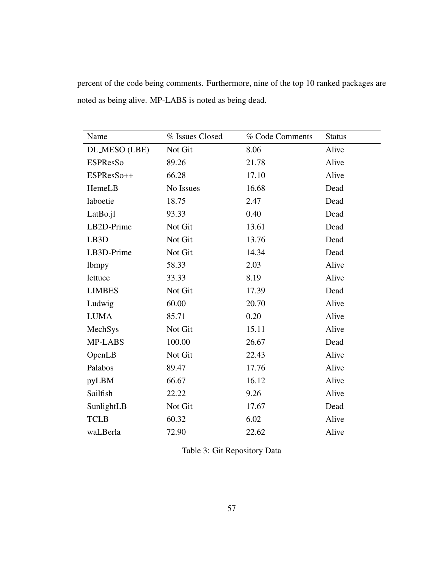| Name              | % Issues Closed | % Code Comments | <b>Status</b> |
|-------------------|-----------------|-----------------|---------------|
| DL_MESO (LBE)     | Not Git         | 8.06            | Alive         |
| <b>ESPResSo</b>   | 89.26           | 21.78           | Alive         |
| ESPResSo++        | 66.28           | 17.10           | Alive         |
| HemeLB            | No Issues       | 16.68           | Dead          |
| laboetie          | 18.75           | 2.47            | Dead          |
| LatBo.jl          | 93.33           | 0.40            | Dead          |
| LB2D-Prime        | Not Git         | 13.61           | Dead          |
| LB <sub>3</sub> D | Not Git         | 13.76           | Dead          |
| LB3D-Prime        | Not Git         | 14.34           | Dead          |
| lbmpy             | 58.33           | 2.03            | Alive         |
| lettuce           | 33.33           | 8.19            | Alive         |
| <b>LIMBES</b>     | Not Git         | 17.39           | Dead          |
| Ludwig            | 60.00           | 20.70           | Alive         |
| <b>LUMA</b>       | 85.71           | 0.20            | Alive         |
| MechSys           | Not Git         | 15.11           | Alive         |
| MP-LABS           | 100.00          | 26.67           | Dead          |
| OpenLB            | Not Git         | 22.43           | Alive         |
| Palabos           | 89.47           | 17.76           | Alive         |
| pyLBM             | 66.67           | 16.12           | Alive         |
| Sailfish          | 22.22           | 9.26            | Alive         |
| SunlightLB        | Not Git         | 17.67           | Dead          |
| <b>TCLB</b>       | 60.32           | 6.02            | Alive         |
| waLBerla          | 72.90           | 22.62           | Alive         |

percent of the code being comments. Furthermore, nine of the top 10 ranked packages are noted as being alive. MP-LABS is noted as being dead.

<span id="page-66-0"></span>Table 3: Git Repository Data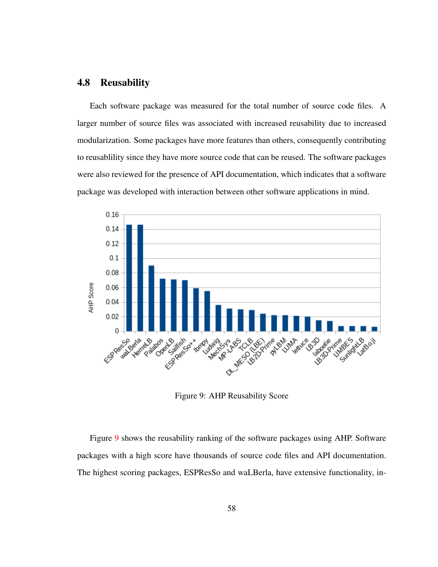## 4.8 Reusability

Each software package was measured for the total number of source code files. A larger number of source files was associated with increased reusability due to increased modularization. Some packages have more features than others, consequently contributing to reusablility since they have more source code that can be reused. The software packages were also reviewed for the presence of API documentation, which indicates that a software package was developed with interaction between other software applications in mind.

<span id="page-67-0"></span>

Figure 9: AHP Reusability Score

Figure [9](#page-67-0) shows the reusability ranking of the software packages using AHP. Software packages with a high score have thousands of source code files and API documentation. The highest scoring packages, ESPResSo and waLBerla, have extensive functionality, in-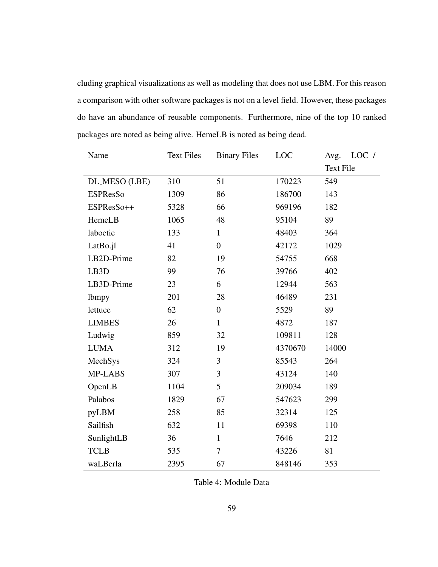cluding graphical visualizations as well as modeling that does not use LBM. For this reason a comparison with other software packages is not on a level field. However, these packages do have an abundance of reusable components. Furthermore, nine of the top 10 ranked packages are noted as being alive. HemeLB is noted as being dead.

| Name              | <b>Text Files</b> | <b>Binary Files</b> | LOC     | LOC /<br>Avg.    |
|-------------------|-------------------|---------------------|---------|------------------|
|                   |                   |                     |         | <b>Text File</b> |
| DL_MESO (LBE)     | 310               | 51                  | 170223  | 549              |
| <b>ESPResSo</b>   | 1309              | 86                  | 186700  | 143              |
| ESPResSo++        | 5328              | 66                  | 969196  | 182              |
| HemeLB            | 1065              | 48                  | 95104   | 89               |
| laboetie          | 133               | $\mathbf{1}$        | 48403   | 364              |
| LatBo.jl          | 41                | $\boldsymbol{0}$    | 42172   | 1029             |
| LB2D-Prime        | 82                | 19                  | 54755   | 668              |
| LB <sub>3</sub> D | 99                | 76                  | 39766   | 402              |
| LB3D-Prime        | 23                | 6                   | 12944   | 563              |
| lbmpy             | 201               | 28                  | 46489   | 231              |
| lettuce           | 62                | $\boldsymbol{0}$    | 5529    | 89               |
| <b>LIMBES</b>     | 26                | $\mathbf{1}$        | 4872    | 187              |
| Ludwig            | 859               | 32                  | 109811  | 128              |
| <b>LUMA</b>       | 312               | 19                  | 4370670 | 14000            |
| MechSys           | 324               | 3                   | 85543   | 264              |
| MP-LABS           | 307               | 3                   | 43124   | 140              |
| OpenLB            | 1104              | 5                   | 209034  | 189              |
| Palabos           | 1829              | 67                  | 547623  | 299              |
| pyLBM             | 258               | 85                  | 32314   | 125              |
| Sailfish          | 632               | 11                  | 69398   | 110              |
| SunlightLB        | 36                | $\mathbf{1}$        | 7646    | 212              |
| <b>TCLB</b>       | 535               | 7                   | 43226   | 81               |
| waLBerla          | 2395              | 67                  | 848146  | 353              |

<span id="page-68-0"></span>Table 4: Module Data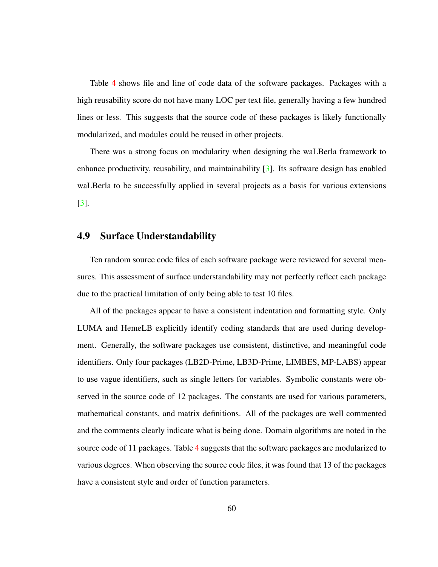Table [4](#page-68-0) shows file and line of code data of the software packages. Packages with a high reusability score do not have many LOC per text file, generally having a few hundred lines or less. This suggests that the source code of these packages is likely functionally modularized, and modules could be reused in other projects.

There was a strong focus on modularity when designing the waLBerla framework to enhance productivity, reusability, and maintainability [\[3\]](#page-135-4). Its software design has enabled waLBerla to be successfully applied in several projects as a basis for various extensions [\[3\]](#page-135-4).

# 4.9 Surface Understandability

Ten random source code files of each software package were reviewed for several measures. This assessment of surface understandability may not perfectly reflect each package due to the practical limitation of only being able to test 10 files.

All of the packages appear to have a consistent indentation and formatting style. Only LUMA and HemeLB explicitly identify coding standards that are used during development. Generally, the software packages use consistent, distinctive, and meaningful code identifiers. Only four packages (LB2D-Prime, LB3D-Prime, LIMBES, MP-LABS) appear to use vague identifiers, such as single letters for variables. Symbolic constants were observed in the source code of 12 packages. The constants are used for various parameters, mathematical constants, and matrix definitions. All of the packages are well commented and the comments clearly indicate what is being done. Domain algorithms are noted in the source code of 11 packages. Table [4](#page-68-0) suggests that the software packages are modularized to various degrees. When observing the source code files, it was found that 13 of the packages have a consistent style and order of function parameters.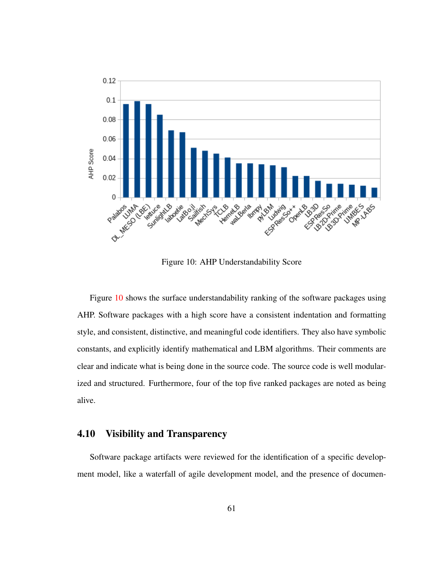<span id="page-70-0"></span>

Figure 10: AHP Understandability Score

Figure [10](#page-70-0) shows the surface understandability ranking of the software packages using AHP. Software packages with a high score have a consistent indentation and formatting style, and consistent, distinctive, and meaningful code identifiers. They also have symbolic constants, and explicitly identify mathematical and LBM algorithms. Their comments are clear and indicate what is being done in the source code. The source code is well modularized and structured. Furthermore, four of the top five ranked packages are noted as being alive.

# 4.10 Visibility and Transparency

Software package artifacts were reviewed for the identification of a specific development model, like a waterfall of agile development model, and the presence of documen-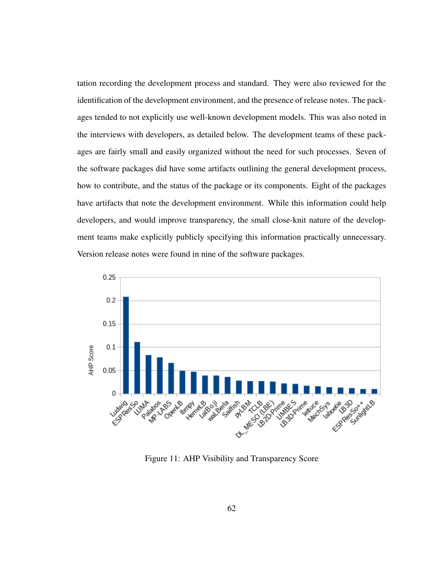tation recording the development process and standard. They were also reviewed for the identification of the development environment, and the presence of release notes. The packages tended to not explicitly use well-known development models. This was also noted in the interviews with developers, as detailed below. The development teams of these packages are fairly small and easily organized without the need for such processes. Seven of the software packages did have some artifacts outlining the general development process, how to contribute, and the status of the package or its components. Eight of the packages have artifacts that note the development environment. While this information could help developers, and would improve transparency, the small close-knit nature of the development teams make explicitly publicly specifying this information practically unnecessary. Version release notes were found in nine of the software packages.



Figure 11: AHP Visibility and Transparency Score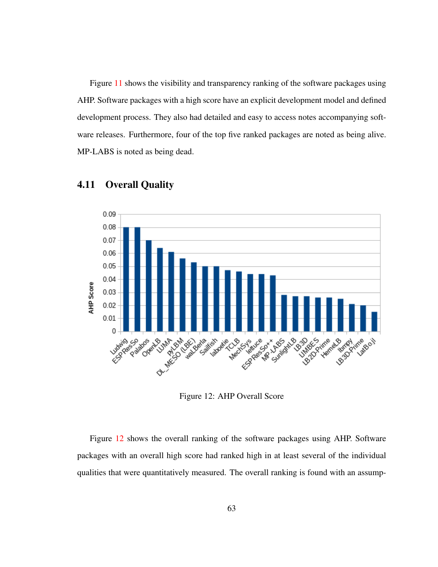Figure [11](#page-71-0) shows the visibility and transparency ranking of the software packages using AHP. Software packages with a high score have an explicit development model and defined development process. They also had detailed and easy to access notes accompanying software releases. Furthermore, four of the top five ranked packages are noted as being alive. MP-LABS is noted as being dead.

<span id="page-72-0"></span>

# 4.11 Overall Quality

Figure 12: AHP Overall Score

Figure [12](#page-72-0) shows the overall ranking of the software packages using AHP. Software packages with an overall high score had ranked high in at least several of the individual qualities that were quantitatively measured. The overall ranking is found with an assump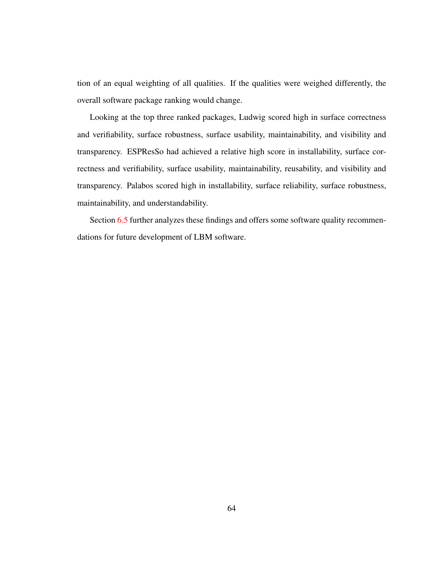tion of an equal weighting of all qualities. If the qualities were weighed differently, the overall software package ranking would change.

Looking at the top three ranked packages, Ludwig scored high in surface correctness and verifiability, surface robustness, surface usability, maintainability, and visibility and transparency. ESPResSo had achieved a relative high score in installability, surface correctness and verifiability, surface usability, maintainability, reusability, and visibility and transparency. Palabos scored high in installability, surface reliability, surface robustness, maintainability, and understandability.

Section [6.5](#page-98-0) further analyzes these findings and offers some software quality recommendations for future development of LBM software.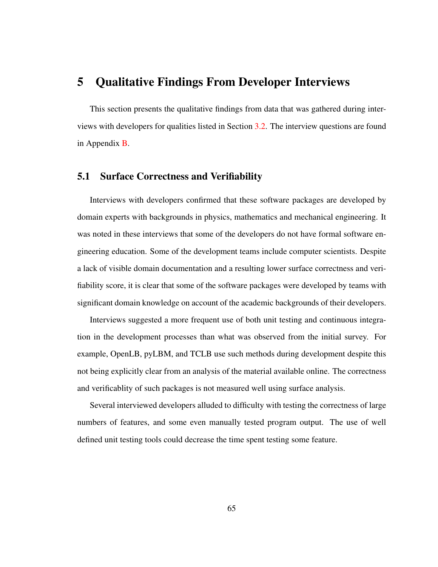# <span id="page-74-0"></span>5 Qualitative Findings From Developer Interviews

This section presents the qualitative findings from data that was gathered during interviews with developers for qualities listed in Section [3.2.](#page-42-0) The interview questions are found in Appendix [B.](#page-127-0)

# 5.1 Surface Correctness and Verifiability

Interviews with developers confirmed that these software packages are developed by domain experts with backgrounds in physics, mathematics and mechanical engineering. It was noted in these interviews that some of the developers do not have formal software engineering education. Some of the development teams include computer scientists. Despite a lack of visible domain documentation and a resulting lower surface correctness and verifiability score, it is clear that some of the software packages were developed by teams with significant domain knowledge on account of the academic backgrounds of their developers.

Interviews suggested a more frequent use of both unit testing and continuous integration in the development processes than what was observed from the initial survey. For example, OpenLB, pyLBM, and TCLB use such methods during development despite this not being explicitly clear from an analysis of the material available online. The correctness and verificablity of such packages is not measured well using surface analysis.

Several interviewed developers alluded to difficulty with testing the correctness of large numbers of features, and some even manually tested program output. The use of well defined unit testing tools could decrease the time spent testing some feature.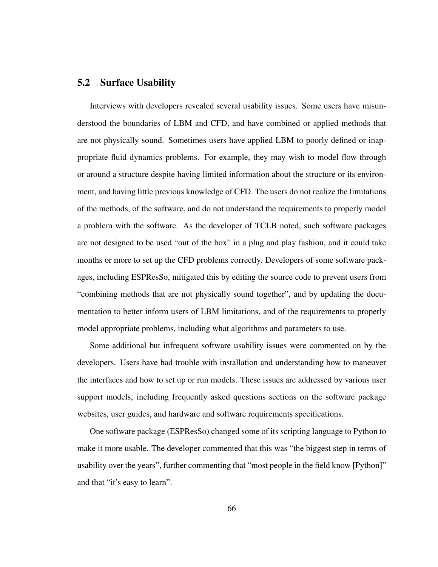# 5.2 Surface Usability

Interviews with developers revealed several usability issues. Some users have misunderstood the boundaries of LBM and CFD, and have combined or applied methods that are not physically sound. Sometimes users have applied LBM to poorly defined or inappropriate fluid dynamics problems. For example, they may wish to model flow through or around a structure despite having limited information about the structure or its environment, and having little previous knowledge of CFD. The users do not realize the limitations of the methods, of the software, and do not understand the requirements to properly model a problem with the software. As the developer of TCLB noted, such software packages are not designed to be used "out of the box" in a plug and play fashion, and it could take months or more to set up the CFD problems correctly. Developers of some software packages, including ESPResSo, mitigated this by editing the source code to prevent users from "combining methods that are not physically sound together", and by updating the documentation to better inform users of LBM limitations, and of the requirements to properly model appropriate problems, including what algorithms and parameters to use.

Some additional but infrequent software usability issues were commented on by the developers. Users have had trouble with installation and understanding how to maneuver the interfaces and how to set up or run models. These issues are addressed by various user support models, including frequently asked questions sections on the software package websites, user guides, and hardware and software requirements specifications.

One software package (ESPResSo) changed some of its scripting language to Python to make it more usable. The developer commented that this was "the biggest step in terms of usability over the years", further commenting that "most people in the field know [Python]" and that "it's easy to learn".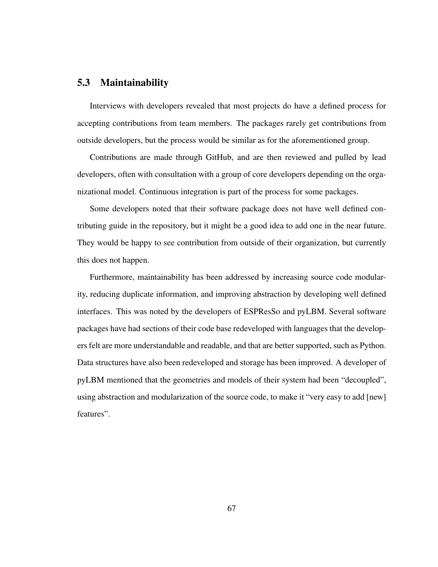# 5.3 Maintainability

Interviews with developers revealed that most projects do have a defined process for accepting contributions from team members. The packages rarely get contributions from outside developers, but the process would be similar as for the aforementioned group.

Contributions are made through GitHub, and are then reviewed and pulled by lead developers, often with consultation with a group of core developers depending on the organizational model. Continuous integration is part of the process for some packages.

Some developers noted that their software package does not have well defined contributing guide in the repository, but it might be a good idea to add one in the near future. They would be happy to see contribution from outside of their organization, but currently this does not happen.

Furthermore, maintainability has been addressed by increasing source code modularity, reducing duplicate information, and improving abstraction by developing well defined interfaces. This was noted by the developers of ESPResSo and pyLBM. Several software packages have had sections of their code base redeveloped with languages that the developers felt are more understandable and readable, and that are better supported, such as Python. Data structures have also been redeveloped and storage has been improved. A developer of pyLBM mentioned that the geometries and models of their system had been "decoupled", using abstraction and modularization of the source code, to make it "very easy to add [new] features".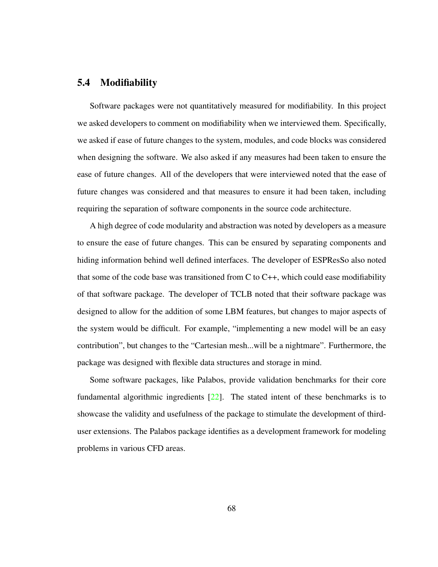# 5.4 Modifiability

Software packages were not quantitatively measured for modifiability. In this project we asked developers to comment on modifiability when we interviewed them. Specifically, we asked if ease of future changes to the system, modules, and code blocks was considered when designing the software. We also asked if any measures had been taken to ensure the ease of future changes. All of the developers that were interviewed noted that the ease of future changes was considered and that measures to ensure it had been taken, including requiring the separation of software components in the source code architecture.

A high degree of code modularity and abstraction was noted by developers as a measure to ensure the ease of future changes. This can be ensured by separating components and hiding information behind well defined interfaces. The developer of ESPResSo also noted that some of the code base was transitioned from  $C$  to  $C_{++}$ , which could ease modifiability of that software package. The developer of TCLB noted that their software package was designed to allow for the addition of some LBM features, but changes to major aspects of the system would be difficult. For example, "implementing a new model will be an easy contribution", but changes to the "Cartesian mesh...will be a nightmare". Furthermore, the package was designed with flexible data structures and storage in mind.

Some software packages, like Palabos, provide validation benchmarks for their core fundamental algorithmic ingredients  $[22]$ . The stated intent of these benchmarks is to showcase the validity and usefulness of the package to stimulate the development of thirduser extensions. The Palabos package identifies as a development framework for modeling problems in various CFD areas.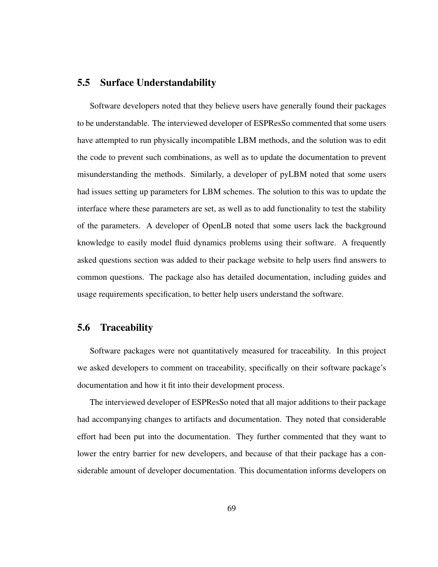# 5.5 Surface Understandability

Software developers noted that they believe users have generally found their packages to be understandable. The interviewed developer of ESPResSo commented that some users have attempted to run physically incompatible LBM methods, and the solution was to edit the code to prevent such combinations, as well as to update the documentation to prevent misunderstanding the methods. Similarly, a developer of pyLBM noted that some users had issues setting up parameters for LBM schemes. The solution to this was to update the interface where these parameters are set, as well as to add functionality to test the stability of the parameters. A developer of OpenLB noted that some users lack the background knowledge to easily model fluid dynamics problems using their software. A frequently asked questions section was added to their package website to help users find answers to common questions. The package also has detailed documentation, including guides and usage requirements specification, to better help users understand the software.

# 5.6 Traceability

Software packages were not quantitatively measured for traceability. In this project we asked developers to comment on traceability, specifically on their software package's documentation and how it fit into their development process.

The interviewed developer of ESPResSo noted that all major additions to their package had accompanying changes to artifacts and documentation. They noted that considerable effort had been put into the documentation. They further commented that they want to lower the entry barrier for new developers, and because of that their package has a considerable amount of developer documentation. This documentation informs developers on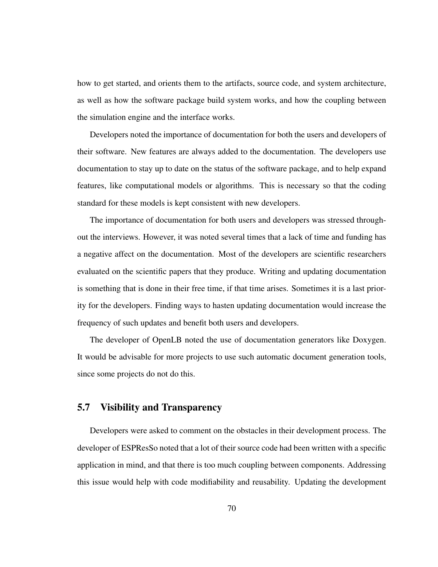how to get started, and orients them to the artifacts, source code, and system architecture, as well as how the software package build system works, and how the coupling between the simulation engine and the interface works.

Developers noted the importance of documentation for both the users and developers of their software. New features are always added to the documentation. The developers use documentation to stay up to date on the status of the software package, and to help expand features, like computational models or algorithms. This is necessary so that the coding standard for these models is kept consistent with new developers.

The importance of documentation for both users and developers was stressed throughout the interviews. However, it was noted several times that a lack of time and funding has a negative affect on the documentation. Most of the developers are scientific researchers evaluated on the scientific papers that they produce. Writing and updating documentation is something that is done in their free time, if that time arises. Sometimes it is a last priority for the developers. Finding ways to hasten updating documentation would increase the frequency of such updates and benefit both users and developers.

The developer of OpenLB noted the use of documentation generators like Doxygen. It would be advisable for more projects to use such automatic document generation tools, since some projects do not do this.

# 5.7 Visibility and Transparency

Developers were asked to comment on the obstacles in their development process. The developer of ESPResSo noted that a lot of their source code had been written with a specific application in mind, and that there is too much coupling between components. Addressing this issue would help with code modifiability and reusability. Updating the development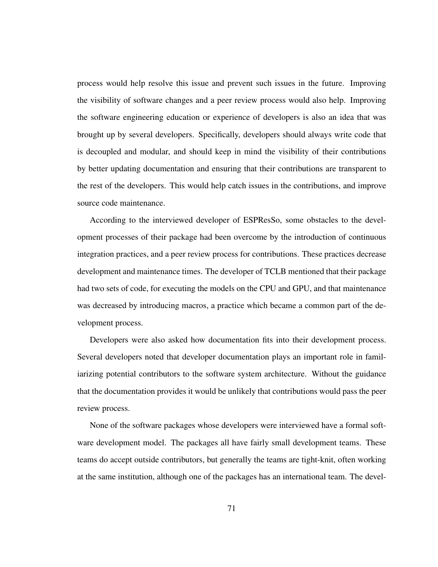process would help resolve this issue and prevent such issues in the future. Improving the visibility of software changes and a peer review process would also help. Improving the software engineering education or experience of developers is also an idea that was brought up by several developers. Specifically, developers should always write code that is decoupled and modular, and should keep in mind the visibility of their contributions by better updating documentation and ensuring that their contributions are transparent to the rest of the developers. This would help catch issues in the contributions, and improve source code maintenance.

According to the interviewed developer of ESPResSo, some obstacles to the development processes of their package had been overcome by the introduction of continuous integration practices, and a peer review process for contributions. These practices decrease development and maintenance times. The developer of TCLB mentioned that their package had two sets of code, for executing the models on the CPU and GPU, and that maintenance was decreased by introducing macros, a practice which became a common part of the development process.

Developers were also asked how documentation fits into their development process. Several developers noted that developer documentation plays an important role in familiarizing potential contributors to the software system architecture. Without the guidance that the documentation provides it would be unlikely that contributions would pass the peer review process.

None of the software packages whose developers were interviewed have a formal software development model. The packages all have fairly small development teams. These teams do accept outside contributors, but generally the teams are tight-knit, often working at the same institution, although one of the packages has an international team. The devel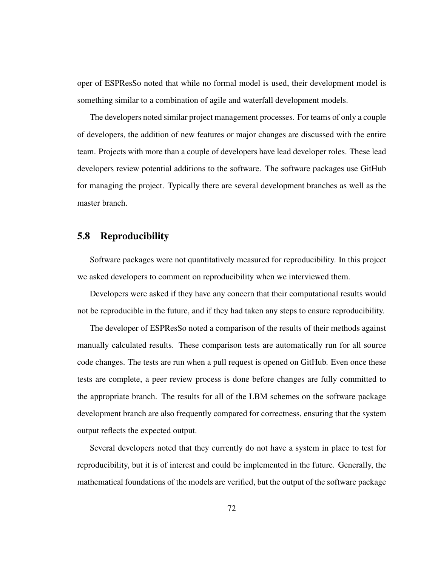oper of ESPResSo noted that while no formal model is used, their development model is something similar to a combination of agile and waterfall development models.

The developers noted similar project management processes. For teams of only a couple of developers, the addition of new features or major changes are discussed with the entire team. Projects with more than a couple of developers have lead developer roles. These lead developers review potential additions to the software. The software packages use GitHub for managing the project. Typically there are several development branches as well as the master branch.

# 5.8 Reproducibility

Software packages were not quantitatively measured for reproducibility. In this project we asked developers to comment on reproducibility when we interviewed them.

Developers were asked if they have any concern that their computational results would not be reproducible in the future, and if they had taken any steps to ensure reproducibility.

The developer of ESPResSo noted a comparison of the results of their methods against manually calculated results. These comparison tests are automatically run for all source code changes. The tests are run when a pull request is opened on GitHub. Even once these tests are complete, a peer review process is done before changes are fully committed to the appropriate branch. The results for all of the LBM schemes on the software package development branch are also frequently compared for correctness, ensuring that the system output reflects the expected output.

Several developers noted that they currently do not have a system in place to test for reproducibility, but it is of interest and could be implemented in the future. Generally, the mathematical foundations of the models are verified, but the output of the software package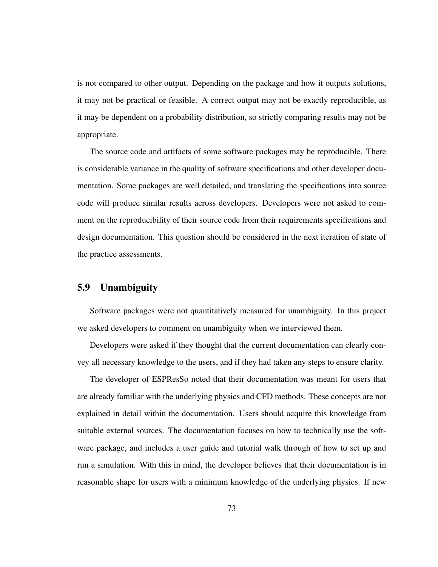is not compared to other output. Depending on the package and how it outputs solutions, it may not be practical or feasible. A correct output may not be exactly reproducible, as it may be dependent on a probability distribution, so strictly comparing results may not be appropriate.

The source code and artifacts of some software packages may be reproducible. There is considerable variance in the quality of software specifications and other developer documentation. Some packages are well detailed, and translating the specifications into source code will produce similar results across developers. Developers were not asked to comment on the reproducibility of their source code from their requirements specifications and design documentation. This question should be considered in the next iteration of state of the practice assessments.

# 5.9 Unambiguity

Software packages were not quantitatively measured for unambiguity. In this project we asked developers to comment on unambiguity when we interviewed them.

Developers were asked if they thought that the current documentation can clearly convey all necessary knowledge to the users, and if they had taken any steps to ensure clarity.

The developer of ESPResSo noted that their documentation was meant for users that are already familiar with the underlying physics and CFD methods. These concepts are not explained in detail within the documentation. Users should acquire this knowledge from suitable external sources. The documentation focuses on how to technically use the software package, and includes a user guide and tutorial walk through of how to set up and run a simulation. With this in mind, the developer believes that their documentation is in reasonable shape for users with a minimum knowledge of the underlying physics. If new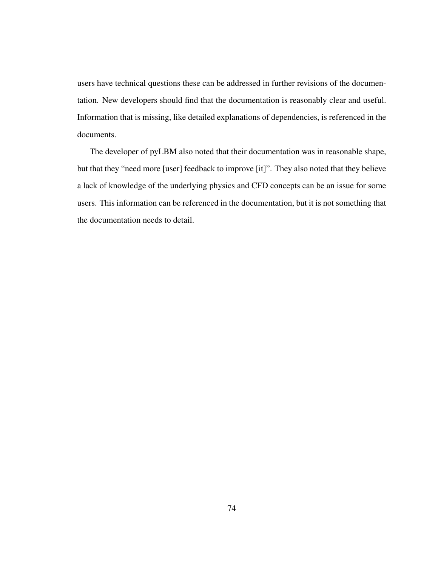users have technical questions these can be addressed in further revisions of the documentation. New developers should find that the documentation is reasonably clear and useful. Information that is missing, like detailed explanations of dependencies, is referenced in the documents.

The developer of pyLBM also noted that their documentation was in reasonable shape, but that they "need more [user] feedback to improve [it]". They also noted that they believe a lack of knowledge of the underlying physics and CFD concepts can be an issue for some users. This information can be referenced in the documentation, but it is not something that the documentation needs to detail.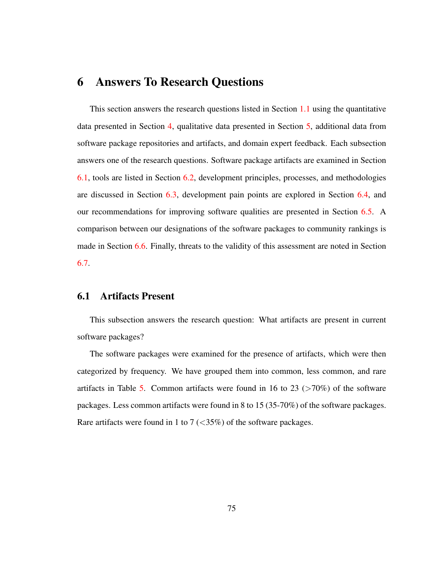# 6 Answers To Research Questions

This section answers the research questions listed in Section [1.1](#page-11-0) using the quantitative data presented in Section [4,](#page-53-0) qualitative data presented in Section [5,](#page-74-0) additional data from software package repositories and artifacts, and domain expert feedback. Each subsection answers one of the research questions. Software package artifacts are examined in Section [6.1,](#page-84-0) tools are listed in Section [6.2,](#page-88-0) development principles, processes, and methodologies are discussed in Section [6.3,](#page-90-0) development pain points are explored in Section [6.4,](#page-93-0) and our recommendations for improving software qualities are presented in Section [6.5.](#page-98-0) A comparison between our designations of the software packages to community rankings is made in Section [6.6.](#page-109-0) Finally, threats to the validity of this assessment are noted in Section [6.7.](#page-113-0)

# <span id="page-84-0"></span>6.1 Artifacts Present

This subsection answers the research question: What artifacts are present in current software packages?

The software packages were examined for the presence of artifacts, which were then categorized by frequency. We have grouped them into common, less common, and rare artifacts in Table [5.](#page-85-0) Common artifacts were found in 16 to 23 ( $>70\%$ ) of the software packages. Less common artifacts were found in 8 to 15 (35-70%) of the software packages. Rare artifacts were found in 1 to 7  $\left(\langle 35\% \rangle\right)$  of the software packages.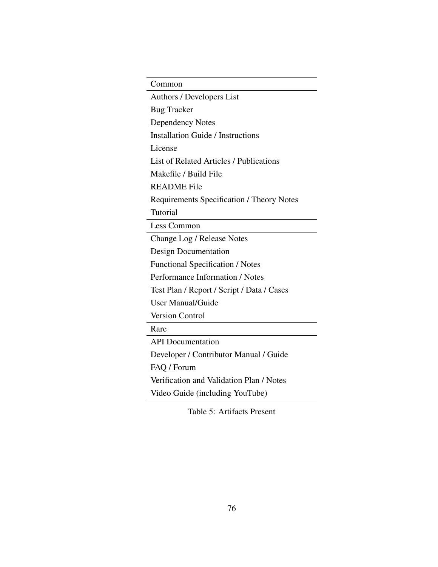| Common                                         |
|------------------------------------------------|
| Authors / Developers List                      |
| <b>Bug Tracker</b>                             |
| <b>Dependency Notes</b>                        |
| <b>Installation Guide / Instructions</b>       |
| License                                        |
| <b>List of Related Articles / Publications</b> |
| Makefile / Build File                          |
| <b>README</b> File                             |
| Requirements Specification / Theory Notes      |
| Tutorial                                       |
| Less Common                                    |
| Change Log / Release Notes                     |
| Design Documentation                           |
| <b>Functional Specification / Notes</b>        |
| Performance Information / Notes                |
| Test Plan / Report / Script / Data / Cases     |
| <b>User Manual/Guide</b>                       |
| <b>Version Control</b>                         |
| Rare                                           |
| <b>API</b> Documentation                       |
| Developer / Contributor Manual / Guide         |
| FAQ / Forum                                    |
| Verification and Validation Plan / Notes       |
| Video Guide (including YouTube)                |

<span id="page-85-0"></span>Table 5: Artifacts Present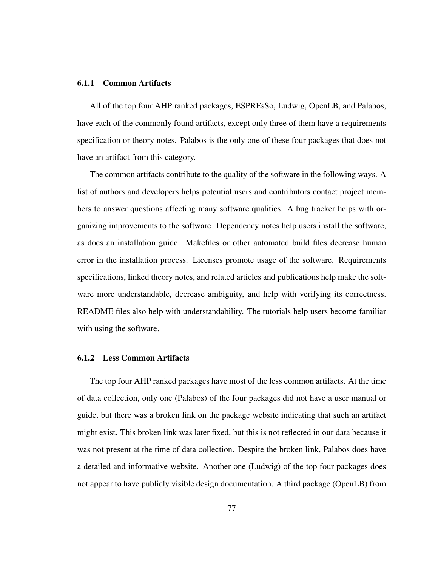#### 6.1.1 Common Artifacts

All of the top four AHP ranked packages, ESPREsSo, Ludwig, OpenLB, and Palabos, have each of the commonly found artifacts, except only three of them have a requirements specification or theory notes. Palabos is the only one of these four packages that does not have an artifact from this category.

The common artifacts contribute to the quality of the software in the following ways. A list of authors and developers helps potential users and contributors contact project members to answer questions affecting many software qualities. A bug tracker helps with organizing improvements to the software. Dependency notes help users install the software, as does an installation guide. Makefiles or other automated build files decrease human error in the installation process. Licenses promote usage of the software. Requirements specifications, linked theory notes, and related articles and publications help make the software more understandable, decrease ambiguity, and help with verifying its correctness. README files also help with understandability. The tutorials help users become familiar with using the software.

### 6.1.2 Less Common Artifacts

The top four AHP ranked packages have most of the less common artifacts. At the time of data collection, only one (Palabos) of the four packages did not have a user manual or guide, but there was a broken link on the package website indicating that such an artifact might exist. This broken link was later fixed, but this is not reflected in our data because it was not present at the time of data collection. Despite the broken link, Palabos does have a detailed and informative website. Another one (Ludwig) of the top four packages does not appear to have publicly visible design documentation. A third package (OpenLB) from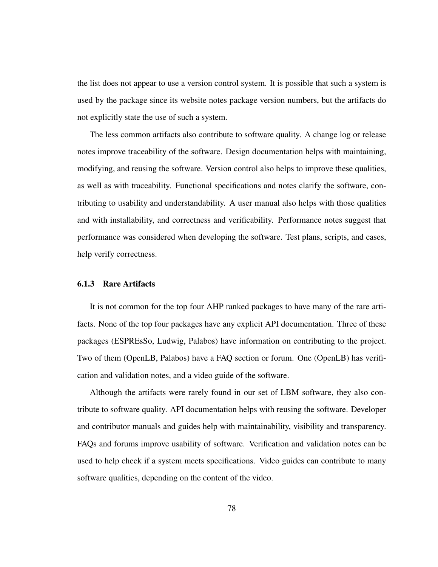the list does not appear to use a version control system. It is possible that such a system is used by the package since its website notes package version numbers, but the artifacts do not explicitly state the use of such a system.

The less common artifacts also contribute to software quality. A change log or release notes improve traceability of the software. Design documentation helps with maintaining, modifying, and reusing the software. Version control also helps to improve these qualities, as well as with traceability. Functional specifications and notes clarify the software, contributing to usability and understandability. A user manual also helps with those qualities and with installability, and correctness and verificability. Performance notes suggest that performance was considered when developing the software. Test plans, scripts, and cases, help verify correctness.

### 6.1.3 Rare Artifacts

It is not common for the top four AHP ranked packages to have many of the rare artifacts. None of the top four packages have any explicit API documentation. Three of these packages (ESPREsSo, Ludwig, Palabos) have information on contributing to the project. Two of them (OpenLB, Palabos) have a FAQ section or forum. One (OpenLB) has verification and validation notes, and a video guide of the software.

Although the artifacts were rarely found in our set of LBM software, they also contribute to software quality. API documentation helps with reusing the software. Developer and contributor manuals and guides help with maintainability, visibility and transparency. FAQs and forums improve usability of software. Verification and validation notes can be used to help check if a system meets specifications. Video guides can contribute to many software qualities, depending on the content of the video.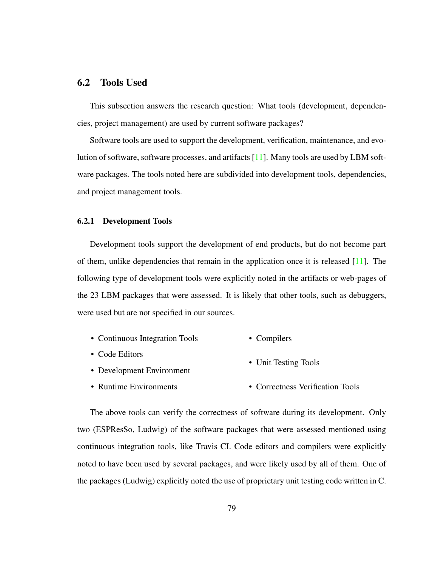# <span id="page-88-0"></span>6.2 Tools Used

This subsection answers the research question: What tools (development, dependencies, project management) are used by current software packages?

Software tools are used to support the development, verification, maintenance, and evolution of software, software processes, and artifacts [\[11\]](#page-135-0). Many tools are used by LBM software packages. The tools noted here are subdivided into development tools, dependencies, and project management tools.

#### 6.2.1 Development Tools

Development tools support the development of end products, but do not become part of them, unlike dependencies that remain in the application once it is released [\[11\]](#page-135-0). The following type of development tools were explicitly noted in the artifacts or web-pages of the 23 LBM packages that were assessed. It is likely that other tools, such as debuggers, were used but are not specified in our sources.

- Continuous Integration Tools • Compilers
- Code Editors • Unit Testing Tools
- Development Environment
- Runtime Environments • Correctness Verification Tools

The above tools can verify the correctness of software during its development. Only two (ESPResSo, Ludwig) of the software packages that were assessed mentioned using continuous integration tools, like Travis CI. Code editors and compilers were explicitly noted to have been used by several packages, and were likely used by all of them. One of the packages (Ludwig) explicitly noted the use of proprietary unit testing code written in C.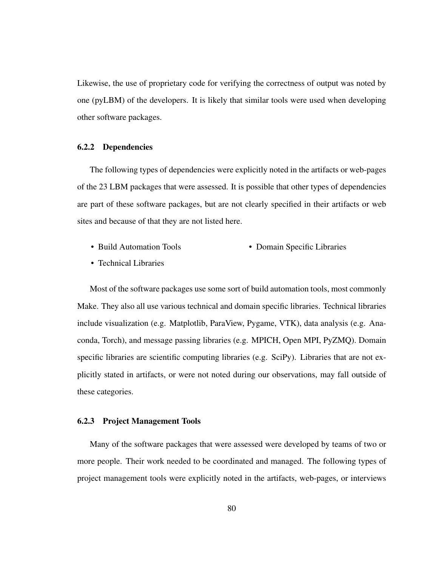Likewise, the use of proprietary code for verifying the correctness of output was noted by one (pyLBM) of the developers. It is likely that similar tools were used when developing other software packages.

#### 6.2.2 Dependencies

The following types of dependencies were explicitly noted in the artifacts or web-pages of the 23 LBM packages that were assessed. It is possible that other types of dependencies are part of these software packages, but are not clearly specified in their artifacts or web sites and because of that they are not listed here.

- Build Automation Tools • Domain Specific Libraries
- Technical Libraries

Most of the software packages use some sort of build automation tools, most commonly Make. They also all use various technical and domain specific libraries. Technical libraries include visualization (e.g. Matplotlib, ParaView, Pygame, VTK), data analysis (e.g. Anaconda, Torch), and message passing libraries (e.g. MPICH, Open MPI, PyZMQ). Domain specific libraries are scientific computing libraries (e.g. SciPy). Libraries that are not explicitly stated in artifacts, or were not noted during our observations, may fall outside of these categories.

### 6.2.3 Project Management Tools

Many of the software packages that were assessed were developed by teams of two or more people. Their work needed to be coordinated and managed. The following types of project management tools were explicitly noted in the artifacts, web-pages, or interviews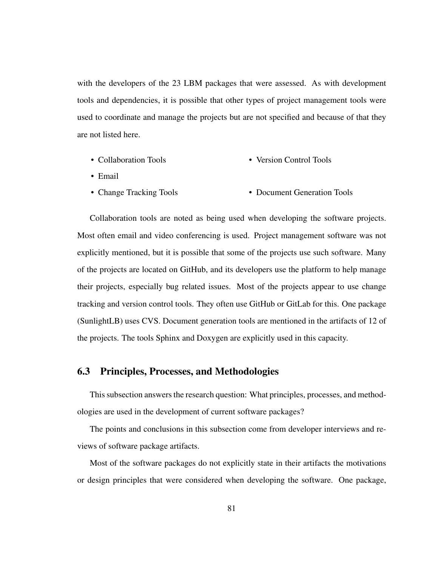with the developers of the 23 LBM packages that were assessed. As with development tools and dependencies, it is possible that other types of project management tools were used to coordinate and manage the projects but are not specified and because of that they are not listed here.

- Collaboration Tools • Version Control Tools
- Email
- Change Tracking Tools • Document Generation Tools

Collaboration tools are noted as being used when developing the software projects. Most often email and video conferencing is used. Project management software was not explicitly mentioned, but it is possible that some of the projects use such software. Many of the projects are located on GitHub, and its developers use the platform to help manage their projects, especially bug related issues. Most of the projects appear to use change tracking and version control tools. They often use GitHub or GitLab for this. One package (SunlightLB) uses CVS. Document generation tools are mentioned in the artifacts of 12 of the projects. The tools Sphinx and Doxygen are explicitly used in this capacity.

# <span id="page-90-0"></span>6.3 Principles, Processes, and Methodologies

This subsection answers the research question: What principles, processes, and methodologies are used in the development of current software packages?

The points and conclusions in this subsection come from developer interviews and reviews of software package artifacts.

Most of the software packages do not explicitly state in their artifacts the motivations or design principles that were considered when developing the software. One package,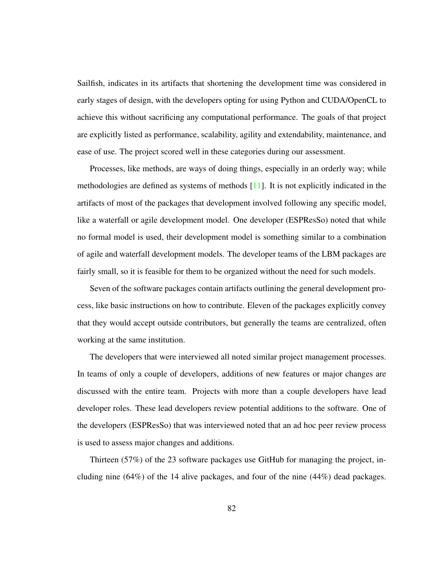Sailfish, indicates in its artifacts that shortening the development time was considered in early stages of design, with the developers opting for using Python and CUDA/OpenCL to achieve this without sacrificing any computational performance. The goals of that project are explicitly listed as performance, scalability, agility and extendability, maintenance, and ease of use. The project scored well in these categories during our assessment.

Processes, like methods, are ways of doing things, especially in an orderly way; while methodologies are defined as systems of methods  $[11]$ . It is not explicitly indicated in the artifacts of most of the packages that development involved following any specific model, like a waterfall or agile development model. One developer (ESPResSo) noted that while no formal model is used, their development model is something similar to a combination of agile and waterfall development models. The developer teams of the LBM packages are fairly small, so it is feasible for them to be organized without the need for such models.

Seven of the software packages contain artifacts outlining the general development process, like basic instructions on how to contribute. Eleven of the packages explicitly convey that they would accept outside contributors, but generally the teams are centralized, often working at the same institution.

The developers that were interviewed all noted similar project management processes. In teams of only a couple of developers, additions of new features or major changes are discussed with the entire team. Projects with more than a couple developers have lead developer roles. These lead developers review potential additions to the software. One of the developers (ESPResSo) that was interviewed noted that an ad hoc peer review process is used to assess major changes and additions.

Thirteen (57%) of the 23 software packages use GitHub for managing the project, including nine  $(64%)$  of the 14 alive packages, and four of the nine  $(44%)$  dead packages.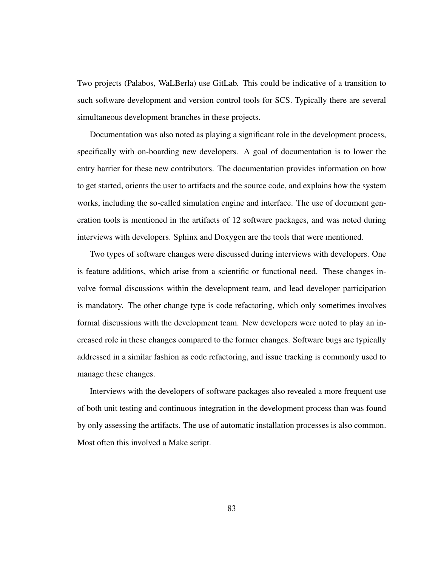Two projects (Palabos, WaLBerla) use GitLab. This could be indicative of a transition to such software development and version control tools for SCS. Typically there are several simultaneous development branches in these projects.

Documentation was also noted as playing a significant role in the development process, specifically with on-boarding new developers. A goal of documentation is to lower the entry barrier for these new contributors. The documentation provides information on how to get started, orients the user to artifacts and the source code, and explains how the system works, including the so-called simulation engine and interface. The use of document generation tools is mentioned in the artifacts of 12 software packages, and was noted during interviews with developers. Sphinx and Doxygen are the tools that were mentioned.

Two types of software changes were discussed during interviews with developers. One is feature additions, which arise from a scientific or functional need. These changes involve formal discussions within the development team, and lead developer participation is mandatory. The other change type is code refactoring, which only sometimes involves formal discussions with the development team. New developers were noted to play an increased role in these changes compared to the former changes. Software bugs are typically addressed in a similar fashion as code refactoring, and issue tracking is commonly used to manage these changes.

Interviews with the developers of software packages also revealed a more frequent use of both unit testing and continuous integration in the development process than was found by only assessing the artifacts. The use of automatic installation processes is also common. Most often this involved a Make script.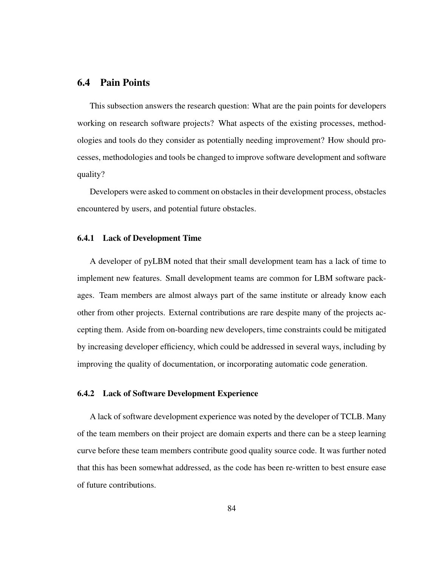# <span id="page-93-0"></span>6.4 Pain Points

This subsection answers the research question: What are the pain points for developers working on research software projects? What aspects of the existing processes, methodologies and tools do they consider as potentially needing improvement? How should processes, methodologies and tools be changed to improve software development and software quality?

Developers were asked to comment on obstacles in their development process, obstacles encountered by users, and potential future obstacles.

#### 6.4.1 Lack of Development Time

A developer of pyLBM noted that their small development team has a lack of time to implement new features. Small development teams are common for LBM software packages. Team members are almost always part of the same institute or already know each other from other projects. External contributions are rare despite many of the projects accepting them. Aside from on-boarding new developers, time constraints could be mitigated by increasing developer efficiency, which could be addressed in several ways, including by improving the quality of documentation, or incorporating automatic code generation.

### 6.4.2 Lack of Software Development Experience

A lack of software development experience was noted by the developer of TCLB. Many of the team members on their project are domain experts and there can be a steep learning curve before these team members contribute good quality source code. It was further noted that this has been somewhat addressed, as the code has been re-written to best ensure ease of future contributions.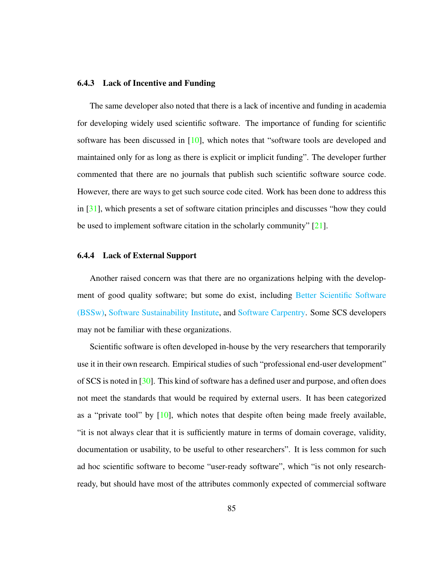#### 6.4.3 Lack of Incentive and Funding

The same developer also noted that there is a lack of incentive and funding in academia for developing widely used scientific software. The importance of funding for scientific software has been discussed in [\[10\]](#page-135-1), which notes that "software tools are developed and maintained only for as long as there is explicit or implicit funding". The developer further commented that there are no journals that publish such scientific software source code. However, there are ways to get such source code cited. Work has been done to address this in [\[31\]](#page-137-0), which presents a set of software citation principles and discusses "how they could be used to implement software citation in the scholarly community" [\[21\]](#page-136-1).

### 6.4.4 Lack of External Support

Another raised concern was that there are no organizations helping with the develop-ment of good quality software; but some do exist, including [Better Scientific Software](https://bssw.io/) [\(BSSw\),](https://bssw.io/) [Software Sustainability Institute,](https://www.software.ac.uk/) and [Software Carpentry.](https://software-carpentry.org/) Some SCS developers may not be familiar with these organizations.

Scientific software is often developed in-house by the very researchers that temporarily use it in their own research. Empirical studies of such "professional end-user development" of SCS is noted in  $[30]$ . This kind of software has a defined user and purpose, and often does not meet the standards that would be required by external users. It has been categorized as a "private tool" by  $[10]$ , which notes that despite often being made freely available, "it is not always clear that it is sufficiently mature in terms of domain coverage, validity, documentation or usability, to be useful to other researchers". It is less common for such ad hoc scientific software to become "user-ready software", which "is not only researchready, but should have most of the attributes commonly expected of commercial software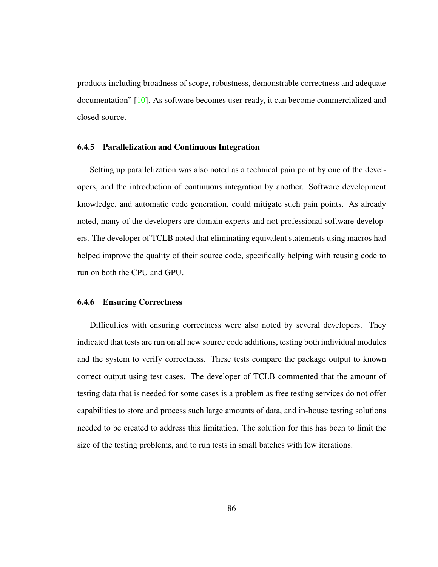products including broadness of scope, robustness, demonstrable correctness and adequate documentation" [\[10\]](#page-135-1). As software becomes user-ready, it can become commercialized and closed-source.

#### 6.4.5 Parallelization and Continuous Integration

Setting up parallelization was also noted as a technical pain point by one of the developers, and the introduction of continuous integration by another. Software development knowledge, and automatic code generation, could mitigate such pain points. As already noted, many of the developers are domain experts and not professional software developers. The developer of TCLB noted that eliminating equivalent statements using macros had helped improve the quality of their source code, specifically helping with reusing code to run on both the CPU and GPU.

#### 6.4.6 Ensuring Correctness

Difficulties with ensuring correctness were also noted by several developers. They indicated that tests are run on all new source code additions, testing both individual modules and the system to verify correctness. These tests compare the package output to known correct output using test cases. The developer of TCLB commented that the amount of testing data that is needed for some cases is a problem as free testing services do not offer capabilities to store and process such large amounts of data, and in-house testing solutions needed to be created to address this limitation. The solution for this has been to limit the size of the testing problems, and to run tests in small batches with few iterations.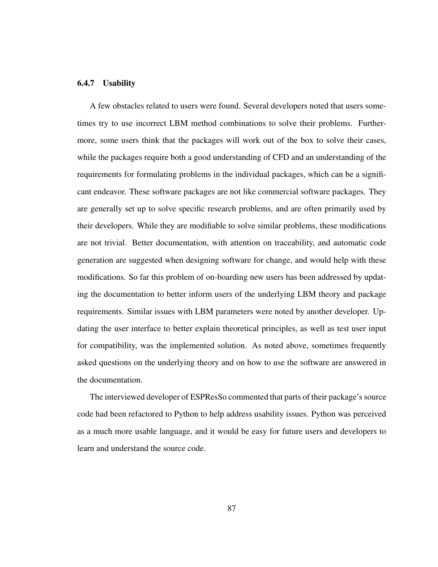#### 6.4.7 Usability

A few obstacles related to users were found. Several developers noted that users sometimes try to use incorrect LBM method combinations to solve their problems. Furthermore, some users think that the packages will work out of the box to solve their cases, while the packages require both a good understanding of CFD and an understanding of the requirements for formulating problems in the individual packages, which can be a significant endeavor. These software packages are not like commercial software packages. They are generally set up to solve specific research problems, and are often primarily used by their developers. While they are modifiable to solve similar problems, these modifications are not trivial. Better documentation, with attention on traceability, and automatic code generation are suggested when designing software for change, and would help with these modifications. So far this problem of on-boarding new users has been addressed by updating the documentation to better inform users of the underlying LBM theory and package requirements. Similar issues with LBM parameters were noted by another developer. Updating the user interface to better explain theoretical principles, as well as test user input for compatibility, was the implemented solution. As noted above, sometimes frequently asked questions on the underlying theory and on how to use the software are answered in the documentation.

The interviewed developer of ESPResSo commented that parts of their package's source code had been refactored to Python to help address usability issues. Python was perceived as a much more usable language, and it would be easy for future users and developers to learn and understand the source code.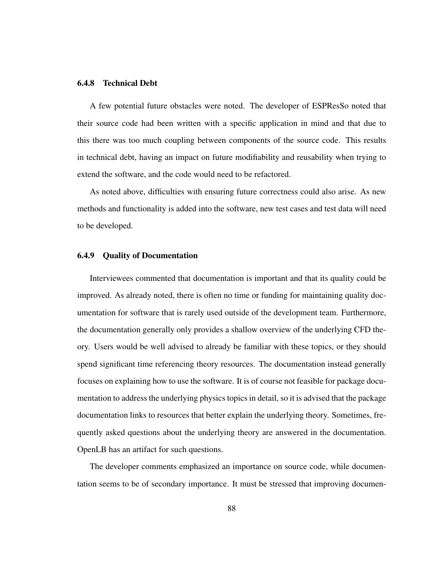#### 6.4.8 Technical Debt

A few potential future obstacles were noted. The developer of ESPResSo noted that their source code had been written with a specific application in mind and that due to this there was too much coupling between components of the source code. This results in technical debt, having an impact on future modifiability and reusability when trying to extend the software, and the code would need to be refactored.

As noted above, difficulties with ensuring future correctness could also arise. As new methods and functionality is added into the software, new test cases and test data will need to be developed.

## 6.4.9 Quality of Documentation

Interviewees commented that documentation is important and that its quality could be improved. As already noted, there is often no time or funding for maintaining quality documentation for software that is rarely used outside of the development team. Furthermore, the documentation generally only provides a shallow overview of the underlying CFD theory. Users would be well advised to already be familiar with these topics, or they should spend significant time referencing theory resources. The documentation instead generally focuses on explaining how to use the software. It is of course not feasible for package documentation to address the underlying physics topics in detail, so it is advised that the package documentation links to resources that better explain the underlying theory. Sometimes, frequently asked questions about the underlying theory are answered in the documentation. OpenLB has an artifact for such questions.

The developer comments emphasized an importance on source code, while documentation seems to be of secondary importance. It must be stressed that improving documen-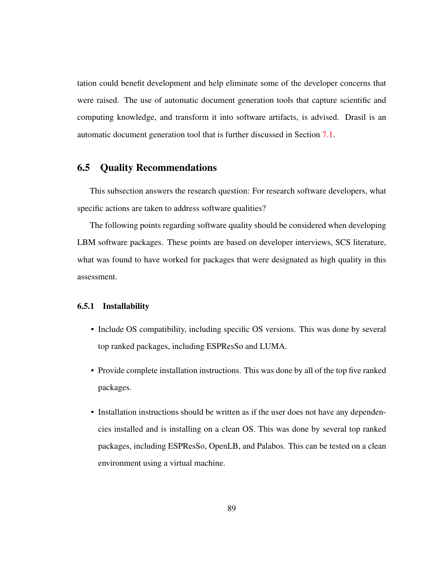tation could benefit development and help eliminate some of the developer concerns that were raised. The use of automatic document generation tools that capture scientific and computing knowledge, and transform it into software artifacts, is advised. Drasil is an automatic document generation tool that is further discussed in Section [7.1.](#page-116-0)

# <span id="page-98-0"></span>6.5 Quality Recommendations

This subsection answers the research question: For research software developers, what specific actions are taken to address software qualities?

The following points regarding software quality should be considered when developing LBM software packages. These points are based on developer interviews, SCS literature, what was found to have worked for packages that were designated as high quality in this assessment.

### 6.5.1 Installability

- Include OS compatibility, including specific OS versions. This was done by several top ranked packages, including ESPResSo and LUMA.
- Provide complete installation instructions. This was done by all of the top five ranked packages.
- Installation instructions should be written as if the user does not have any dependencies installed and is installing on a clean OS. This was done by several top ranked packages, including ESPResSo, OpenLB, and Palabos. This can be tested on a clean environment using a virtual machine.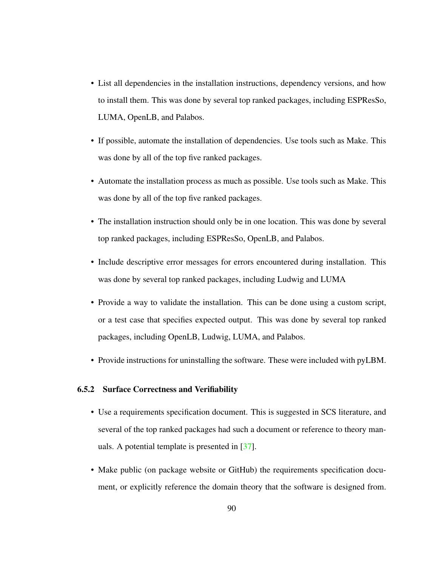- List all dependencies in the installation instructions, dependency versions, and how to install them. This was done by several top ranked packages, including ESPResSo, LUMA, OpenLB, and Palabos.
- If possible, automate the installation of dependencies. Use tools such as Make. This was done by all of the top five ranked packages.
- Automate the installation process as much as possible. Use tools such as Make. This was done by all of the top five ranked packages.
- The installation instruction should only be in one location. This was done by several top ranked packages, including ESPResSo, OpenLB, and Palabos.
- Include descriptive error messages for errors encountered during installation. This was done by several top ranked packages, including Ludwig and LUMA
- Provide a way to validate the installation. This can be done using a custom script, or a test case that specifies expected output. This was done by several top ranked packages, including OpenLB, Ludwig, LUMA, and Palabos.
- Provide instructions for uninstalling the software. These were included with pyLBM.

#### 6.5.2 Surface Correctness and Verifiability

- Use a requirements specification document. This is suggested in SCS literature, and several of the top ranked packages had such a document or reference to theory manuals. A potential template is presented in [\[37\]](#page-138-0).
- Make public (on package website or GitHub) the requirements specification document, or explicitly reference the domain theory that the software is designed from.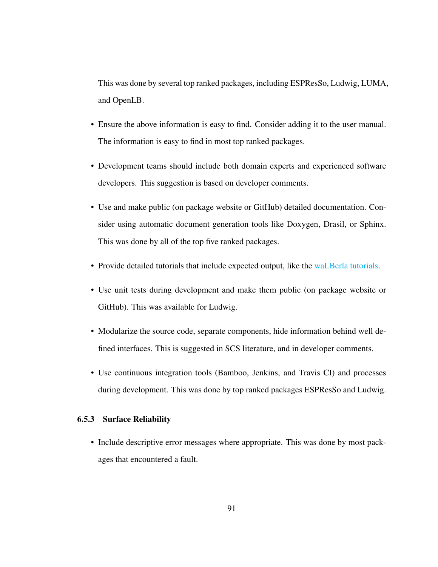This was done by several top ranked packages, including ESPResSo, Ludwig, LUMA, and OpenLB.

- Ensure the above information is easy to find. Consider adding it to the user manual. The information is easy to find in most top ranked packages.
- Development teams should include both domain experts and experienced software developers. This suggestion is based on developer comments.
- Use and make public (on package website or GitHub) detailed documentation. Consider using automatic document generation tools like Doxygen, Drasil, or Sphinx. This was done by all of the top five ranked packages.
- Provide detailed tutorials that include expected output, like the [waLBerla tutorials.](https://www.walberla.net/doxygen/index.html)
- Use unit tests during development and make them public (on package website or GitHub). This was available for Ludwig.
- Modularize the source code, separate components, hide information behind well defined interfaces. This is suggested in SCS literature, and in developer comments.
- Use continuous integration tools (Bamboo, Jenkins, and Travis CI) and processes during development. This was done by top ranked packages ESPResSo and Ludwig.

# 6.5.3 Surface Reliability

• Include descriptive error messages where appropriate. This was done by most packages that encountered a fault.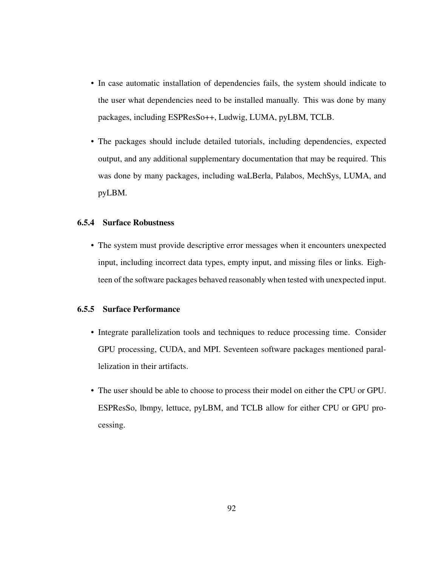- In case automatic installation of dependencies fails, the system should indicate to the user what dependencies need to be installed manually. This was done by many packages, including ESPResSo++, Ludwig, LUMA, pyLBM, TCLB.
- The packages should include detailed tutorials, including dependencies, expected output, and any additional supplementary documentation that may be required. This was done by many packages, including waLBerla, Palabos, MechSys, LUMA, and pyLBM.

# 6.5.4 Surface Robustness

• The system must provide descriptive error messages when it encounters unexpected input, including incorrect data types, empty input, and missing files or links. Eighteen of the software packages behaved reasonably when tested with unexpected input.

# 6.5.5 Surface Performance

- Integrate parallelization tools and techniques to reduce processing time. Consider GPU processing, CUDA, and MPI. Seventeen software packages mentioned parallelization in their artifacts.
- The user should be able to choose to process their model on either the CPU or GPU. ESPResSo, lbmpy, lettuce, pyLBM, and TCLB allow for either CPU or GPU processing.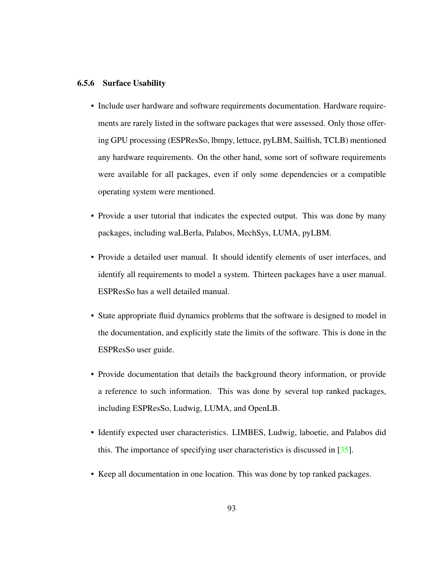#### 6.5.6 Surface Usability

- Include user hardware and software requirements documentation. Hardware requirements are rarely listed in the software packages that were assessed. Only those offering GPU processing (ESPResSo, lbmpy, lettuce, pyLBM, Sailfish, TCLB) mentioned any hardware requirements. On the other hand, some sort of software requirements were available for all packages, even if only some dependencies or a compatible operating system were mentioned.
- Provide a user tutorial that indicates the expected output. This was done by many packages, including waLBerla, Palabos, MechSys, LUMA, pyLBM.
- Provide a detailed user manual. It should identify elements of user interfaces, and identify all requirements to model a system. Thirteen packages have a user manual. ESPResSo has a well detailed manual.
- State appropriate fluid dynamics problems that the software is designed to model in the documentation, and explicitly state the limits of the software. This is done in the ESPResSo user guide.
- Provide documentation that details the background theory information, or provide a reference to such information. This was done by several top ranked packages, including ESPResSo, Ludwig, LUMA, and OpenLB.
- Identify expected user characteristics. LIMBES, Ludwig, laboetie, and Palabos did this. The importance of specifying user characteristics is discussed in [\[35\]](#page-137-2).
- Keep all documentation in one location. This was done by top ranked packages.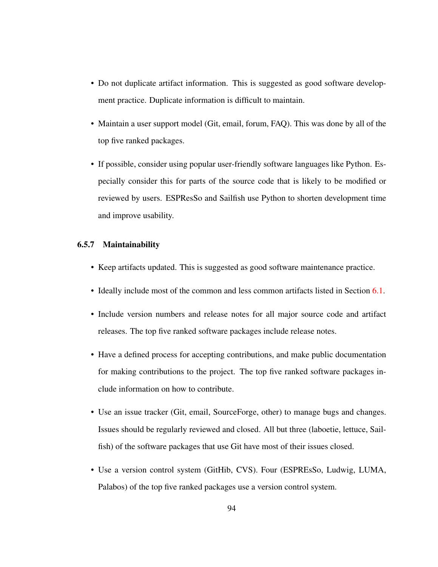- Do not duplicate artifact information. This is suggested as good software development practice. Duplicate information is difficult to maintain.
- Maintain a user support model (Git, email, forum, FAQ). This was done by all of the top five ranked packages.
- If possible, consider using popular user-friendly software languages like Python. Especially consider this for parts of the source code that is likely to be modified or reviewed by users. ESPResSo and Sailfish use Python to shorten development time and improve usability.

### 6.5.7 Maintainability

- Keep artifacts updated. This is suggested as good software maintenance practice.
- Ideally include most of the common and less common artifacts listed in Section [6.1.](#page-84-0)
- Include version numbers and release notes for all major source code and artifact releases. The top five ranked software packages include release notes.
- Have a defined process for accepting contributions, and make public documentation for making contributions to the project. The top five ranked software packages include information on how to contribute.
- Use an issue tracker (Git, email, SourceForge, other) to manage bugs and changes. Issues should be regularly reviewed and closed. All but three (laboetie, lettuce, Sailfish) of the software packages that use Git have most of their issues closed.
- Use a version control system (GitHib, CVS). Four (ESPREsSo, Ludwig, LUMA, Palabos) of the top five ranked packages use a version control system.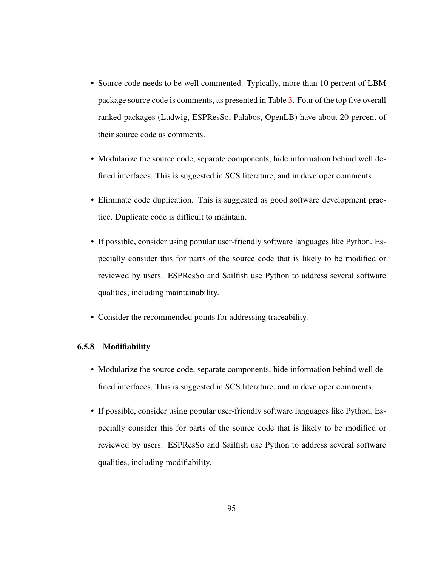- Source code needs to be well commented. Typically, more than 10 percent of LBM package source code is comments, as presented in Table [3.](#page-66-0) Four of the top five overall ranked packages (Ludwig, ESPResSo, Palabos, OpenLB) have about 20 percent of their source code as comments.
- Modularize the source code, separate components, hide information behind well defined interfaces. This is suggested in SCS literature, and in developer comments.
- Eliminate code duplication. This is suggested as good software development practice. Duplicate code is difficult to maintain.
- If possible, consider using popular user-friendly software languages like Python. Especially consider this for parts of the source code that is likely to be modified or reviewed by users. ESPResSo and Sailfish use Python to address several software qualities, including maintainability.
- Consider the recommended points for addressing traceability.

# 6.5.8 Modifiability

- Modularize the source code, separate components, hide information behind well defined interfaces. This is suggested in SCS literature, and in developer comments.
- If possible, consider using popular user-friendly software languages like Python. Especially consider this for parts of the source code that is likely to be modified or reviewed by users. ESPResSo and Sailfish use Python to address several software qualities, including modifiability.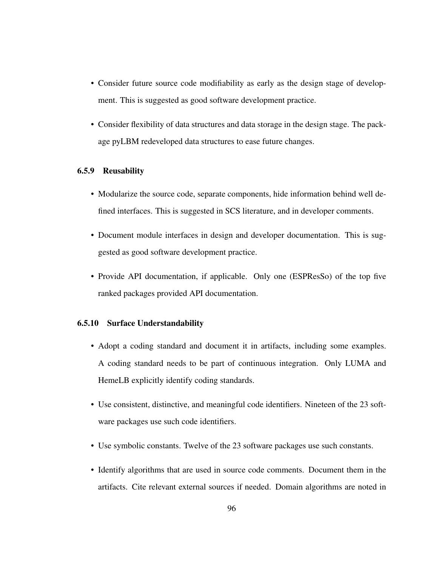- Consider future source code modifiability as early as the design stage of development. This is suggested as good software development practice.
- Consider flexibility of data structures and data storage in the design stage. The package pyLBM redeveloped data structures to ease future changes.

# 6.5.9 Reusability

- Modularize the source code, separate components, hide information behind well defined interfaces. This is suggested in SCS literature, and in developer comments.
- Document module interfaces in design and developer documentation. This is suggested as good software development practice.
- Provide API documentation, if applicable. Only one (ESPResSo) of the top five ranked packages provided API documentation.

### 6.5.10 Surface Understandability

- Adopt a coding standard and document it in artifacts, including some examples. A coding standard needs to be part of continuous integration. Only LUMA and HemeLB explicitly identify coding standards.
- Use consistent, distinctive, and meaningful code identifiers. Nineteen of the 23 software packages use such code identifiers.
- Use symbolic constants. Twelve of the 23 software packages use such constants.
- Identify algorithms that are used in source code comments. Document them in the artifacts. Cite relevant external sources if needed. Domain algorithms are noted in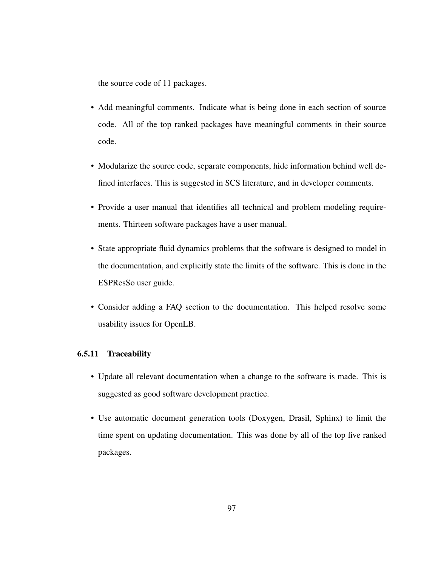the source code of 11 packages.

- Add meaningful comments. Indicate what is being done in each section of source code. All of the top ranked packages have meaningful comments in their source code.
- Modularize the source code, separate components, hide information behind well defined interfaces. This is suggested in SCS literature, and in developer comments.
- Provide a user manual that identifies all technical and problem modeling requirements. Thirteen software packages have a user manual.
- State appropriate fluid dynamics problems that the software is designed to model in the documentation, and explicitly state the limits of the software. This is done in the ESPResSo user guide.
- Consider adding a FAQ section to the documentation. This helped resolve some usability issues for OpenLB.

## 6.5.11 Traceability

- Update all relevant documentation when a change to the software is made. This is suggested as good software development practice.
- Use automatic document generation tools (Doxygen, Drasil, Sphinx) to limit the time spent on updating documentation. This was done by all of the top five ranked packages.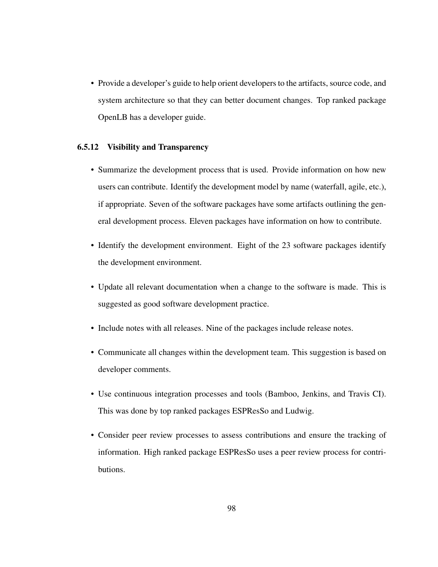• Provide a developer's guide to help orient developers to the artifacts, source code, and system architecture so that they can better document changes. Top ranked package OpenLB has a developer guide.

### 6.5.12 Visibility and Transparency

- Summarize the development process that is used. Provide information on how new users can contribute. Identify the development model by name (waterfall, agile, etc.), if appropriate. Seven of the software packages have some artifacts outlining the general development process. Eleven packages have information on how to contribute.
- Identify the development environment. Eight of the 23 software packages identify the development environment.
- Update all relevant documentation when a change to the software is made. This is suggested as good software development practice.
- Include notes with all releases. Nine of the packages include release notes.
- Communicate all changes within the development team. This suggestion is based on developer comments.
- Use continuous integration processes and tools (Bamboo, Jenkins, and Travis CI). This was done by top ranked packages ESPResSo and Ludwig.
- Consider peer review processes to assess contributions and ensure the tracking of information. High ranked package ESPResSo uses a peer review process for contributions.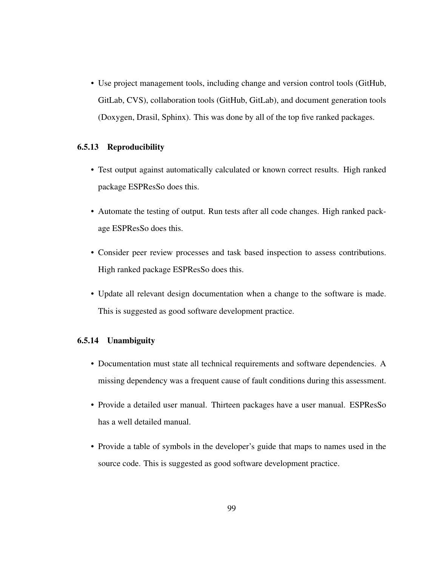• Use project management tools, including change and version control tools (GitHub, GitLab, CVS), collaboration tools (GitHub, GitLab), and document generation tools (Doxygen, Drasil, Sphinx). This was done by all of the top five ranked packages.

#### 6.5.13 Reproducibility

- Test output against automatically calculated or known correct results. High ranked package ESPResSo does this.
- Automate the testing of output. Run tests after all code changes. High ranked package ESPResSo does this.
- Consider peer review processes and task based inspection to assess contributions. High ranked package ESPResSo does this.
- Update all relevant design documentation when a change to the software is made. This is suggested as good software development practice.

#### 6.5.14 Unambiguity

- Documentation must state all technical requirements and software dependencies. A missing dependency was a frequent cause of fault conditions during this assessment.
- Provide a detailed user manual. Thirteen packages have a user manual. ESPResSo has a well detailed manual.
- Provide a table of symbols in the developer's guide that maps to names used in the source code. This is suggested as good software development practice.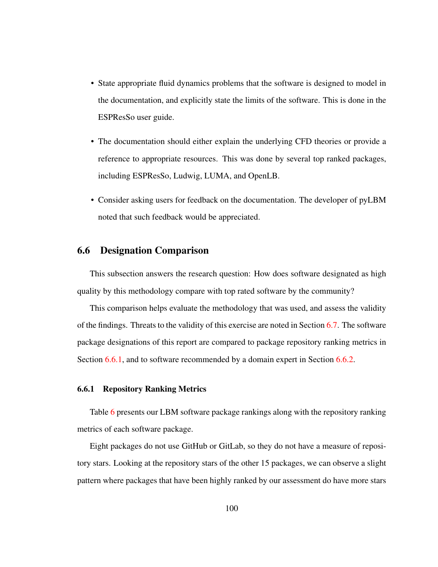- State appropriate fluid dynamics problems that the software is designed to model in the documentation, and explicitly state the limits of the software. This is done in the ESPResSo user guide.
- The documentation should either explain the underlying CFD theories or provide a reference to appropriate resources. This was done by several top ranked packages, including ESPResSo, Ludwig, LUMA, and OpenLB.
- Consider asking users for feedback on the documentation. The developer of pyLBM noted that such feedback would be appreciated.

#### 6.6 Designation Comparison

This subsection answers the research question: How does software designated as high quality by this methodology compare with top rated software by the community?

This comparison helps evaluate the methodology that was used, and assess the validity of the findings. Threats to the validity of this exercise are noted in Section [6.7.](#page-113-0) The software package designations of this report are compared to package repository ranking metrics in Section [6.6.1,](#page-109-0) and to software recommended by a domain expert in Section [6.6.2.](#page-111-0)

#### <span id="page-109-0"></span>6.6.1 Repository Ranking Metrics

Table [6](#page-111-1) presents our LBM software package rankings along with the repository ranking metrics of each software package.

Eight packages do not use GitHub or GitLab, so they do not have a measure of repository stars. Looking at the repository stars of the other 15 packages, we can observe a slight pattern where packages that have been highly ranked by our assessment do have more stars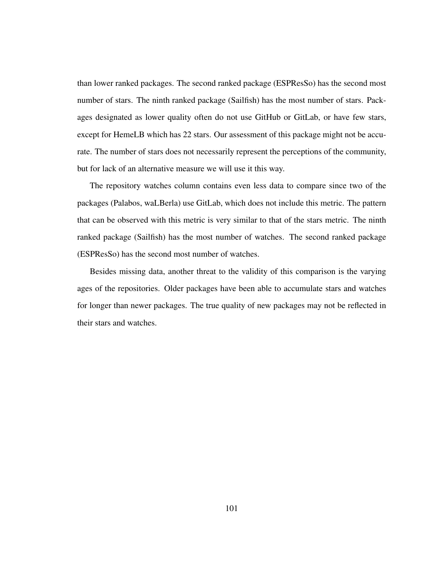than lower ranked packages. The second ranked package (ESPResSo) has the second most number of stars. The ninth ranked package (Sailfish) has the most number of stars. Packages designated as lower quality often do not use GitHub or GitLab, or have few stars, except for HemeLB which has 22 stars. Our assessment of this package might not be accurate. The number of stars does not necessarily represent the perceptions of the community, but for lack of an alternative measure we will use it this way.

The repository watches column contains even less data to compare since two of the packages (Palabos, waLBerla) use GitLab, which does not include this metric. The pattern that can be observed with this metric is very similar to that of the stars metric. The ninth ranked package (Sailfish) has the most number of watches. The second ranked package (ESPResSo) has the second most number of watches.

Besides missing data, another threat to the validity of this comparison is the varying ages of the repositories. Older packages have been able to accumulate stars and watches for longer than newer packages. The true quality of new packages may not be reflected in their stars and watches.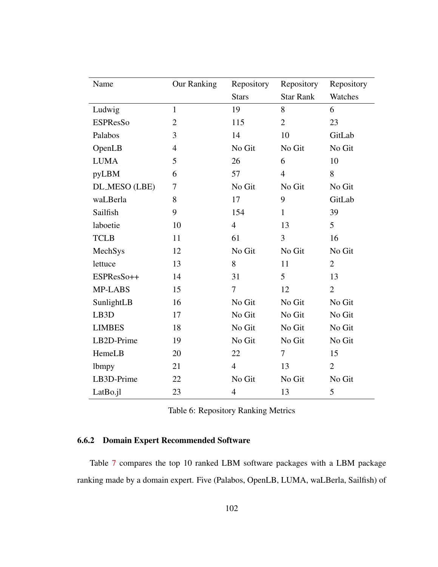| Name              | <b>Our Ranking</b> | Repository     | Repository       | Repository     |
|-------------------|--------------------|----------------|------------------|----------------|
|                   |                    | <b>Stars</b>   | <b>Star Rank</b> | Watches        |
| Ludwig            | $\mathbf{1}$       | 19             | 8                | 6              |
| <b>ESPResSo</b>   | $\overline{2}$     | 115            | $\overline{2}$   | 23             |
| Palabos           | 3                  | 14             | 10               | GitLab         |
| OpenLB            | $\overline{4}$     | No Git         | No Git           | No Git         |
| <b>LUMA</b>       | 5                  | 26             | 6                | 10             |
| pyLBM             | 6                  | 57             | $\overline{4}$   | 8              |
| DL_MESO (LBE)     | 7                  | No Git         | No Git           | No Git         |
| waLBerla          | 8                  | 17             | 9                | GitLab         |
| Sailfish          | 9                  | 154            | $\mathbf{1}$     | 39             |
| laboetie          | 10                 | $\overline{4}$ | 13               | $\overline{5}$ |
| <b>TCLB</b>       | 11                 | 61             | 3                | 16             |
| MechSys           | 12                 | No Git         | No Git           | No Git         |
| lettuce           | 13                 | 8              | 11               | $\overline{2}$ |
| ESPResSo++        | 14                 | 31             | 5                | 13             |
| MP-LABS           | 15                 | 7              | 12               | $\overline{2}$ |
| SunlightLB        | 16                 | No Git         | No Git           | No Git         |
| LB <sub>3</sub> D | 17                 | No Git         | No Git           | No Git         |
| <b>LIMBES</b>     | 18                 | No Git         | No Git           | No Git         |
| LB2D-Prime        | 19                 | No Git         | No Git           | No Git         |
| HemeLB            | 20                 | 22             | $\tau$           | 15             |
| <b>lbmpy</b>      | 21                 | $\overline{4}$ | 13               | $\overline{2}$ |
| LB3D-Prime        | 22                 | No Git         | No Git           | No Git         |
| LatBo.jl          | 23                 | $\overline{4}$ | 13               | 5              |

<span id="page-111-1"></span>

|  |  | Table 6: Repository Ranking Metrics |
|--|--|-------------------------------------|
|--|--|-------------------------------------|

#### <span id="page-111-0"></span>6.6.2 Domain Expert Recommended Software

Table [7](#page-113-1) compares the top 10 ranked LBM software packages with a LBM package ranking made by a domain expert. Five (Palabos, OpenLB, LUMA, waLBerla, Sailfish) of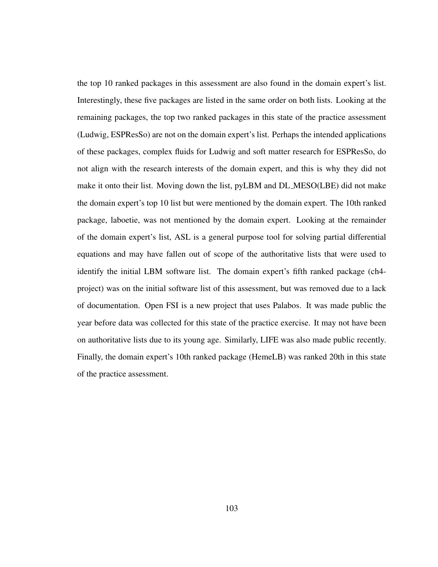the top 10 ranked packages in this assessment are also found in the domain expert's list. Interestingly, these five packages are listed in the same order on both lists. Looking at the remaining packages, the top two ranked packages in this state of the practice assessment (Ludwig, ESPResSo) are not on the domain expert's list. Perhaps the intended applications of these packages, complex fluids for Ludwig and soft matter research for ESPResSo, do not align with the research interests of the domain expert, and this is why they did not make it onto their list. Moving down the list, pyLBM and DL MESO(LBE) did not make the domain expert's top 10 list but were mentioned by the domain expert. The 10th ranked package, laboetie, was not mentioned by the domain expert. Looking at the remainder of the domain expert's list, ASL is a general purpose tool for solving partial differential equations and may have fallen out of scope of the authoritative lists that were used to identify the initial LBM software list. The domain expert's fifth ranked package (ch4 project) was on the initial software list of this assessment, but was removed due to a lack of documentation. Open FSI is a new project that uses Palabos. It was made public the year before data was collected for this state of the practice exercise. It may not have been on authoritative lists due to its young age. Similarly, LIFE was also made public recently. Finally, the domain expert's 10th ranked package (HemeLB) was ranked 20th in this state of the practice assessment.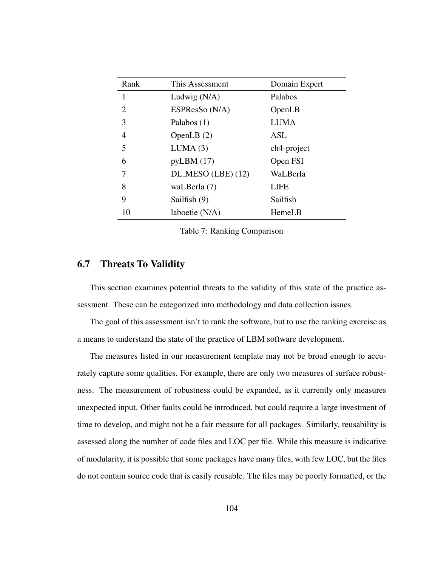| Rank           | This Assessment      | Domain Expert |
|----------------|----------------------|---------------|
| 1              | Ludwig $(N/A)$       | Palabos       |
| $\overline{2}$ | ESPResSo (N/A)       | OpenLB        |
| 3              | Palabos (1)          | <b>LUMA</b>   |
| 4              | OpenLB $(2)$         | ASL           |
| 5              | LUMA(3)              | ch4-project   |
| 6              | pyLBM(17)            | Open FSI      |
| 7              | $DL-MESO (LBE) (12)$ | WaLBerla      |
| 8              | waLBerla (7)         | LIFE          |
| 9              | Sailfish (9)         | Sailfish      |
| 10             | laboetie (N/A)       | HemeLB        |

<span id="page-113-1"></span>Table 7: Ranking Comparison

#### <span id="page-113-0"></span>6.7 Threats To Validity

This section examines potential threats to the validity of this state of the practice assessment. These can be categorized into methodology and data collection issues.

The goal of this assessment isn't to rank the software, but to use the ranking exercise as a means to understand the state of the practice of LBM software development.

The measures listed in our measurement template may not be broad enough to accurately capture some qualities. For example, there are only two measures of surface robustness. The measurement of robustness could be expanded, as it currently only measures unexpected input. Other faults could be introduced, but could require a large investment of time to develop, and might not be a fair measure for all packages. Similarly, reusability is assessed along the number of code files and LOC per file. While this measure is indicative of modularity, it is possible that some packages have many files, with few LOC, but the files do not contain source code that is easily reusable. The files may be poorly formatted, or the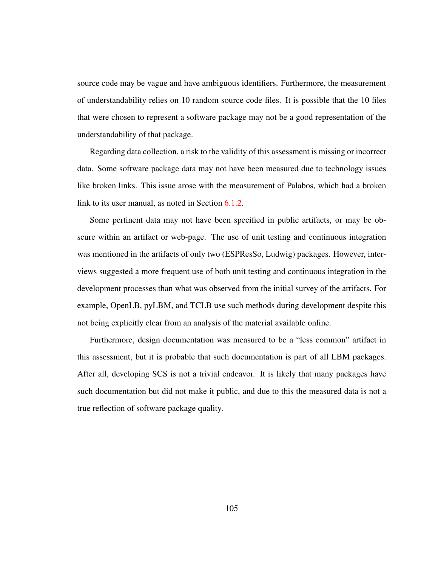source code may be vague and have ambiguous identifiers. Furthermore, the measurement of understandability relies on 10 random source code files. It is possible that the 10 files that were chosen to represent a software package may not be a good representation of the understandability of that package.

Regarding data collection, a risk to the validity of this assessment is missing or incorrect data. Some software package data may not have been measured due to technology issues like broken links. This issue arose with the measurement of Palabos, which had a broken link to its user manual, as noted in Section [6.1.2.](#page-86-0)

Some pertinent data may not have been specified in public artifacts, or may be obscure within an artifact or web-page. The use of unit testing and continuous integration was mentioned in the artifacts of only two (ESPResSo, Ludwig) packages. However, interviews suggested a more frequent use of both unit testing and continuous integration in the development processes than what was observed from the initial survey of the artifacts. For example, OpenLB, pyLBM, and TCLB use such methods during development despite this not being explicitly clear from an analysis of the material available online.

Furthermore, design documentation was measured to be a "less common" artifact in this assessment, but it is probable that such documentation is part of all LBM packages. After all, developing SCS is not a trivial endeavor. It is likely that many packages have such documentation but did not make it public, and due to this the measured data is not a true reflection of software package quality.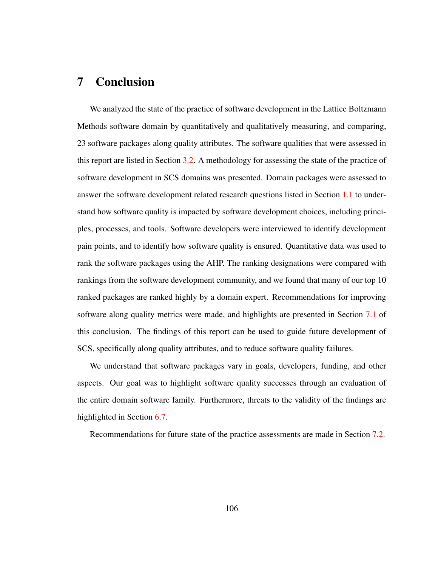### 7 Conclusion

We analyzed the state of the practice of software development in the Lattice Boltzmann Methods software domain by quantitatively and qualitatively measuring, and comparing, 23 software packages along quality attributes. The software qualities that were assessed in this report are listed in Section [3.2.](#page-42-0) A methodology for assessing the state of the practice of software development in SCS domains was presented. Domain packages were assessed to answer the software development related research questions listed in Section [1.1](#page-11-0) to understand how software quality is impacted by software development choices, including principles, processes, and tools. Software developers were interviewed to identify development pain points, and to identify how software quality is ensured. Quantitative data was used to rank the software packages using the AHP. The ranking designations were compared with rankings from the software development community, and we found that many of our top 10 ranked packages are ranked highly by a domain expert. Recommendations for improving software along quality metrics were made, and highlights are presented in Section [7.1](#page-116-0) of this conclusion. The findings of this report can be used to guide future development of SCS, specifically along quality attributes, and to reduce software quality failures.

We understand that software packages vary in goals, developers, funding, and other aspects. Our goal was to highlight software quality successes through an evaluation of the entire domain software family. Furthermore, threats to the validity of the findings are highlighted in Section [6.7.](#page-113-0)

Recommendations for future state of the practice assessments are made in Section [7.2.](#page-117-0)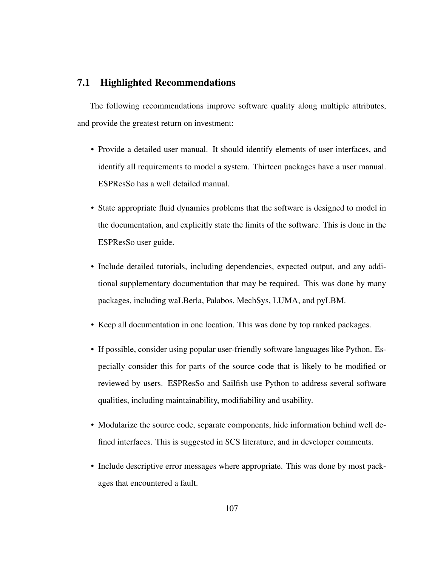#### <span id="page-116-0"></span>7.1 Highlighted Recommendations

The following recommendations improve software quality along multiple attributes, and provide the greatest return on investment:

- Provide a detailed user manual. It should identify elements of user interfaces, and identify all requirements to model a system. Thirteen packages have a user manual. ESPResSo has a well detailed manual.
- State appropriate fluid dynamics problems that the software is designed to model in the documentation, and explicitly state the limits of the software. This is done in the ESPResSo user guide.
- Include detailed tutorials, including dependencies, expected output, and any additional supplementary documentation that may be required. This was done by many packages, including waLBerla, Palabos, MechSys, LUMA, and pyLBM.
- Keep all documentation in one location. This was done by top ranked packages.
- If possible, consider using popular user-friendly software languages like Python. Especially consider this for parts of the source code that is likely to be modified or reviewed by users. ESPResSo and Sailfish use Python to address several software qualities, including maintainability, modifiability and usability.
- Modularize the source code, separate components, hide information behind well defined interfaces. This is suggested in SCS literature, and in developer comments.
- Include descriptive error messages where appropriate. This was done by most packages that encountered a fault.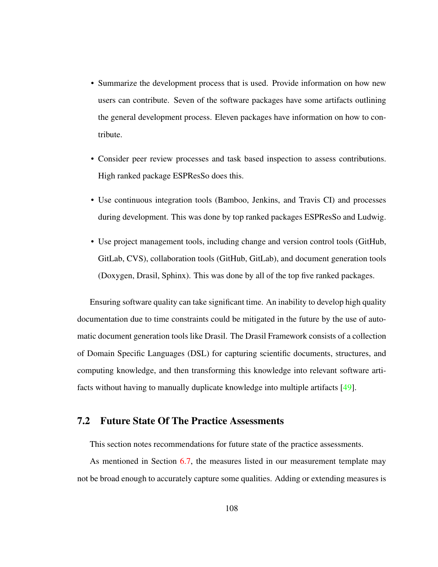- Summarize the development process that is used. Provide information on how new users can contribute. Seven of the software packages have some artifacts outlining the general development process. Eleven packages have information on how to contribute.
- Consider peer review processes and task based inspection to assess contributions. High ranked package ESPResSo does this.
- Use continuous integration tools (Bamboo, Jenkins, and Travis CI) and processes during development. This was done by top ranked packages ESPResSo and Ludwig.
- Use project management tools, including change and version control tools (GitHub, GitLab, CVS), collaboration tools (GitHub, GitLab), and document generation tools (Doxygen, Drasil, Sphinx). This was done by all of the top five ranked packages.

Ensuring software quality can take significant time. An inability to develop high quality documentation due to time constraints could be mitigated in the future by the use of automatic document generation tools like Drasil. The Drasil Framework consists of a collection of Domain Specific Languages (DSL) for capturing scientific documents, structures, and computing knowledge, and then transforming this knowledge into relevant software artifacts without having to manually duplicate knowledge into multiple artifacts [\[49\]](#page-138-0).

#### <span id="page-117-0"></span>7.2 Future State Of The Practice Assessments

This section notes recommendations for future state of the practice assessments.

As mentioned in Section [6.7,](#page-113-0) the measures listed in our measurement template may not be broad enough to accurately capture some qualities. Adding or extending measures is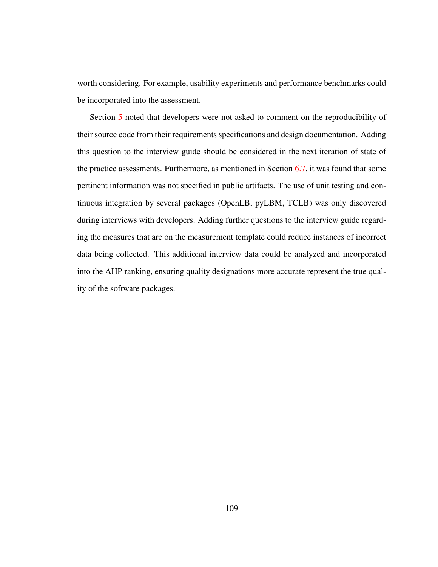worth considering. For example, usability experiments and performance benchmarks could be incorporated into the assessment.

Section [5](#page-74-0) noted that developers were not asked to comment on the reproducibility of their source code from their requirements specifications and design documentation. Adding this question to the interview guide should be considered in the next iteration of state of the practice assessments. Furthermore, as mentioned in Section [6.7,](#page-113-0) it was found that some pertinent information was not specified in public artifacts. The use of unit testing and continuous integration by several packages (OpenLB, pyLBM, TCLB) was only discovered during interviews with developers. Adding further questions to the interview guide regarding the measures that are on the measurement template could reduce instances of incorrect data being collected. This additional interview data could be analyzed and incorporated into the AHP ranking, ensuring quality designations more accurate represent the true quality of the software packages.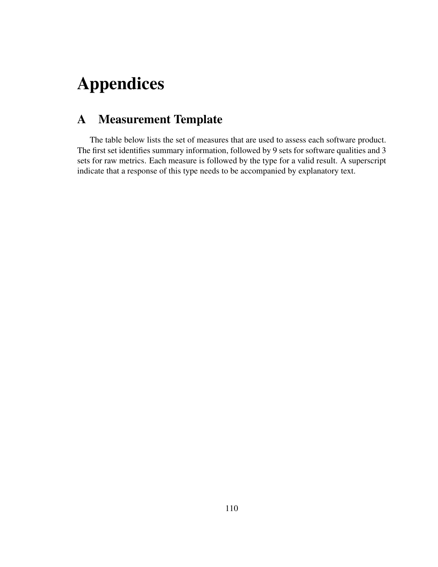# Appendices

## A Measurement Template

The table below lists the set of measures that are used to assess each software product. The first set identifies summary information, followed by 9 sets for software qualities and 3 sets for raw metrics. Each measure is followed by the type for a valid result. A superscript indicate that a response of this type needs to be accompanied by explanatory text.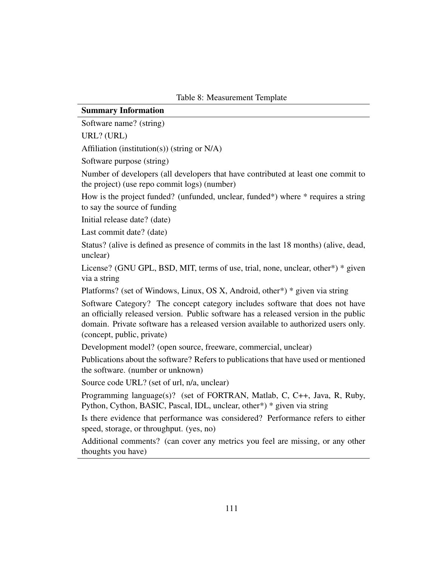Table 8: Measurement Template

#### Summary Information

Software name? (string)

URL? (URL)

Affiliation (institution(s)) (string or N/A)

Software purpose (string)

Number of developers (all developers that have contributed at least one commit to the project) (use repo commit logs) (number)

How is the project funded? (unfunded, unclear, funded\*) where \* requires a string to say the source of funding

Initial release date? (date)

Last commit date? (date)

Status? (alive is defined as presence of commits in the last 18 months) (alive, dead, unclear)

License? (GNU GPL, BSD, MIT, terms of use, trial, none, unclear, other\*) \* given via a string

Platforms? (set of Windows, Linux, OS X, Android, other\*) \* given via string

Software Category? The concept category includes software that does not have an officially released version. Public software has a released version in the public domain. Private software has a released version available to authorized users only. (concept, public, private)

Development model? (open source, freeware, commercial, unclear)

Publications about the software? Refers to publications that have used or mentioned the software. (number or unknown)

Source code URL? (set of url, n/a, unclear)

Programming language(s)? (set of FORTRAN, Matlab, C, C++, Java, R, Ruby, Python, Cython, BASIC, Pascal, IDL, unclear, other\*) \* given via string

Is there evidence that performance was considered? Performance refers to either speed, storage, or throughput. (yes, no)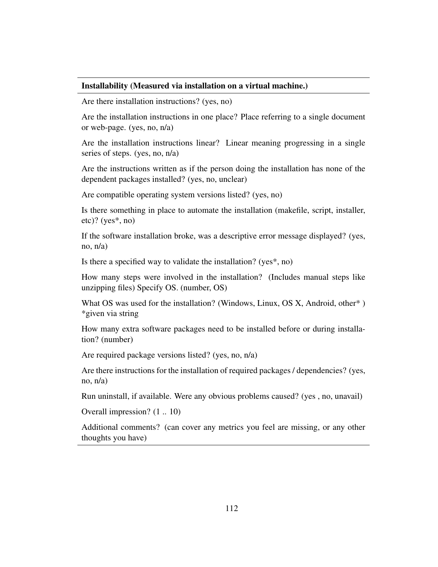#### Installability (Measured via installation on a virtual machine.)

Are there installation instructions? (yes, no)

Are the installation instructions in one place? Place referring to a single document or web-page. (yes, no, n/a)

Are the installation instructions linear? Linear meaning progressing in a single series of steps. (yes, no, n/a)

Are the instructions written as if the person doing the installation has none of the dependent packages installed? (yes, no, unclear)

Are compatible operating system versions listed? (yes, no)

Is there something in place to automate the installation (makefile, script, installer, etc)? (yes\*, no)

If the software installation broke, was a descriptive error message displayed? (yes, no,  $n/a$ )

Is there a specified way to validate the installation? (yes\*, no)

How many steps were involved in the installation? (Includes manual steps like unzipping files) Specify OS. (number, OS)

What OS was used for the installation? (Windows, Linux, OS X, Android, other\* ) \*given via string

How many extra software packages need to be installed before or during installation? (number)

Are required package versions listed? (yes, no, n/a)

Are there instructions for the installation of required packages / dependencies? (yes, no,  $n/a$ )

Run uninstall, if available. Were any obvious problems caused? (yes , no, unavail)

Overall impression? (1 .. 10)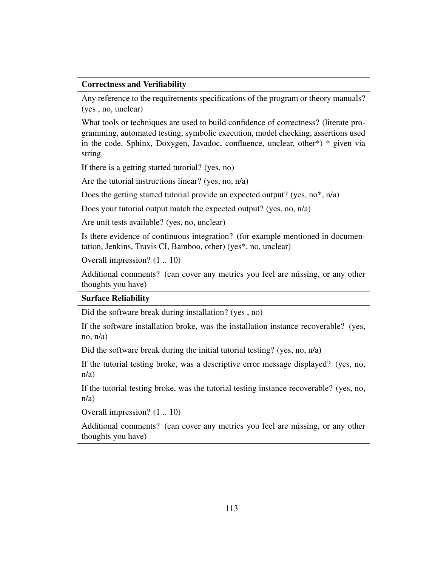#### Correctness and Verifiability

Any reference to the requirements specifications of the program or theory manuals? (yes , no, unclear)

What tools or techniques are used to build confidence of correctness? (literate programming, automated testing, symbolic execution, model checking, assertions used in the code, Sphinx, Doxygen, Javadoc, confluence, unclear, other\*) \* given via string

If there is a getting started tutorial? (yes, no)

Are the tutorial instructions linear? (yes, no, n/a)

Does the getting started tutorial provide an expected output? (yes, no<sup>\*</sup>, n/a)

Does your tutorial output match the expected output? (yes, no, n/a)

Are unit tests available? (yes, no, unclear)

Is there evidence of continuous integration? (for example mentioned in documentation, Jenkins, Travis CI, Bamboo, other) (yes\*, no, unclear)

Overall impression? (1 .. 10)

Additional comments? (can cover any metrics you feel are missing, or any other thoughts you have)

#### Surface Reliability

Did the software break during installation? (yes , no)

If the software installation broke, was the installation instance recoverable? (yes, no,  $n/a$ )

Did the software break during the initial tutorial testing? (yes, no, n/a)

If the tutorial testing broke, was a descriptive error message displayed? (yes, no,  $n/a$ )

If the tutorial testing broke, was the tutorial testing instance recoverable? (yes, no, n/a)

Overall impression? (1 .. 10)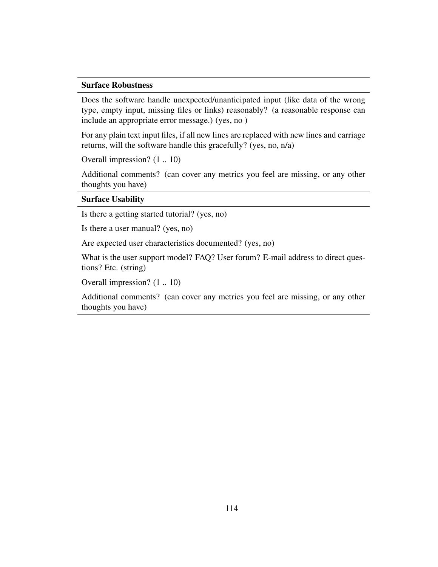#### Surface Robustness

Does the software handle unexpected/unanticipated input (like data of the wrong type, empty input, missing files or links) reasonably? (a reasonable response can include an appropriate error message.) (yes, no )

For any plain text input files, if all new lines are replaced with new lines and carriage returns, will the software handle this gracefully? (yes, no, n/a)

Overall impression? (1 .. 10)

Additional comments? (can cover any metrics you feel are missing, or any other thoughts you have)

#### Surface Usability

Is there a getting started tutorial? (yes, no)

Is there a user manual? (yes, no)

Are expected user characteristics documented? (yes, no)

What is the user support model? FAQ? User forum? E-mail address to direct questions? Etc. (string)

Overall impression? (1 .. 10)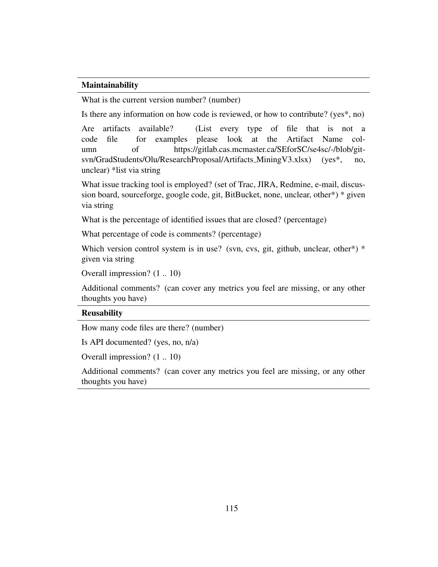#### Maintainability

What is the current version number? (number)

Is there any information on how code is reviewed, or how to contribute? (yes\*, no)

Are artifacts available? (List every type of file that is not a code file for examples please look at the Artifact Name column of https://gitlab.cas.mcmaster.ca/SEforSC/se4sc/-/blob/gitsvn/GradStudents/Olu/ResearchProposal/Artifacts\_MiningV3.xlsx) (yes\*, no, unclear) \*list via string

What issue tracking tool is employed? (set of Trac, JIRA, Redmine, e-mail, discussion board, sourceforge, google code, git, BitBucket, none, unclear, other\*) \* given via string

What is the percentage of identified issues that are closed? (percentage)

What percentage of code is comments? (percentage)

Which version control system is in use? (svn, cvs, git, github, unclear, other\*) \* given via string

Overall impression? (1 .. 10)

Additional comments? (can cover any metrics you feel are missing, or any other thoughts you have)

#### Reusability

How many code files are there? (number)

Is API documented? (yes, no, n/a)

Overall impression? (1 .. 10)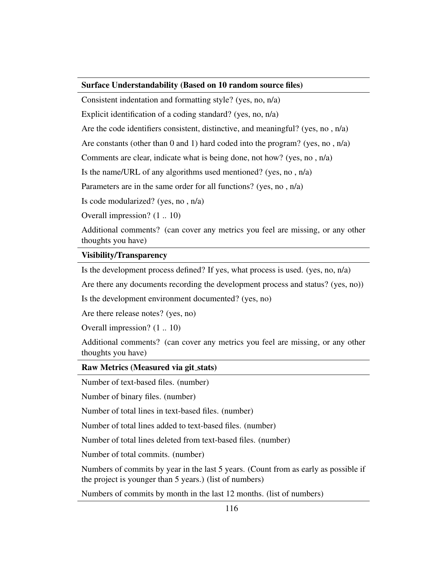#### Surface Understandability (Based on 10 random source files)

Consistent indentation and formatting style? (yes, no, n/a)

Explicit identification of a coding standard? (yes, no, n/a)

Are the code identifiers consistent, distinctive, and meaningful? (yes, no , n/a)

Are constants (other than 0 and 1) hard coded into the program? (yes, no,  $n/a$ )

Comments are clear, indicate what is being done, not how? (yes, no , n/a)

Is the name/URL of any algorithms used mentioned? (yes, no , n/a)

Parameters are in the same order for all functions? (yes, no , n/a)

Is code modularized? (yes, no , n/a)

Overall impression? (1 .. 10)

Additional comments? (can cover any metrics you feel are missing, or any other thoughts you have)

#### Visibility/Transparency

Is the development process defined? If yes, what process is used. (yes, no, n/a)

Are there any documents recording the development process and status? (yes, no))

Is the development environment documented? (yes, no)

Are there release notes? (yes, no)

Overall impression? (1 .. 10)

Additional comments? (can cover any metrics you feel are missing, or any other thoughts you have)

#### Raw Metrics (Measured via git stats)

Number of text-based files. (number)

Number of binary files. (number)

Number of total lines in text-based files. (number)

Number of total lines added to text-based files. (number)

Number of total lines deleted from text-based files. (number)

Number of total commits. (number)

Numbers of commits by year in the last 5 years. (Count from as early as possible if the project is younger than 5 years.) (list of numbers)

Numbers of commits by month in the last 12 months. (list of numbers)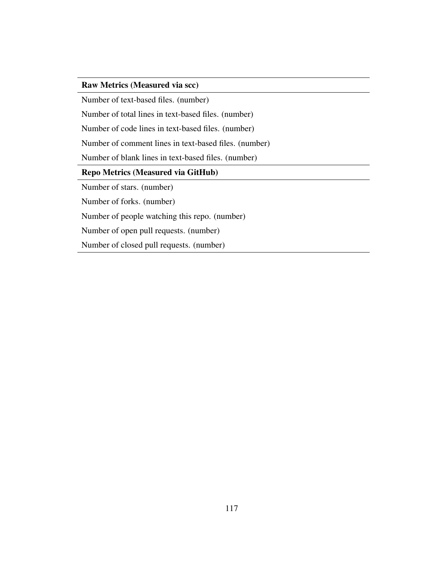#### Raw Metrics (Measured via scc)

Number of text-based files. (number)

Number of total lines in text-based files. (number)

Number of code lines in text-based files. (number)

Number of comment lines in text-based files. (number)

Number of blank lines in text-based files. (number)

#### Repo Metrics (Measured via GitHub)

Number of stars. (number)

Number of forks. (number)

Number of people watching this repo. (number)

Number of open pull requests. (number)

Number of closed pull requests. (number)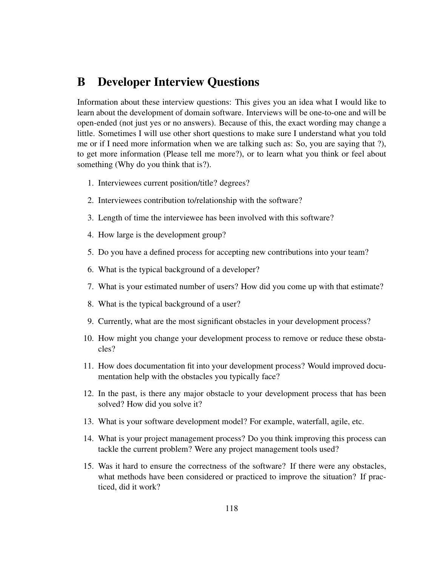### B Developer Interview Questions

Information about these interview questions: This gives you an idea what I would like to learn about the development of domain software. Interviews will be one-to-one and will be open-ended (not just yes or no answers). Because of this, the exact wording may change a little. Sometimes I will use other short questions to make sure I understand what you told me or if I need more information when we are talking such as: So, you are saying that ?), to get more information (Please tell me more?), or to learn what you think or feel about something (Why do you think that is?).

- 1. Interviewees current position/title? degrees?
- 2. Interviewees contribution to/relationship with the software?
- 3. Length of time the interviewee has been involved with this software?
- 4. How large is the development group?
- 5. Do you have a defined process for accepting new contributions into your team?
- 6. What is the typical background of a developer?
- 7. What is your estimated number of users? How did you come up with that estimate?
- 8. What is the typical background of a user?
- 9. Currently, what are the most significant obstacles in your development process?
- 10. How might you change your development process to remove or reduce these obstacles?
- 11. How does documentation fit into your development process? Would improved documentation help with the obstacles you typically face?
- 12. In the past, is there any major obstacle to your development process that has been solved? How did you solve it?
- 13. What is your software development model? For example, waterfall, agile, etc.
- 14. What is your project management process? Do you think improving this process can tackle the current problem? Were any project management tools used?
- 15. Was it hard to ensure the correctness of the software? If there were any obstacles, what methods have been considered or practiced to improve the situation? If practiced, did it work?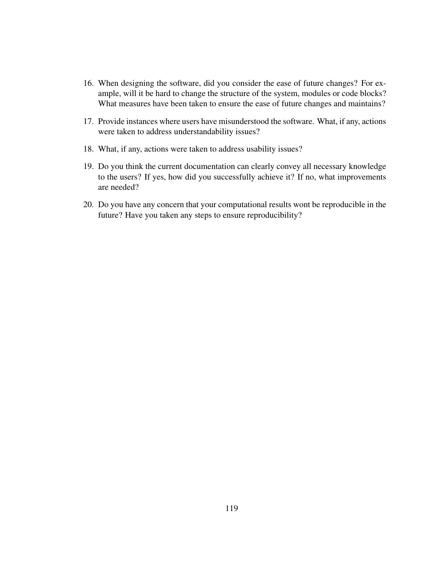- 16. When designing the software, did you consider the ease of future changes? For example, will it be hard to change the structure of the system, modules or code blocks? What measures have been taken to ensure the ease of future changes and maintains?
- 17. Provide instances where users have misunderstood the software. What, if any, actions were taken to address understandability issues?
- 18. What, if any, actions were taken to address usability issues?
- 19. Do you think the current documentation can clearly convey all necessary knowledge to the users? If yes, how did you successfully achieve it? If no, what improvements are needed?
- 20. Do you have any concern that your computational results wont be reproducible in the future? Have you taken any steps to ensure reproducibility?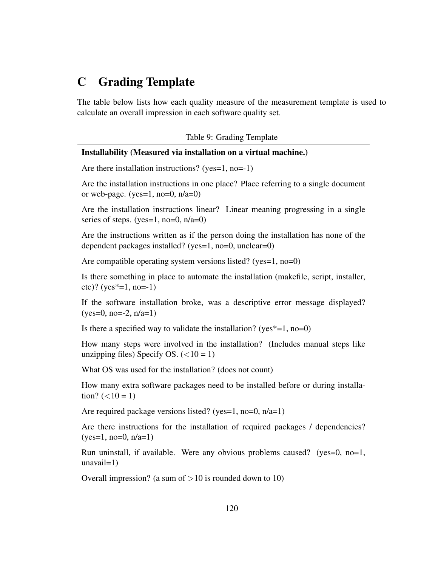### C Grading Template

The table below lists how each quality measure of the measurement template is used to calculate an overall impression in each software quality set.

|  |  | Table 9: Grading Template |
|--|--|---------------------------|
|--|--|---------------------------|

|  | Installability (Measured via installation on a virtual machine.) |  |  |
|--|------------------------------------------------------------------|--|--|
|  |                                                                  |  |  |

Are there installation instructions? (yes=1, no=-1)

Are the installation instructions in one place? Place referring to a single document or web-page. (yes=1, no=0,  $n/a=0$ )

Are the installation instructions linear? Linear meaning progressing in a single series of steps. (yes=1, no=0, n/a=0)

Are the instructions written as if the person doing the installation has none of the dependent packages installed? (yes=1, no=0, unclear=0)

Are compatible operating system versions listed? (yes=1, no=0)

Is there something in place to automate the installation (makefile, script, installer, etc)? (yes\*=1, no=-1)

If the software installation broke, was a descriptive error message displayed?  $(yes=0, no=-2, n/a=1)$ 

Is there a specified way to validate the installation? (yes $*=1$ , no=0)

How many steps were involved in the installation? (Includes manual steps like unzipping files) Specify OS.  $(<10 = 1)$ 

What OS was used for the installation? (does not count)

How many extra software packages need to be installed before or during installation?  $(<10 = 1)$ 

Are required package versions listed? (yes=1, no=0, n/a=1)

Are there instructions for the installation of required packages / dependencies?  $(yes=1, no=0, n/a=1)$ 

Run uninstall, if available. Were any obvious problems caused? (yes=0, no=1, unavail=1)

Overall impression? (a sum of  $>10$  is rounded down to 10)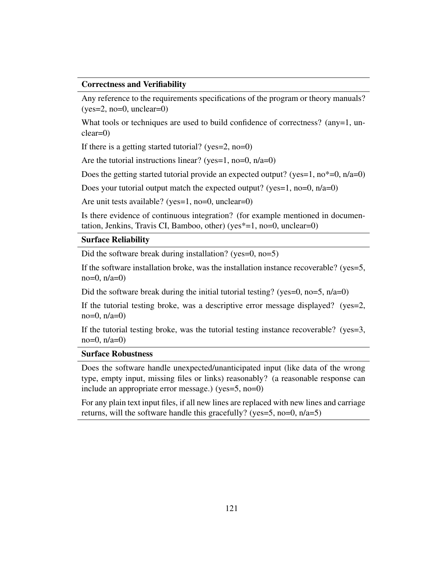#### Correctness and Verifiability

Any reference to the requirements specifications of the program or theory manuals?  $(yes=2, no=0, unclear=0)$ 

What tools or techniques are used to build confidence of correctness? (any=1, unclear=0)

If there is a getting started tutorial? (yes=2, no=0)

Are the tutorial instructions linear? (yes=1, no=0,  $n/a=0$ )

Does the getting started tutorial provide an expected output? (yes=1, no $*=0$ , n/a=0)

Does your tutorial output match the expected output? (yes=1, no=0,  $n/a=0$ )

Are unit tests available? (yes=1, no=0, unclear=0)

Is there evidence of continuous integration? (for example mentioned in documentation, Jenkins, Travis CI, Bamboo, other) (yes\*=1, no=0, unclear=0)

#### Surface Reliability

Did the software break during installation? (yes=0, no=5)

If the software installation broke, was the installation instance recoverable? (yes=5, no=0,  $n/a=0$ )

Did the software break during the initial tutorial testing? (yes=0, no=5,  $n/a=0$ )

If the tutorial testing broke, was a descriptive error message displayed? (yes=2, no=0,  $n/a=0$ )

If the tutorial testing broke, was the tutorial testing instance recoverable? (yes=3,  $no=0$ ,  $n/a=0$ )

#### Surface Robustness

Does the software handle unexpected/unanticipated input (like data of the wrong type, empty input, missing files or links) reasonably? (a reasonable response can include an appropriate error message.) (yes=5, no=0)

For any plain text input files, if all new lines are replaced with new lines and carriage returns, will the software handle this gracefully? (yes=5, no=0, n/a=5)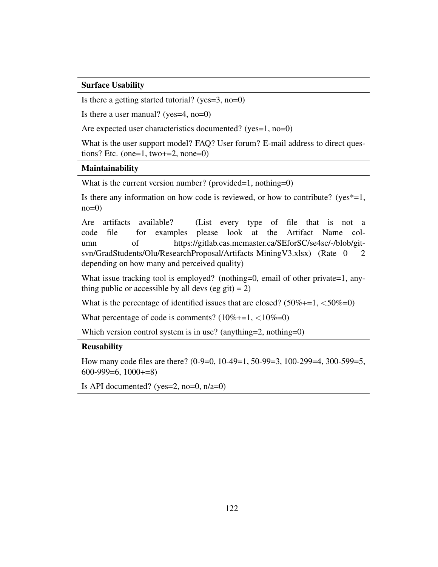#### Surface Usability

Is there a getting started tutorial? (yes=3, no=0)

Is there a user manual? (yes=4, no=0)

Are expected user characteristics documented? (yes=1, no=0)

What is the user support model? FAQ? User forum? E-mail address to direct questions? Etc. (one=1, two $+=2$ , none=0)

#### Maintainability

What is the current version number? (provided=1, nothing=0)

Is there any information on how code is reviewed, or how to contribute? ( $yes*=1$ ,  $no=0$ 

Are artifacts available? (List every type of file that is not a code file for examples please look at the Artifact Name column of https://gitlab.cas.mcmaster.ca/SEforSC/se4sc/-/blob/gitsvn/GradStudents/Olu/ResearchProposal/Artifacts\_MiningV3.xlsx) (Rate 0 2 depending on how many and perceived quality)

What issue tracking tool is employed? (nothing=0, email of other private=1, anything public or accessible by all devs (eg git) = 2)

What is the percentage of identified issues that are closed?  $(50\% +1, \langle 50\% -0 \rangle)$ 

What percentage of code is comments?  $(10\% +1, \langle 10\% = 0)$ 

Which version control system is in use? (anything=2, nothing=0)

#### Reusability

How many code files are there? (0-9=0, 10-49=1, 50-99=3, 100-299=4, 300-599=5, 600-999=6, 1000+=8)

Is API documented? (yes=2, no=0,  $n/a=0$ )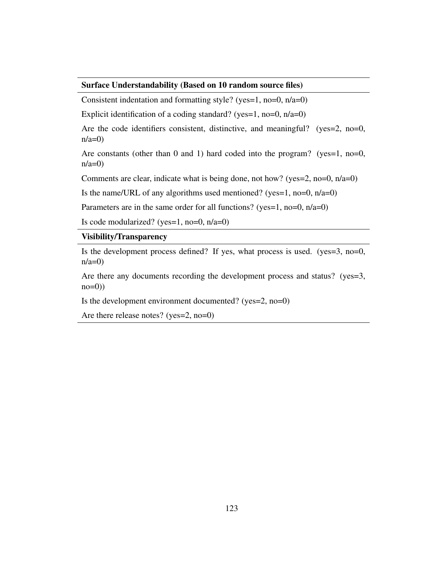#### Surface Understandability (Based on 10 random source files)

Consistent indentation and formatting style? (yes=1, no=0, n/a=0)

Explicit identification of a coding standard? (yes=1, no=0,  $n/a=0$ )

Are the code identifiers consistent, distinctive, and meaningful? (yes=2, no=0,  $n/a=0$ 

Are constants (other than 0 and 1) hard coded into the program? (yes=1, no=0,  $n/a=0$ 

Comments are clear, indicate what is being done, not how? (yes=2, no=0, n/a=0)

Is the name/URL of any algorithms used mentioned? (yes=1, no=0,  $n/a=0$ )

Parameters are in the same order for all functions? (yes=1, no=0,  $n/a=0$ )

Is code modularized? (yes=1, no=0,  $n/a=0$ )

#### Visibility/Transparency

Is the development process defined? If yes, what process is used. (yes=3, no=0,  $n/a=0$ 

Are there any documents recording the development process and status? (yes=3,  $no=0)$ )

Is the development environment documented? (yes=2, no=0)

Are there release notes? (yes=2, no=0)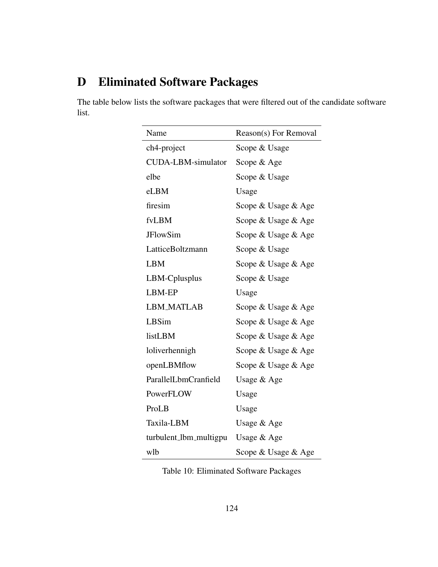## D Eliminated Software Packages

The table below lists the software packages that were filtered out of the candidate software list.

| Name                   | Reason(s) For Removal |
|------------------------|-----------------------|
| ch4-project            | Scope & Usage         |
| CUDA-LBM-simulator     | Scope & Age           |
| elbe                   | Scope & Usage         |
| eLBM                   | Usage                 |
| firesim                | Scope & Usage & Age   |
| fvLBM                  | Scope & Usage & Age   |
| <b>JFlowSim</b>        | Scope & Usage & Age   |
| LatticeBoltzmann       | Scope & Usage         |
| <b>LBM</b>             | Scope & Usage & Age   |
| LBM-Cplusplus          | Scope & Usage         |
| LBM-EP                 | Usage                 |
| <b>LBM_MATLAB</b>      | Scope & Usage & Age   |
| <b>LBSim</b>           | Scope & Usage & Age   |
| listLBM                | Scope & Usage & Age   |
| loliverhennigh         | Scope & Usage & Age   |
| openLBMflow            | Scope & Usage & Age   |
| ParallelLbmCranfield   | Usage & Age           |
| PowerFLOW              | Usage                 |
| ProLB                  | Usage                 |
| Taxila-LBM             | Usage & Age           |
| turbulent_lbm_multigpu | Usage & Age           |
| wlb                    | Scope & Usage & Age   |

Table 10: Eliminated Software Packages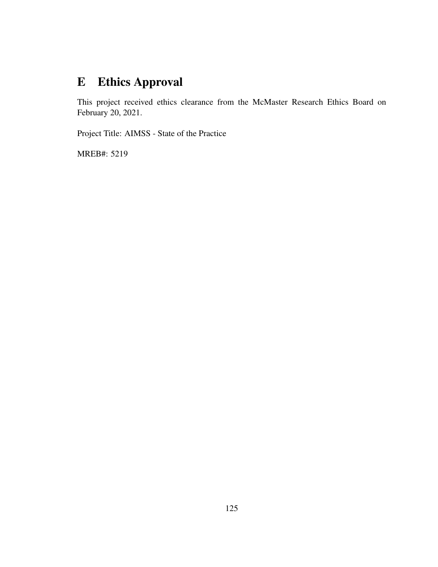## E Ethics Approval

This project received ethics clearance from the McMaster Research Ethics Board on February 20, 2021.

Project Title: AIMSS - State of the Practice

MREB#: 5219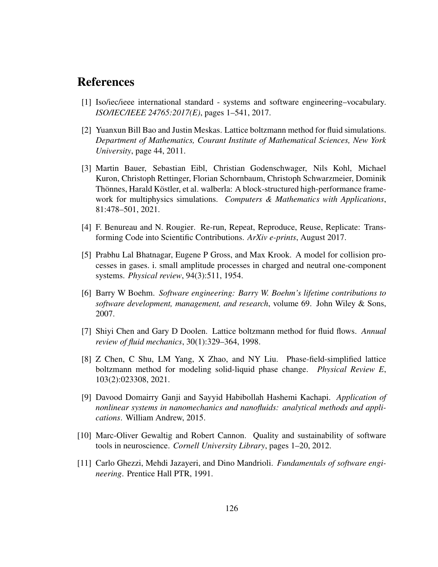### References

- [1] Iso/iec/ieee international standard systems and software engineering–vocabulary. *ISO/IEC/IEEE 24765:2017(E)*, pages 1–541, 2017.
- [2] Yuanxun Bill Bao and Justin Meskas. Lattice boltzmann method for fluid simulations. *Department of Mathematics, Courant Institute of Mathematical Sciences, New York University*, page 44, 2011.
- [3] Martin Bauer, Sebastian Eibl, Christian Godenschwager, Nils Kohl, Michael Kuron, Christoph Rettinger, Florian Schornbaum, Christoph Schwarzmeier, Dominik Thönnes, Harald Köstler, et al. walberla: A block-structured high-performance framework for multiphysics simulations. *Computers & Mathematics with Applications*, 81:478–501, 2021.
- [4] F. Benureau and N. Rougier. Re-run, Repeat, Reproduce, Reuse, Replicate: Transforming Code into Scientific Contributions. *ArXiv e-prints*, August 2017.
- [5] Prabhu Lal Bhatnagar, Eugene P Gross, and Max Krook. A model for collision processes in gases. i. small amplitude processes in charged and neutral one-component systems. *Physical review*, 94(3):511, 1954.
- [6] Barry W Boehm. *Software engineering: Barry W. Boehm's lifetime contributions to software development, management, and research*, volume 69. John Wiley & Sons, 2007.
- [7] Shiyi Chen and Gary D Doolen. Lattice boltzmann method for fluid flows. *Annual review of fluid mechanics*, 30(1):329–364, 1998.
- [8] Z Chen, C Shu, LM Yang, X Zhao, and NY Liu. Phase-field-simplified lattice boltzmann method for modeling solid-liquid phase change. *Physical Review E*, 103(2):023308, 2021.
- [9] Davood Domairry Ganji and Sayyid Habibollah Hashemi Kachapi. *Application of nonlinear systems in nanomechanics and nanofluids: analytical methods and applications*. William Andrew, 2015.
- [10] Marc-Oliver Gewaltig and Robert Cannon. Quality and sustainability of software tools in neuroscience. *Cornell University Library*, pages 1–20, 2012.
- [11] Carlo Ghezzi, Mehdi Jazayeri, and Dino Mandrioli. *Fundamentals of software engineering*. Prentice Hall PTR, 1991.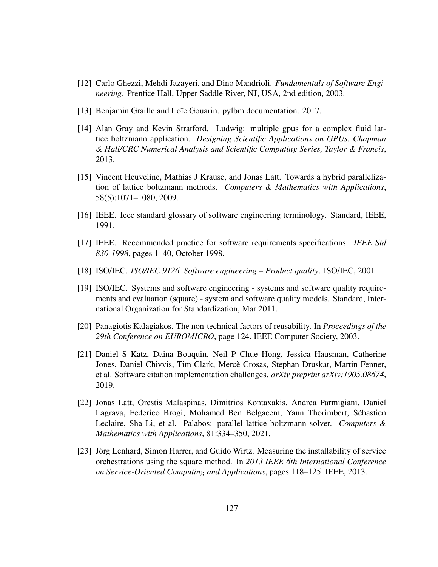- [12] Carlo Ghezzi, Mehdi Jazayeri, and Dino Mandrioli. *Fundamentals of Software Engineering*. Prentice Hall, Upper Saddle River, NJ, USA, 2nd edition, 2003.
- [13] Benjamin Graille and Loïc Gouarin. pylbm documentation. 2017.
- [14] Alan Gray and Kevin Stratford. Ludwig: multiple gpus for a complex fluid lattice boltzmann application. *Designing Scientific Applications on GPUs. Chapman & Hall/CRC Numerical Analysis and Scientific Computing Series, Taylor & Francis*, 2013.
- [15] Vincent Heuveline, Mathias J Krause, and Jonas Latt. Towards a hybrid parallelization of lattice boltzmann methods. *Computers & Mathematics with Applications*, 58(5):1071–1080, 2009.
- [16] IEEE. Ieee standard glossary of software engineering terminology. Standard, IEEE, 1991.
- [17] IEEE. Recommended practice for software requirements specifications. *IEEE Std 830-1998*, pages 1–40, October 1998.
- [18] ISO/IEC. *ISO/IEC 9126. Software engineering Product quality*. ISO/IEC, 2001.
- [19] ISO/IEC. Systems and software engineering systems and software quality requirements and evaluation (square) - system and software quality models. Standard, International Organization for Standardization, Mar 2011.
- [20] Panagiotis Kalagiakos. The non-technical factors of reusability. In *Proceedings of the 29th Conference on EUROMICRO*, page 124. IEEE Computer Society, 2003.
- [21] Daniel S Katz, Daina Bouquin, Neil P Chue Hong, Jessica Hausman, Catherine Jones, Daniel Chivvis, Tim Clark, Merce Crosas, Stephan Druskat, Martin Fenner, ` et al. Software citation implementation challenges. *arXiv preprint arXiv:1905.08674*, 2019.
- [22] Jonas Latt, Orestis Malaspinas, Dimitrios Kontaxakis, Andrea Parmigiani, Daniel Lagrava, Federico Brogi, Mohamed Ben Belgacem, Yann Thorimbert, Sebastien ´ Leclaire, Sha Li, et al. Palabos: parallel lattice boltzmann solver. *Computers & Mathematics with Applications*, 81:334–350, 2021.
- [23] Jörg Lenhard, Simon Harrer, and Guido Wirtz. Measuring the installability of service orchestrations using the square method. In *2013 IEEE 6th International Conference on Service-Oriented Computing and Applications*, pages 118–125. IEEE, 2013.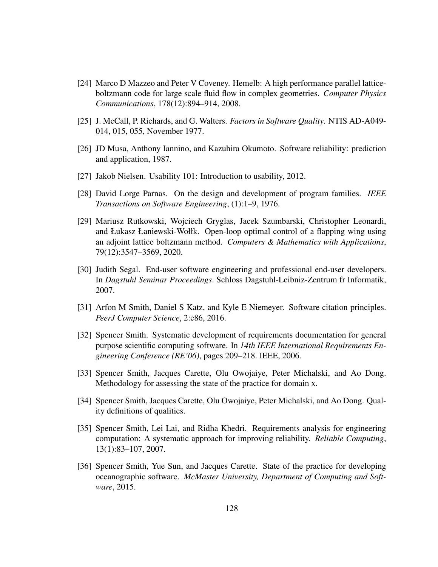- [24] Marco D Mazzeo and Peter V Coveney. Hemelb: A high performance parallel latticeboltzmann code for large scale fluid flow in complex geometries. *Computer Physics Communications*, 178(12):894–914, 2008.
- [25] J. McCall, P. Richards, and G. Walters. *Factors in Software Quality*. NTIS AD-A049- 014, 015, 055, November 1977.
- [26] JD Musa, Anthony Iannino, and Kazuhira Okumoto. Software reliability: prediction and application, 1987.
- [27] Jakob Nielsen. Usability 101: Introduction to usability, 2012.
- [28] David Lorge Parnas. On the design and development of program families. *IEEE Transactions on Software Engineering*, (1):1–9, 1976.
- [29] Mariusz Rutkowski, Wojciech Gryglas, Jacek Szumbarski, Christopher Leonardi, and Łukasz Łaniewski-Wołłk. Open-loop optimal control of a flapping wing using an adjoint lattice boltzmann method. *Computers & Mathematics with Applications*, 79(12):3547–3569, 2020.
- [30] Judith Segal. End-user software engineering and professional end-user developers. In *Dagstuhl Seminar Proceedings*. Schloss Dagstuhl-Leibniz-Zentrum fr Informatik, 2007.
- [31] Arfon M Smith, Daniel S Katz, and Kyle E Niemeyer. Software citation principles. *PeerJ Computer Science*, 2:e86, 2016.
- [32] Spencer Smith. Systematic development of requirements documentation for general purpose scientific computing software. In *14th IEEE International Requirements Engineering Conference (RE'06)*, pages 209–218. IEEE, 2006.
- [33] Spencer Smith, Jacques Carette, Olu Owojaiye, Peter Michalski, and Ao Dong. Methodology for assessing the state of the practice for domain x.
- [34] Spencer Smith, Jacques Carette, Olu Owojaiye, Peter Michalski, and Ao Dong. Quality definitions of qualities.
- [35] Spencer Smith, Lei Lai, and Ridha Khedri. Requirements analysis for engineering computation: A systematic approach for improving reliability. *Reliable Computing*, 13(1):83–107, 2007.
- [36] Spencer Smith, Yue Sun, and Jacques Carette. State of the practice for developing oceanographic software. *McMaster University, Department of Computing and Software*, 2015.